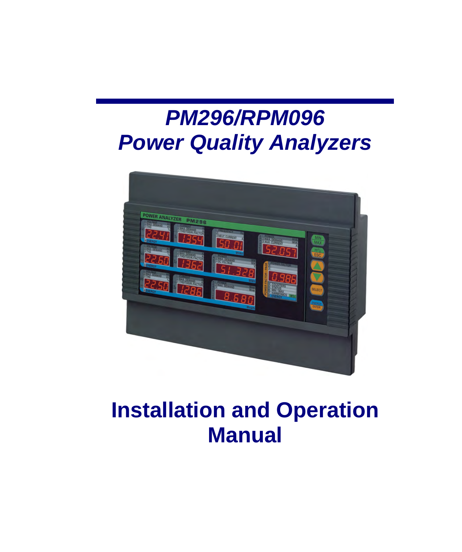# *PM296/RPM096 Power Quality Analyzers*



## **Installation and Operation Manual**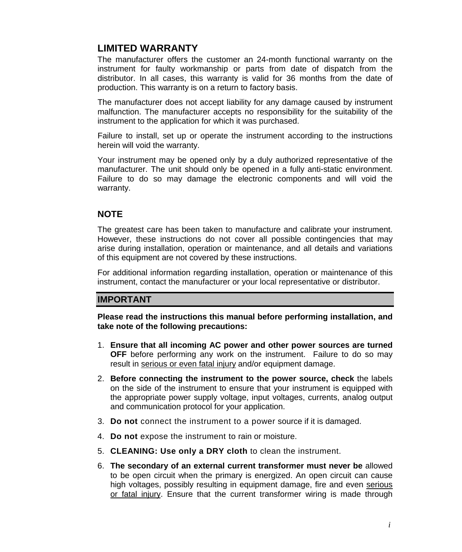## **LIMITED WARRANTY**

The manufacturer offers the customer an 24-month functional warranty on the instrument for faulty workmanship or parts from date of dispatch from the distributor. In all cases, this warranty is valid for 36 months from the date of production. This warranty is on a return to factory basis.

The manufacturer does not accept liability for any damage caused by instrument malfunction. The manufacturer accepts no responsibility for the suitability of the instrument to the application for which it was purchased.

Failure to install, set up or operate the instrument according to the instructions herein will void the warranty.

Your instrument may be opened only by a duly authorized representative of the manufacturer. The unit should only be opened in a fully anti-static environment. Failure to do so may damage the electronic components and will void the warranty.

### **NOTE**

The greatest care has been taken to manufacture and calibrate your instrument. However, these instructions do not cover all possible contingencies that may arise during installation, operation or maintenance, and all details and variations of this equipment are not covered by these instructions.

For additional information regarding installation, operation or maintenance of this instrument, contact the manufacturer or your local representative or distributor.

### **IMPORTANT**

**Please read the instructions this manual before performing installation, and take note of the following precautions:** 

- 1. **Ensure that all incoming AC power and other power sources are turned OFF** before performing any work on the instrument. Failure to do so may result in serious or even fatal injury and/or equipment damage.
- 2. **Before connecting the instrument to the power source, check** the labels on the side of the instrument to ensure that your instrument is equipped with the appropriate power supply voltage, input voltages, currents, analog output and communication protocol for your application.
- 3. **Do not** connect the instrument to a power source if it is damaged.
- 4. **Do not** expose the instrument to rain or moisture.
- 5. **CLEANING: Use only a DRY cloth** to clean the instrument.
- 6. **The secondary of an external current transformer must never be** allowed to be open circuit when the primary is energized. An open circuit can cause high voltages, possibly resulting in equipment damage, fire and even serious or fatal injury. Ensure that the current transformer wiring is made through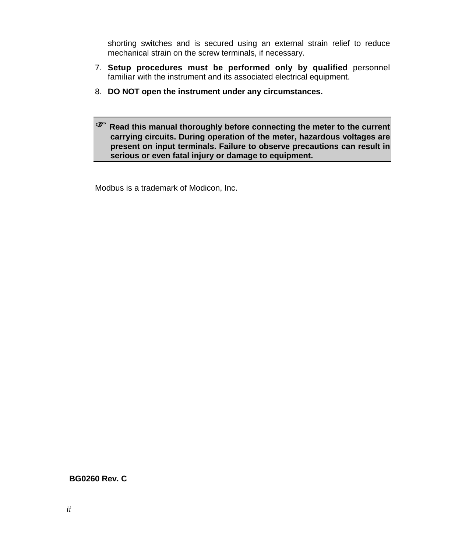shorting switches and is secured using an external strain relief to reduce mechanical strain on the screw terminals, if necessary.

- 7. **Setup procedures must be performed only by qualified** personnel familiar with the instrument and its associated electrical equipment.
- 8. **DO NOT open the instrument under any circumstances.**

) **Read this manual thoroughly before connecting the meter to the current carrying circuits. During operation of the meter, hazardous voltages are present on input terminals. Failure to observe precautions can result in serious or even fatal injury or damage to equipment.** 

Modbus is a trademark of Modicon, Inc.

#### **BG0260 Rev. C**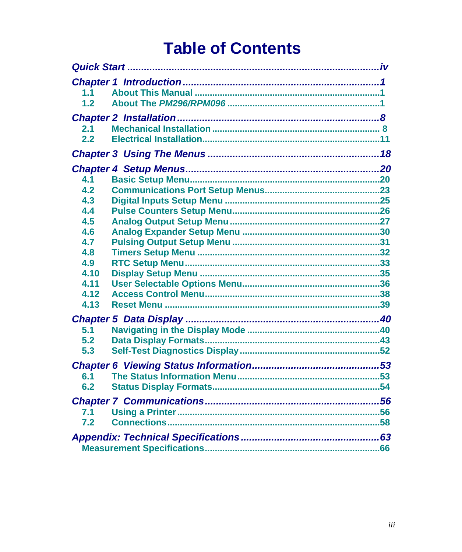## **Table of Contents**

| 1.1          |  |
|--------------|--|
| 1.2          |  |
|              |  |
| 2.1          |  |
| 2.2          |  |
|              |  |
|              |  |
| 4.1          |  |
| 4.2          |  |
| 4.3          |  |
| 4.4          |  |
| 4.5          |  |
| 4.6          |  |
| 4.7          |  |
| 4.8          |  |
| 4.9          |  |
| 4.10         |  |
| 4.11         |  |
| 4.12<br>4.13 |  |
|              |  |
|              |  |
| 5.1          |  |
| 5.2          |  |
| 5.3          |  |
|              |  |
| 6.1          |  |
| 6.2          |  |
|              |  |
| 7.1          |  |
| 7.2          |  |
|              |  |
|              |  |
|              |  |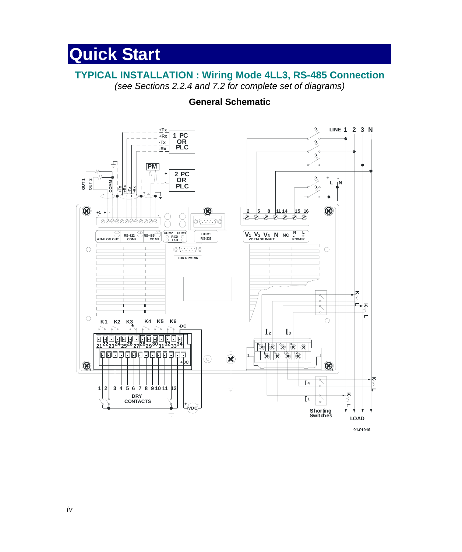## **Quick Start**

## **TYPICAL INSTALLATION : Wiring Mode 4LL3, RS-485 Connection**

*(see Sections 2.2.4 and 7.2 for complete set of diagrams)* 

## **General Schematic**

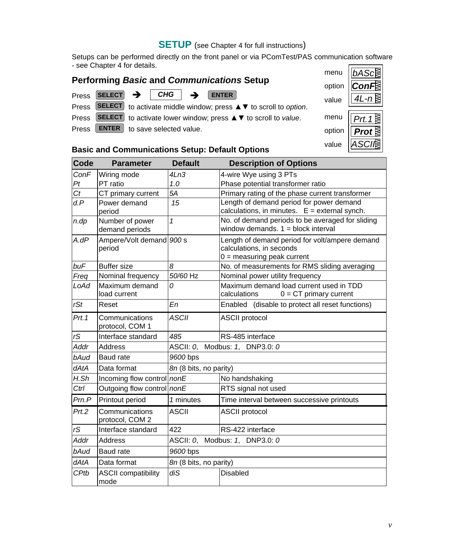## **SETUP** (see Chapter 4 for full instructions)

Setups can be performed directly on the front panel or via PComTest/PAS communication software - see Chapter 4 for details.

| <b>Performing Basic and Communications Setup</b> |  |  |                                      |  | <b>UIGHU ILDAS</b>                                                     |        |          |
|--------------------------------------------------|--|--|--------------------------------------|--|------------------------------------------------------------------------|--------|----------|
|                                                  |  |  |                                      |  |                                                                        | option | $\ $ Con |
|                                                  |  |  |                                      |  | Press SELECT $\rightarrow$ CHG $\rightarrow$ ENTER                     | value  | $4L - r$ |
|                                                  |  |  |                                      |  | Press SELECT to activate middle window; press ▲ ▼ to scroll to option. |        |          |
|                                                  |  |  |                                      |  | Press SELECT to activate lower window; press ▲ ▼ to scroll to value.   | menu   | Prt.     |
| Press                                            |  |  | <b>ENTER</b> to save selected value. |  |                                                                        | option | Pro      |



## **Basic and Communications Setup: Default Options**

| Code    | <b>Parameter</b>                   | <b>Default</b>                 | <b>Description of Options</b>                                                                              |  |  |  |  |
|---------|------------------------------------|--------------------------------|------------------------------------------------------------------------------------------------------------|--|--|--|--|
| ConF    | Wiring mode                        | 4Ln3                           | 4-wire Wye using 3 PTs                                                                                     |  |  |  |  |
| Pt      | PT ratio                           | 1.0                            | Phase potential transformer ratio                                                                          |  |  |  |  |
| Ct      | CT primary current                 | 5A                             | Primary rating of the phase current transformer                                                            |  |  |  |  |
| d.P     | Power demand<br>period             | 15                             | Length of demand period for power demand<br>calculations, in minutes. $E =$ external synch.                |  |  |  |  |
| $n$ .dp | Number of power<br>demand periods  | $\mathbf{1}$                   | No. of demand periods to be averaged for sliding<br>window demands. $1 = \text{block interval}$            |  |  |  |  |
| A.dP    | Ampere/Volt demand 900 s<br>period |                                | Length of demand period for volt/ampere demand<br>calculations, in seconds<br>$0 =$ measuring peak current |  |  |  |  |
| buF     | <b>Buffer</b> size                 | 8                              | No. of measurements for RMS sliding averaging                                                              |  |  |  |  |
| Freq    | Nominal frequency                  | 50/60 Hz                       | Nominal power utility frequency                                                                            |  |  |  |  |
| LoAd    | Maximum demand<br>load current     | 0                              | Maximum demand load current used in TDD<br>calculations<br>$0 = CT$ primary current                        |  |  |  |  |
| rSt     | Reset                              | En                             | Enabled (disable to protect all reset functions)                                                           |  |  |  |  |
| Prt.1   | Communications<br>protocol, COM 1  | <b>ASCII</b>                   | <b>ASCII protocol</b>                                                                                      |  |  |  |  |
| rS      | Interface standard                 | 485                            | RS-485 interface                                                                                           |  |  |  |  |
| Addr    | <b>Address</b>                     | ASCII: 0, Modbus: 1, DNP3.0: 0 |                                                                                                            |  |  |  |  |
| bAud    | Baud rate                          | 9600 bps                       |                                                                                                            |  |  |  |  |
| dAtA    | Data format                        | 8n (8 bits, no parity)         |                                                                                                            |  |  |  |  |
| H.Sh    | Incoming flow control nonE         |                                | No handshaking                                                                                             |  |  |  |  |
| Ctrl    | Outgoing flow control nonE         |                                | RTS signal not used                                                                                        |  |  |  |  |
| Prn.P   | Printout period                    | 1 minutes                      | Time interval between successive printouts                                                                 |  |  |  |  |
| Prt.2   | Communications<br>protocol, COM 2  | <b>ASCII</b>                   | <b>ASCII protocol</b>                                                                                      |  |  |  |  |
| rS      | Interface standard                 | 422                            | RS-422 interface                                                                                           |  |  |  |  |
| Addr    | <b>Address</b>                     | ASCII: 0, Modbus: 1, DNP3.0: 0 |                                                                                                            |  |  |  |  |
| bAud    | Baud rate                          | 9600 bps                       |                                                                                                            |  |  |  |  |
| dAtA    | Data format                        | 8n (8 bits, no parity)         |                                                                                                            |  |  |  |  |
| CPtb    | <b>ASCII compatibility</b><br>mode | diS                            | <b>Disabled</b>                                                                                            |  |  |  |  |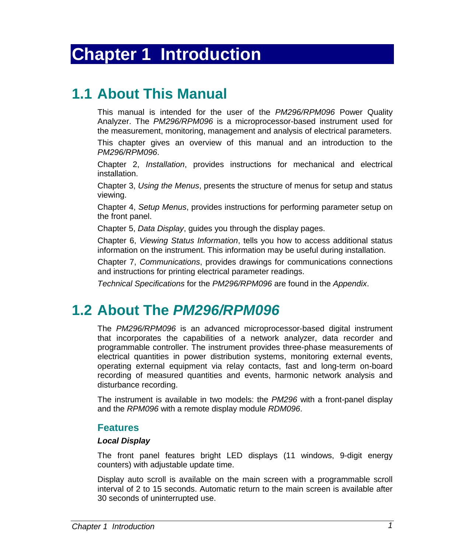## **Chapter 1 Introduction**

## **1.1 About This Manual**

This manual is intended for the user of the *PM296/RPM096* Power Quality Analyzer. The *PM296/RPM096* is a microprocessor-based instrument used for the measurement, monitoring, management and analysis of electrical parameters.

This chapter gives an overview of this manual and an introduction to the *PM296/RPM096*.

Chapter 2, *Installation*, provides instructions for mechanical and electrical installation.

Chapter 3, *Using the Menus*, presents the structure of menus for setup and status viewing.

Chapter 4, *Setup Menus*, provides instructions for performing parameter setup on the front panel.

Chapter 5, *Data Display*, guides you through the display pages.

Chapter 6, *Viewing Status Information*, tells you how to access additional status information on the instrument. This information may be useful during installation.

Chapter 7, *Communications*, provides drawings for communications connections and instructions for printing electrical parameter readings.

*Technical Specifications* for the *PM296/RPM096* are found in the *Appendix*.

## **1.2 About The** *PM296/RPM096*

The *PM296/RPM096* is an advanced microprocessor-based digital instrument that incorporates the capabilities of a network analyzer, data recorder and programmable controller. The instrument provides three-phase measurements of electrical quantities in power distribution systems, monitoring external events, operating external equipment via relay contacts, fast and long-term on-board recording of measured quantities and events, harmonic network analysis and disturbance recording.

The instrument is available in two models: the *PM296* with a front-panel display and the *RPM096* with a remote display module *RDM096*.

### **Features**

#### *Local Display*

The front panel features bright LED displays (11 windows, 9-digit energy counters) with adjustable update time.

Display auto scroll is available on the main screen with a programmable scroll interval of 2 to 15 seconds. Automatic return to the main screen is available after 30 seconds of uninterrupted use.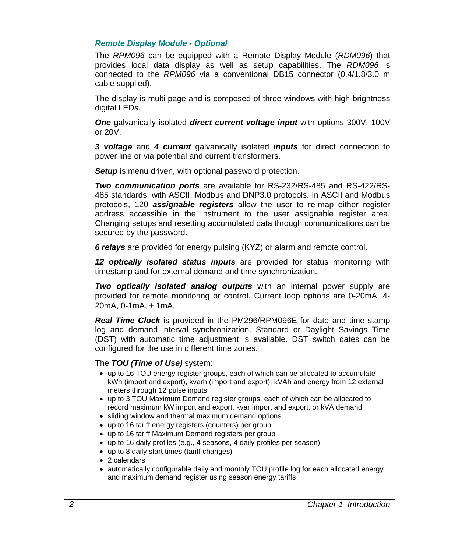#### *Remote Display Module - Optional*

The *RPM096* can be equipped with a Remote Display Module (*RDM096*) that provides local data display as well as setup capabilities. The *RDM096* is connected to the *RPM096* via a conventional DB15 connector (0.4/1.8/3.0 m cable supplied).

The display is multi-page and is composed of three windows with high-brightness digital LEDs.

**One** galvanically isolated **direct current voltage input** with options 300V, 100V or 20V.

*3 voltage* and *4 current* galvanically isolated *inputs* for direct connection to power line or via potential and current transformers.

**Setup** is menu driven, with optional password protection.

*Two communication ports* are available for RS-232/RS-485 and RS-422/RS-485 standards, with ASCII, Modbus and DNP3.0 protocols. In ASCII and Modbus protocols, 120 *assignable registers* allow the user to re-map either register address accessible in the instrument to the user assignable register area. Changing setups and resetting accumulated data through communications can be secured by the password.

*6 relays* are provided for energy pulsing (KYZ) or alarm and remote control.

*12 optically isolated status inputs* are provided for status monitoring with timestamp and for external demand and time synchronization.

*Two optically isolated analog outputs* with an internal power supply are provided for remote monitoring or control. Current loop options are 0-20mA, 4- 20mA,  $0-1$ mA,  $\pm 1$ mA,

*Real Time Clock* is provided in the PM296/RPM096E for date and time stamp log and demand interval synchronization. Standard or Daylight Savings Time (DST) with automatic time adjustment is available. DST switch dates can be configured for the use in different time zones.

#### The *TOU (Time of Use)* system:

- up to 16 TOU energy register groups, each of which can be allocated to accumulate kWh (import and export), kvarh (import and export), kVAh and energy from 12 external meters through 12 pulse inputs
- up to 3 TOU Maximum Demand register groups, each of which can be allocated to record maximum kW import and export, kvar import and export, or kVA demand
- sliding window and thermal maximum demand options
- up to 16 tariff energy registers (counters) per group
- up to 16 tariff Maximum Demand registers per group
- up to 16 daily profiles (e.g., 4 seasons, 4 daily profiles per season)
- up to 8 daily start times (tariff changes)
- 2 calendars
- automatically configurable daily and monthly TOU profile log for each allocated energy and maximum demand register using season energy tariffs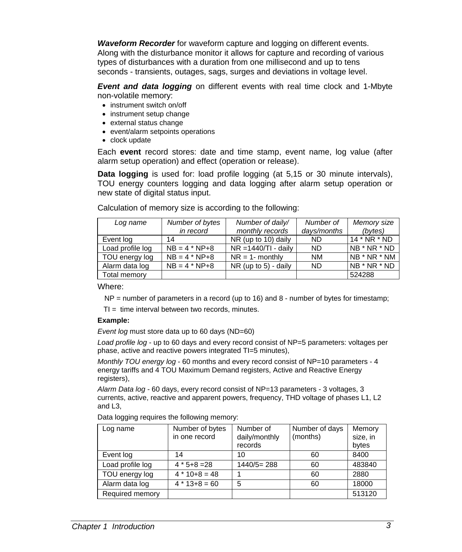*Waveform Recorder* for waveform capture and logging on different events. Along with the disturbance monitor it allows for capture and recording of various types of disturbances with a duration from one millisecond and up to tens seconds - transients, outages, sags, surges and deviations in voltage level.

*Event and data logging* on different events with real time clock and 1-Mbyte non-volatile memory:

- instrument switch on/off
- instrument setup change
- external status change
- event/alarm setpoints operations
- clock update

Each **event** record stores: date and time stamp, event name, log value (after alarm setup operation) and effect (operation or release).

**Data logging** is used for: load profile logging (at 5,15 or 30 minute intervals), TOU energy counters logging and data logging after alarm setup operation or new state of digital status input.

| Log name         | Number of bytes   | Number of daily/        | Number of   | Memory size    |
|------------------|-------------------|-------------------------|-------------|----------------|
|                  | in record         | monthly records         | days/months | (bytes)        |
| Event log        | 14                | NR (up to 10) daily     | ND.         | $14 * NR * ND$ |
| Load profile log | $NB = 4 * NP + 8$ | $NR = 1440/TI - daily$  | <b>ND</b>   | NB * NR * ND   |
| TOU energy log   | $NB = 4 * NP + 8$ | $NR = 1$ - monthly      | <b>NM</b>   | NB * NR * NM   |
| Alarm data log   | $NB = 4 * NP + 8$ | NR (up to $5$ ) - daily | <b>ND</b>   | NB * NR * ND   |
| Total memory     |                   |                         |             | 524288         |

Calculation of memory size is according to the following:

Where:

 $NP =$  number of parameters in a record (up to 16) and 8 - number of bytes for timestamp;

 $TI = time$  interval between two records, minutes.

#### **Example:**

*Event log* must store data up to 60 days (ND=60)

*Load profile log* - up to 60 days and every record consist of NP=5 parameters: voltages per phase, active and reactive powers integrated TI=5 minutes),

*Monthly TOU energy log* - 60 months and every record consist of NP=10 parameters - 4 energy tariffs and 4 TOU Maximum Demand registers, Active and Reactive Energy registers),

*Alarm Data log -* 60 days, every record consist of NP=13 parameters - 3 voltages, 3 currents, active, reactive and apparent powers, frequency, THD voltage of phases L1, L2 and L3,

Data logging requires the following memory:

| Log name         | Number of bytes<br>in one record | Number of<br>daily/monthly<br>records | Number of days<br>(months) | Memory<br>size, in<br>bytes |
|------------------|----------------------------------|---------------------------------------|----------------------------|-----------------------------|
| Event log        | 14                               | 10                                    | 60                         | 8400                        |
| Load profile log | $4 * 5 + 8 = 28$                 | $1440/5=288$                          | 60                         | 483840                      |
| TOU energy log   | $4 * 10 + 8 = 48$                |                                       | 60                         | 2880                        |
| Alarm data log   | $4 * 13 + 8 = 60$                | 5                                     | 60                         | 18000                       |
| Required memory  |                                  |                                       |                            | 513120                      |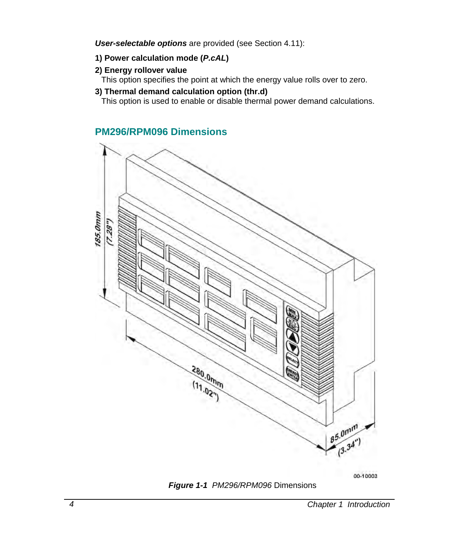*User-selectable options* are provided (see Section 4.11):

### **1) Power calculation mode (***P.cAL***)**

### **2) Energy rollover value**

This option specifies the point at which the energy value rolls over to zero.

### **3) Thermal demand calculation option (thr.d)**

This option is used to enable or disable thermal power demand calculations.

## **PM296/RPM096 Dimensions**



00-10003



*4 Chapter 1 Introduction*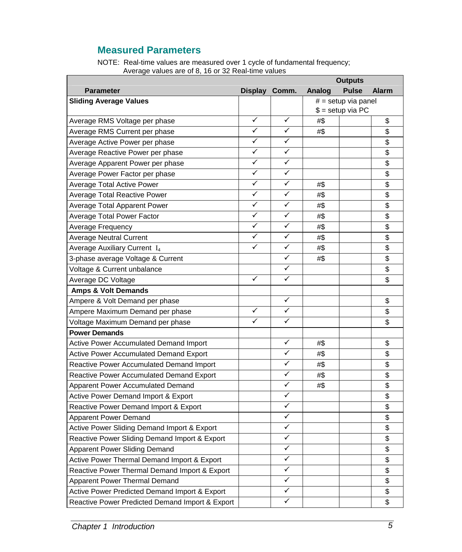## **Measured Parameters**

NOTE: Real-time values are measured over 1 cycle of fundamental frequency; Average values are of 8, 16 or 32 Real-time values

| <b>Outputs</b>                                  |               |   |                    |                     |                          |
|-------------------------------------------------|---------------|---|--------------------|---------------------|--------------------------|
| <b>Parameter</b>                                | Display Comm. |   | Analog             | <b>Pulse</b>        | <b>Alarm</b>             |
| <b>Sliding Average Values</b>                   |               |   |                    | # = setup via panel |                          |
|                                                 |               |   | $$ = setup via PC$ |                     |                          |
| Average RMS Voltage per phase                   | ✓             | ✓ | #\$                |                     | \$                       |
| Average RMS Current per phase                   | ✓             | ✓ | #\$                |                     | \$                       |
| Average Active Power per phase                  | ✓             | ✓ |                    |                     | \$                       |
| Average Reactive Power per phase                | ✓             | ✓ |                    |                     | \$                       |
| Average Apparent Power per phase                | ✓             | ✓ |                    |                     | \$                       |
| Average Power Factor per phase                  | ✓             | ✓ |                    |                     | \$                       |
| Average Total Active Power                      | ✓             | ✓ | #\$                |                     | $\overline{\mathbf{S}}$  |
| <b>Average Total Reactive Power</b>             | ✓             | ✓ | #\$                |                     | $\overline{\mathcal{S}}$ |
| Average Total Apparent Power                    | ✓             | ✓ | #\$                |                     | \$                       |
| Average Total Power Factor                      | ✓             | ✓ | #\$                |                     | \$                       |
| Average Frequency                               | ✓             | ✓ | #\$                |                     | \$                       |
| <b>Average Neutral Current</b>                  | ✓             | ✓ | #\$                |                     | $\overline{\mathbf{S}}$  |
| Average Auxiliary Current I4                    | ✓             | ✓ | #\$                |                     | $\overline{\$}$          |
| 3-phase average Voltage & Current               |               | ✓ | #\$                |                     | \$                       |
| Voltage & Current unbalance                     |               | ✓ |                    |                     | \$                       |
| Average DC Voltage                              | ✓             | ✓ |                    |                     | \$                       |
| <b>Amps &amp; Volt Demands</b>                  |               |   |                    |                     |                          |
| Ampere & Volt Demand per phase                  |               | ✓ |                    |                     | \$                       |
| Ampere Maximum Demand per phase                 | ✓             | ✓ |                    |                     | \$                       |
| Voltage Maximum Demand per phase                | ✓             | ✓ |                    |                     | \$                       |
| <b>Power Demands</b>                            |               |   |                    |                     |                          |
| Active Power Accumulated Demand Import          |               | ✓ | #\$                |                     | \$                       |
| <b>Active Power Accumulated Demand Export</b>   |               | ✓ | #\$                |                     | \$                       |
| Reactive Power Accumulated Demand Import        |               | ✓ | #\$                |                     | \$                       |
| Reactive Power Accumulated Demand Export        |               | ✓ | #\$                |                     | \$                       |
| Apparent Power Accumulated Demand               |               | ✓ | #\$                |                     | $\overline{\mathbf{S}}$  |
| Active Power Demand Import & Export             |               | ✓ |                    |                     | \$                       |
| Reactive Power Demand Import & Export           |               | ✓ |                    |                     | \$                       |
| <b>Apparent Power Demand</b>                    |               | ✓ |                    |                     | \$                       |
| Active Power Sliding Demand Import & Export     |               | ✓ |                    |                     | \$                       |
| Reactive Power Sliding Demand Import & Export   |               | ✓ |                    |                     | $\overline{\mathbf{S}}$  |
| Apparent Power Sliding Demand                   |               | ✓ |                    |                     | \$                       |
| Active Power Thermal Demand Import & Export     |               | ✓ |                    |                     | \$                       |
| Reactive Power Thermal Demand Import & Export   |               | ✓ |                    |                     | \$                       |
| Apparent Power Thermal Demand                   |               | ✓ |                    |                     | \$                       |
| Active Power Predicted Demand Import & Export   |               | ✓ |                    |                     | \$                       |
| Reactive Power Predicted Demand Import & Export |               | ✓ |                    |                     | $\overline{\mathcal{S}}$ |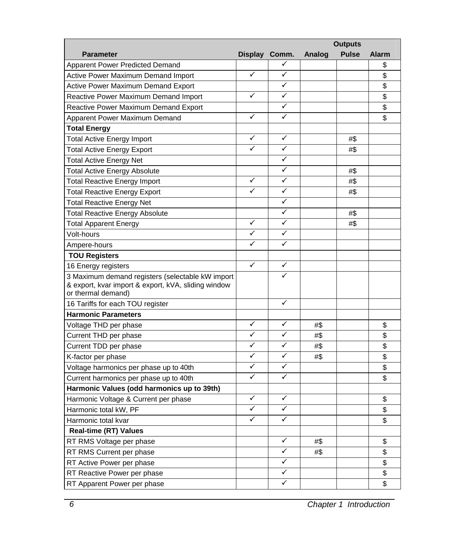|                                                                                      | <b>Outputs</b> |   |        |              |                         |
|--------------------------------------------------------------------------------------|----------------|---|--------|--------------|-------------------------|
| <b>Parameter</b>                                                                     | Display Comm.  |   | Analog | <b>Pulse</b> | <b>Alarm</b>            |
| Apparent Power Predicted Demand                                                      |                | ✓ |        |              | \$                      |
| Active Power Maximum Demand Import                                                   | ✓              | ✓ |        |              | \$                      |
| Active Power Maximum Demand Export                                                   |                | ✓ |        |              | \$                      |
| Reactive Power Maximum Demand Import                                                 | ✓              | ✓ |        |              | \$                      |
| Reactive Power Maximum Demand Export                                                 |                | ✓ |        |              | \$                      |
| Apparent Power Maximum Demand                                                        | ✓              | ✓ |        |              | \$                      |
| Total Energy                                                                         |                |   |        |              |                         |
| <b>Total Active Energy Import</b>                                                    | ✓              | ✓ |        | #\$          |                         |
| Total Active Energy Export                                                           | ✓              | ✓ |        | #\$          |                         |
| <b>Total Active Energy Net</b>                                                       |                | ✓ |        |              |                         |
| Total Active Energy Absolute                                                         |                | ✓ |        | #\$          |                         |
| Total Reactive Energy Import                                                         | ✓              | ✓ |        | #\$          |                         |
| Total Reactive Energy Export                                                         | ✓              | ✓ |        | #\$          |                         |
| Total Reactive Energy Net                                                            |                | ✓ |        |              |                         |
| Total Reactive Energy Absolute                                                       |                | ✓ |        | #\$          |                         |
| Total Apparent Energy                                                                | ✓              | ✓ |        | #\$          |                         |
| Volt-hours                                                                           | ✓              | ✓ |        |              |                         |
| Ampere-hours                                                                         | ✓              | ✓ |        |              |                         |
| <b>TOU Registers</b>                                                                 |                |   |        |              |                         |
| 16 Energy registers                                                                  | ✓              | ✓ |        |              |                         |
| 3 Maximum demand registers (selectable kW import                                     |                |   |        |              |                         |
| & export, kvar import & export, kVA, sliding window                                  |                |   |        |              |                         |
| or thermal demand)                                                                   |                | ✓ |        |              |                         |
| 16 Tariffs for each TOU register<br><b>Harmonic Parameters</b>                       |                |   |        |              |                         |
| Voltage THD per phase                                                                | ✓              | ✓ | #\$    |              | \$                      |
| Current THD per phase                                                                | ✓              | ✓ | #\$    |              | \$                      |
| Current TDD per phase                                                                | ✓              | ✓ | #\$    |              | $\overline{\mathbb{S}}$ |
| K-factor per phase                                                                   | ✓              | ✓ | #\$    |              | \$                      |
| Voltage harmonics per phase up to 40th                                               | ✓              | ✓ |        |              | \$                      |
|                                                                                      | ✓              | ✓ |        |              | \$                      |
| Current harmonics per phase up to 40th<br>Harmonic Values (odd harmonics up to 39th) |                |   |        |              |                         |
| Harmonic Voltage & Current per phase                                                 | ✓              | ✓ |        |              | \$                      |
| Harmonic total kW, PF                                                                | ✓              | ✓ |        |              | \$                      |
| Harmonic total kvar                                                                  | ✓              | ✓ |        |              | \$                      |
| <b>Real-time (RT) Values</b>                                                         |                |   |        |              |                         |
|                                                                                      |                | ✓ | #\$    |              | \$                      |
| RT RMS Voltage per phase<br>RT RMS Current per phase                                 |                | ✓ | #\$    |              | \$                      |
|                                                                                      |                | ✓ |        |              | \$                      |
| RT Active Power per phase<br>RT Reactive Power per phase                             |                | ✓ |        |              | $\overline{\mathbb{S}}$ |
|                                                                                      |                | ✓ |        |              | \$                      |
| RT Apparent Power per phase                                                          |                |   |        |              |                         |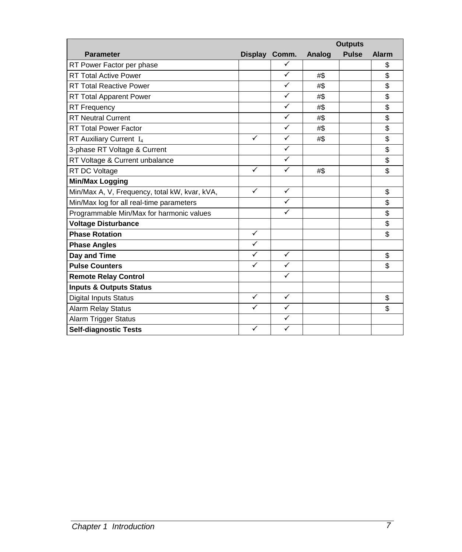|                                               |               |              |        | <b>Outputs</b> |              |
|-----------------------------------------------|---------------|--------------|--------|----------------|--------------|
| <b>Parameter</b>                              | Display Comm. |              | Analog | <b>Pulse</b>   | <b>Alarm</b> |
| RT Power Factor per phase                     |               | ✓            |        |                | \$           |
| <b>RT Total Active Power</b>                  |               | ✓            | #\$    |                | \$           |
| <b>RT Total Reactive Power</b>                |               | ✓            | #\$    |                | \$           |
| RT Total Apparent Power                       |               | $\checkmark$ | #\$    |                | \$           |
| <b>RT Frequency</b>                           |               | ✓            | #\$    |                | \$           |
| <b>RT Neutral Current</b>                     |               | ✓            | #\$    |                | \$           |
| <b>RT Total Power Factor</b>                  |               | ✓            | #\$    |                | \$           |
| RT Auxiliary Current I <sub>4</sub>           | ✓             | ✓            | #\$    |                | \$           |
| 3-phase RT Voltage & Current                  |               | ✓            |        |                | \$           |
| RT Voltage & Current unbalance                |               | $\checkmark$ |        |                | \$           |
| RT DC Voltage                                 | ✓             | ✓            | #\$    |                | \$           |
| Min/Max Logging                               |               |              |        |                |              |
| Min/Max A, V, Frequency, total kW, kvar, kVA, | $\checkmark$  | $\checkmark$ |        |                | \$           |
| Min/Max log for all real-time parameters      |               | ✓            |        |                | \$           |
| Programmable Min/Max for harmonic values      |               | ✓            |        |                | \$           |
| <b>Voltage Disturbance</b>                    |               |              |        |                | \$           |
| <b>Phase Rotation</b>                         | ✓             |              |        |                | \$           |
| <b>Phase Angles</b>                           | $\checkmark$  |              |        |                |              |
| Day and Time                                  | ✓             | ✓            |        |                | \$           |
| <b>Pulse Counters</b>                         | ✓             | ✓            |        |                | \$           |
| <b>Remote Relay Control</b>                   |               | ✓            |        |                |              |
| <b>Inputs &amp; Outputs Status</b>            |               |              |        |                |              |
| <b>Digital Inputs Status</b>                  | ✓             | $\checkmark$ |        |                | \$           |
| <b>Alarm Relay Status</b>                     | $\checkmark$  | ✓            |        |                | \$           |
| Alarm Trigger Status                          |               | ✓            |        |                |              |
| <b>Self-diagnostic Tests</b>                  | ✓             | ✓            |        |                |              |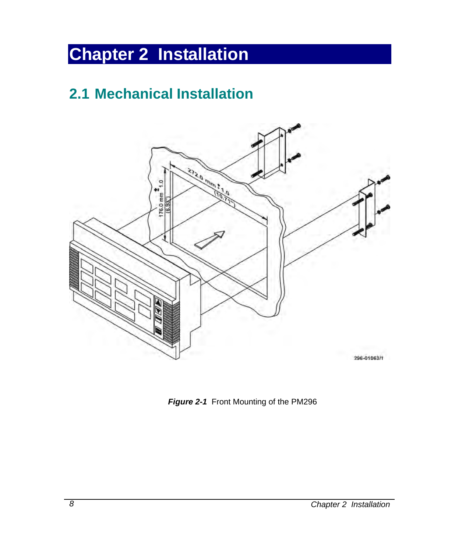## **Chapter 2 Installation**

## **2.1 Mechanical Installation**



*Figure 2-1* Front Mounting of the PM296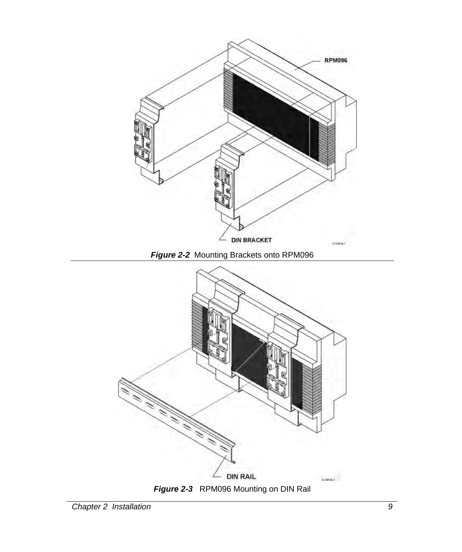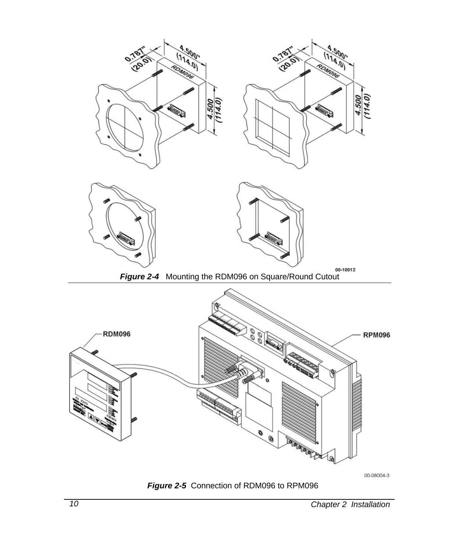

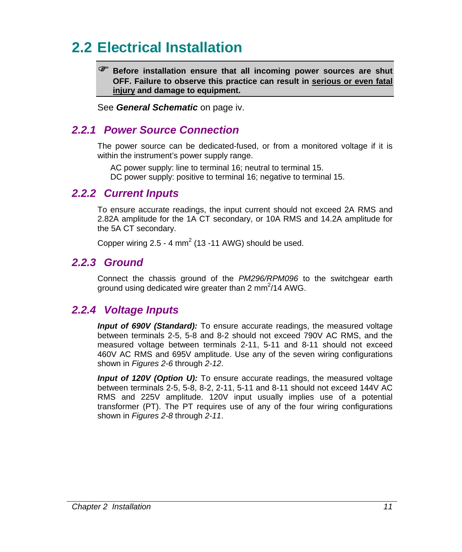## **2.2 Electrical Installation**

) **Before installation ensure that all incoming power sources are shut OFF. Failure to observe this practice can result in serious or even fatal injury and damage to equipment.** 

See *General Schematic* on page iv.

## *2.2.1 Power Source Connection*

The power source can be dedicated-fused, or from a monitored voltage if it is within the instrument's power supply range.

AC power supply: line to terminal 16; neutral to terminal 15. DC power supply: positive to terminal 16; negative to terminal 15.

## *2.2.2 Current Inputs*

To ensure accurate readings, the input current should not exceed 2A RMS and 2.82A amplitude for the 1A CT secondary, or 10A RMS and 14.2A amplitude for the 5A CT secondary.

Copper wiring  $2.5 - 4$  mm<sup>2</sup> (13 -11 AWG) should be used.

## *2.2.3 Ground*

Connect the chassis ground of the *PM296/RPM096* to the switchgear earth ground using dedicated wire greater than 2 mm $^{2}/14$  AWG.

## *2.2.4 Voltage Inputs*

*Input of 690V (Standard):* To ensure accurate readings, the measured voltage between terminals 2-5, 5-8 and 8-2 should not exceed 790V AC RMS, and the measured voltage between terminals 2-11, 5-11 and 8-11 should not exceed 460V AC RMS and 695V amplitude. Use any of the seven wiring configurations shown in *Figures 2-6* through *2-12*.

*Input of 120V (Option U):* To ensure accurate readings, the measured voltage between terminals 2-5, 5-8, 8-2, 2-11, 5-11 and 8-11 should not exceed 144V AC RMS and 225V amplitude. 120V input usually implies use of a potential transformer (PT). The PT requires use of any of the four wiring configurations shown in *Figures 2-8* through *2-11*.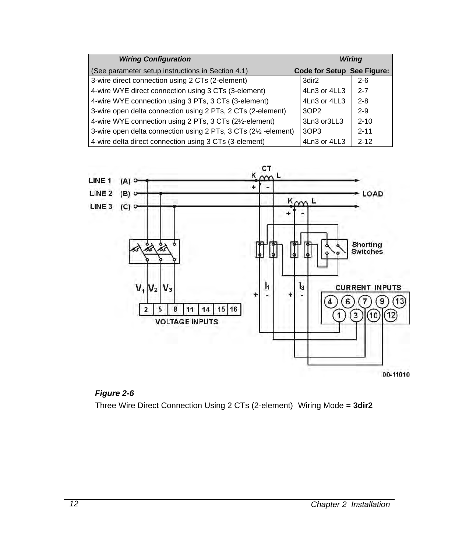| <b>Wiring Configuration</b>                                      |                            | Wiring   |
|------------------------------------------------------------------|----------------------------|----------|
| (See parameter setup instructions in Section 4.1)                | Code for Setup See Figure: |          |
| 3-wire direct connection using 2 CTs (2-element)                 | 3dir2                      | $2 - 6$  |
| 4-wire WYE direct connection using 3 CTs (3-element)             | 4Ln3 or 4LL3               | $2 - 7$  |
| 4-wire WYE connection using 3 PTs, 3 CTs (3-element)             | 4Ln3 or 4LL3               | $2 - 8$  |
| 3-wire open delta connection using 2 PTs, 2 CTs (2-element)      | 30P <sub>2</sub>           | $2-9$    |
| 4-wire WYE connection using 2 PTs, 3 CTs (21/2-element)          | 3Ln3 or3LL3                | $2 - 10$ |
| 3-wire open delta connection using 2 PTs, 3 CTs (21/2 - element) | 3OP3                       | $2 - 11$ |
| 4-wire delta direct connection using 3 CTs (3-element)           | 4Ln3 or 4LL3               | $2 - 12$ |





Three Wire Direct Connection Using 2 CTs (2-element) Wiring Mode *=* **3dir2**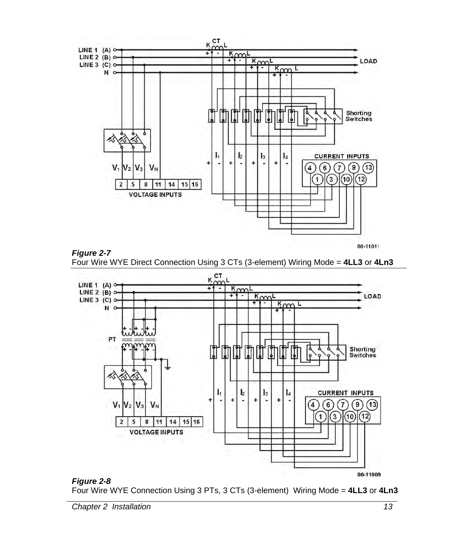



00-11011





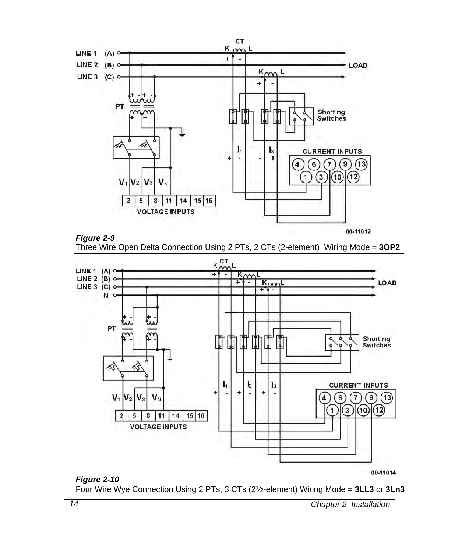

*Figure 2-9*  Three Wire Open Delta Connection Using 2 PTs, 2 CTs (2-element) Wiring Mode = **3OP2**



### *Figure 2-10*

Four Wire Wye Connection Using 2 PTs, 3 CTs (2½-element) Wiring Mode = **3LL3** or **3Ln3**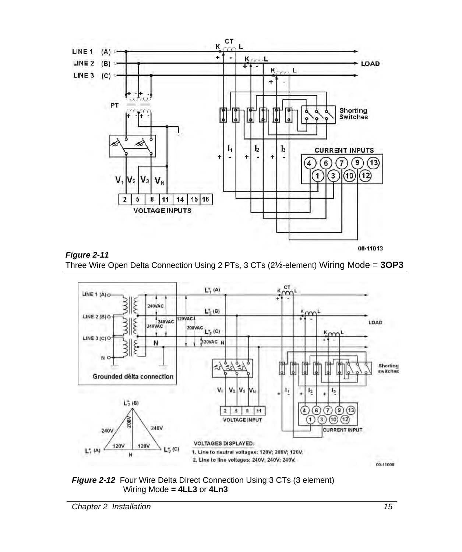





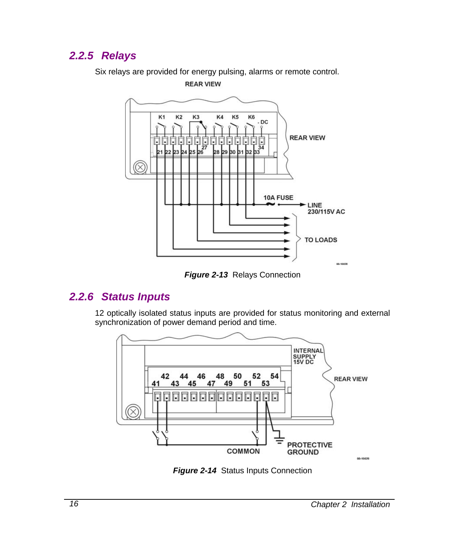## *2.2.5 Relays*

Six relays are provided for energy pulsing, alarms or remote control. **REAR VIEW** 



*Figure 2-13* Relays Connection

## *2.2.6 Status Inputs*

12 optically isolated status inputs are provided for status monitoring and external synchronization of power demand period and time.



*Figure 2-14* Status Inputs Connection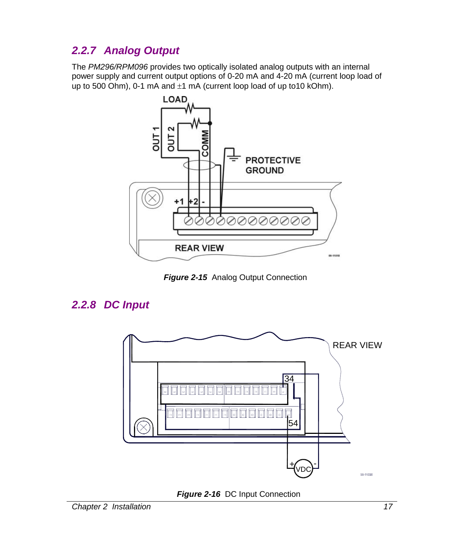## *2.2.7 Analog Output*

The *PM296/RPM096* provides two optically isolated analog outputs with an internal power supply and current output options of 0-20 mA and 4-20 mA (current loop load of up to 500 Ohm), 0-1 mA and  $\pm$ 1 mA (current loop load of up to 10 kOhm).



**Figure 2-15** Analog Output Connection

## *2.2.8 DC Input*



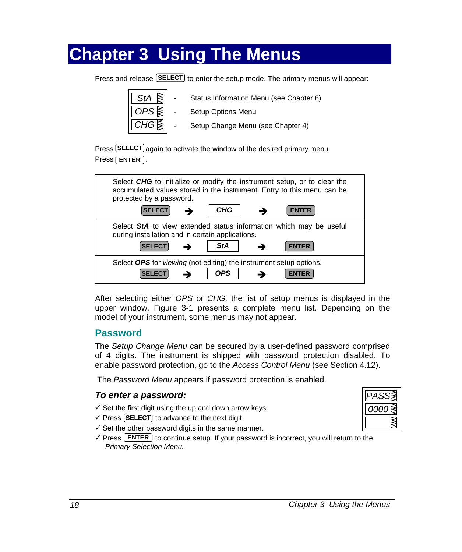## **Chapter 3 Using The Menus**

Press and release **SELECT** to enter the setup mode. The primary menus will appear:

- Setup Options Menu
- Setup Change Menu (see Chapter 4)

Status Information Menu (see Chapter 6)

Press **SELECT** again to activate the window of the desired primary menu. Press **ENTER** .

| Select CHG to initialize or modify the instrument setup, or to clear the<br>accumulated values stored in the instrument. Entry to this menu can be<br>protected by a password. |
|--------------------------------------------------------------------------------------------------------------------------------------------------------------------------------|
| CHG<br><b>SELECT</b><br><b>ENTER</b>                                                                                                                                           |
| Select StA to view extended status information which may be useful<br>during installation and in certain applications.                                                         |
| <b>StA</b><br><b>SELECT</b><br><b>ENTER</b>                                                                                                                                    |
| Select OPS for viewing (not editing) the instrument setup options.<br><b>OPS</b><br><b>ENTER</b>                                                                               |

After selecting either *OPS* or *CHG,* the list of setup menus is displayed in the upper window. Figure 3-1 presents a complete menu list. Depending on the model of your instrument, some menus may not appear.

## **Password**

The *Setup Change Menu* can be secured by a user-defined password comprised of 4 digits. The instrument is shipped with password protection disabled. To enable password protection, go to the *Access Control Menu* (see Section 4.12).

The *Password Menu* appears if password protection is enabled.

## *To enter a password:*

- $\checkmark$  Set the first digit using the up and down arrow keys.
- $\checkmark$  Press [SELECT] to advance to the next digit.
- $\checkmark$  Set the other password digits in the same manner.
- $\checkmark$  Press  $\text{ENTER}$  to continue setup. If your password is incorrect, you will return to the *Primary Selection Menu.*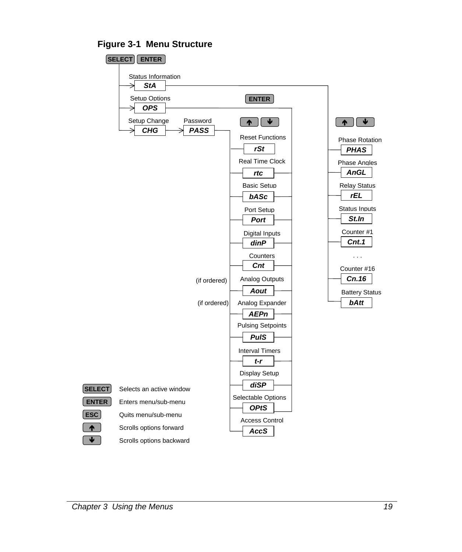**Figure 3-1 Menu Structure** 

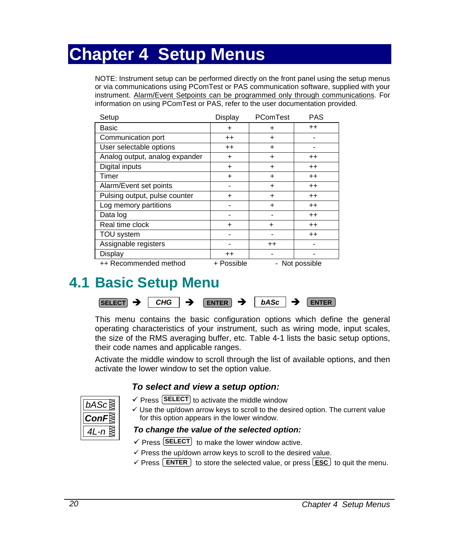## **Chapter 4 Setup Menus**

NOTE: Instrument setup can be performed directly on the front panel using the setup menus or via communications using PComTest or PAS communication software, supplied with your instrument. Alarm/Event Setpoints can be programmed only through communications. For information on using PComTest or PAS, refer to the user documentation provided.

| Setup                          | Display    | PComTest  | <b>PAS</b>   |
|--------------------------------|------------|-----------|--------------|
| Basic                          | +          | +         | $^{++}$      |
| Communication port             | $^{++}$    | $\ddot{}$ |              |
| User selectable options        | $^{++}$    | $\ddot{}$ |              |
| Analog output, analog expander | $\ddot{}$  | $\ddot{}$ | $^{++}$      |
| Digital inputs                 | $\ddot{}$  | +         | $^{++}$      |
| Timer                          | $\ddot{}$  | $\ddot{}$ | $^{++}$      |
| Alarm/Event set points         |            | $\ddot{}$ | $^{++}$      |
| Pulsing output, pulse counter  | $\ddot{}$  | $\ddot{}$ | $++$         |
| Log memory partitions          |            | $\ddot{}$ | $^{++}$      |
| Data log                       |            |           | $++$         |
| Real time clock                | $\ddot{}$  | ٠         | $^{++}$      |
| TOU system                     |            |           | $^{++}$      |
| Assignable registers           |            | $++$      |              |
| Display                        | $++$       |           |              |
| ++ Recommended method          | + Possible |           | Not possible |

## **4.1 Basic Setup Menu**



This menu contains the basic configuration options which define the general operating characteristics of your instrument, such as wiring mode, input scales, the size of the RMS averaging buffer, etc. Table 4-1 lists the basic setup options, their code names and applicable ranges.

Activate the middle window to scroll through the list of available options, and then activate the lower window to set the option value.

### *To select and view a setup option:*

| on |
|----|
|    |

- $\checkmark$  Press **SELECT** to activate the middle window
- $\checkmark$  Use the up/down arrow keys to scroll to the desired option. The current value for this option appears in the lower window.

### *To change the value of the selected option:*

- $\checkmark$  Press **SELECT** to make the lower window active.
- $\checkmark$  Press the up/down arrow keys to scroll to the desired value.
- $\checkmark$  Press **ENTER** to store the selected value, or press **ESC** to quit the menu.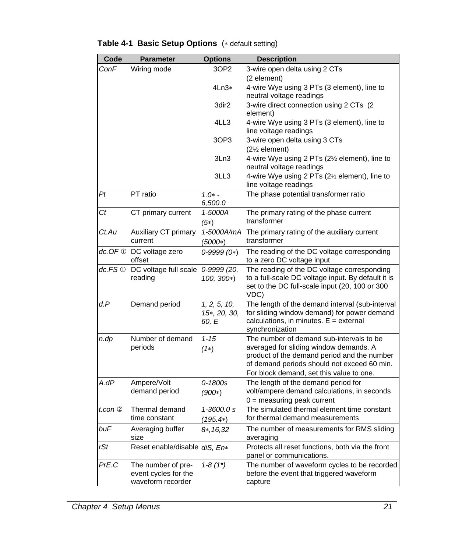| Code              | <b>Parameter</b>                            | <b>Options</b>             | <b>Description</b>                                                                      |
|-------------------|---------------------------------------------|----------------------------|-----------------------------------------------------------------------------------------|
| ConF              | Wiring mode                                 | 3OP2                       | 3-wire open delta using 2 CTs                                                           |
|                   |                                             |                            | (2 element)                                                                             |
|                   |                                             | $4$ Ln $3*$                | 4-wire Wye using 3 PTs (3 element), line to                                             |
|                   |                                             |                            | neutral voltage readings                                                                |
|                   |                                             | 3dir <sub>2</sub>          | 3-wire direct connection using 2 CTs (2)                                                |
|                   |                                             |                            | element)                                                                                |
|                   |                                             | 4LL3                       | 4-wire Wye using 3 PTs (3 element), line to<br>line voltage readings                    |
|                   |                                             | 3OP3                       | 3-wire open delta using 3 CTs                                                           |
|                   |                                             |                            | (21% element)                                                                           |
|                   |                                             | 3Ln3                       | 4-wire Wye using 2 PTs (21/2 element), line to                                          |
|                   |                                             |                            | neutral voltage readings                                                                |
|                   |                                             | 3LL3                       | 4-wire Wye using 2 PTs (21/2 element), line to                                          |
|                   |                                             |                            | line voltage readings                                                                   |
| Ρt                | PT ratio                                    | $1.0* -$                   | The phase potential transformer ratio                                                   |
|                   |                                             | 6,500.0                    |                                                                                         |
| Сt                | CT primary current                          | 1-5000A                    | The primary rating of the phase current<br>transformer                                  |
|                   |                                             | $(5*)$                     |                                                                                         |
| Ct.Au             | Auxiliary CT primary<br>current             | 1-5000A/mA                 | The primary rating of the auxiliary current<br>transformer                              |
|                   |                                             | $(5000*)$                  |                                                                                         |
|                   | $dc$ . OF $\odot$ DC voltage zero<br>offset | $0-9999(0*)$               | The reading of the DC voltage corresponding<br>to a zero DC voltage input               |
| dc.FS $\mathbb O$ | DC voltage full scale 0-9999 (20,           |                            | The reading of the DC voltage corresponding                                             |
|                   | reading                                     | 100, 300*)                 | to a full-scale DC voltage input. By default it is                                      |
|                   |                                             |                            | set to the DC full-scale input (20, 100 or 300                                          |
|                   |                                             |                            | VDC)                                                                                    |
| d.P               | Demand period                               | 1, 2, 5, 10,               | The length of the demand interval (sub-interval                                         |
|                   |                                             | 15*, 20, 30,               | for sliding window demand) for power demand<br>calculations, in minutes. $E =$ external |
|                   |                                             | 60, E                      | synchronization                                                                         |
| n.dp              | Number of demand                            | $1 - 15$                   | The number of demand sub-intervals to be                                                |
|                   | periods                                     | $(1*)$                     | averaged for sliding window demands. A                                                  |
|                   |                                             |                            | product of the demand period and the number                                             |
|                   |                                             |                            | of demand periods should not exceed 60 min.                                             |
|                   |                                             |                            | For block demand, set this value to one.                                                |
| A.dP              | Ampere/Volt                                 | 0-1800s                    | The length of the demand period for                                                     |
|                   | demand period                               | $(900*)$                   | volt/ampere demand calculations, in seconds                                             |
| t.con $@$         | Thermal demand                              | 1-3600.0 s                 | $0 =$ measuring peak current<br>The simulated thermal element time constant             |
|                   | time constant                               |                            | for thermal demand measurements                                                         |
| buF               | Averaging buffer                            | $(195.4*)$<br>$8*, 16, 32$ | The number of measurements for RMS sliding                                              |
|                   | size                                        |                            | averaging                                                                               |
| rSt               | Reset enable/disable diS, En*               |                            | Protects all reset functions, both via the front                                        |
|                   |                                             |                            | panel or communications.                                                                |
| PrE.C             | The number of pre-                          | $1 - 8(1^*)$               | The number of waveform cycles to be recorded                                            |
|                   | event cycles for the                        |                            | before the event that triggered waveform                                                |
|                   | waveform recorder                           |                            | capture                                                                                 |

## **Table 4-1 Basic Setup Options** (∗ default setting)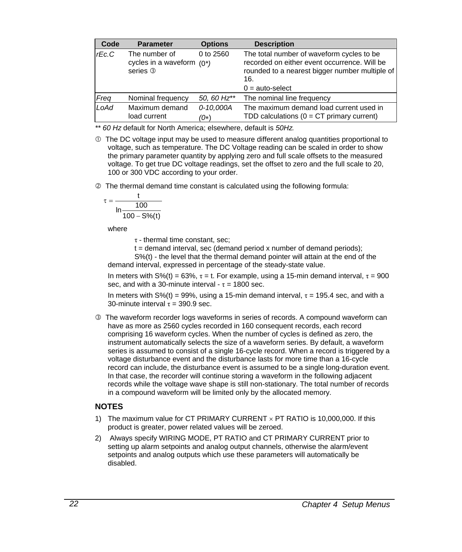| Code           | <b>Parameter</b>                                                                  | <b>Options</b>      | <b>Description</b>                                                                                                                                 |  |  |
|----------------|-----------------------------------------------------------------------------------|---------------------|----------------------------------------------------------------------------------------------------------------------------------------------------|--|--|
| $r\epsilon$ .C | The number of<br>0 to 2560<br>cycles in a waveform $(0^*)$<br>series <sup>3</sup> |                     | The total number of waveform cycles to be<br>recorded on either event occurrence. Will be<br>rounded to a nearest bigger number multiple of<br>16. |  |  |
|                |                                                                                   |                     | $0 = auto-select$                                                                                                                                  |  |  |
| Freq           | Nominal frequency                                                                 | 50, 60 Hz**         | The nominal line frequency                                                                                                                         |  |  |
| LoAd           | Maximum demand<br>load current                                                    | 0-10.000A<br>$(0*)$ | The maximum demand load current used in<br>TDD calculations ( $0 = CT$ primary current)                                                            |  |  |

*\*\* 60 Hz* default for North America; elsewhere, default is *50Hz.*

 $\Phi$  The DC voltage input may be used to measure different analog quantities proportional to voltage, such as temperature. The DC Voltage reading can be scaled in order to show the primary parameter quantity by applying zero and full scale offsets to the measured voltage. To get true DC voltage readings, set the offset to zero and the full scale to 20, 100 or 300 VDC according to your order.

 $\oslash$  The thermal demand time constant is calculated using the following formula:

$$
\tau=\frac{t}{\ln\frac{100}{100-S\% (t)}}
$$

where

 $\tau$  - thermal time constant, sec:

 $t =$  demand interval, sec (demand period x number of demand periods);

 S%(t) - the level that the thermal demand pointer will attain at the end of the demand interval, expressed in percentage of the steady-state value.

In meters with S%(t) = 63%,  $\tau$  = t. For example, using a 15-min demand interval,  $\tau$  = 900 sec, and with a 30-minute interval -  $\tau$  = 1800 sec.

In meters with S%(t) = 99%, using a 15-min demand interval,  $\tau$  = 195.4 sec, and with a 30-minute interval  $\tau = 390.9$  sec.

 $\circledcirc$  The waveform recorder logs waveforms in series of records. A compound waveform can have as more as 2560 cycles recorded in 160 consequent records, each record comprising 16 waveform cycles. When the number of cycles is defined as zero, the instrument automatically selects the size of a waveform series. By default, a waveform series is assumed to consist of a single 16-cycle record. When a record is triggered by a voltage disturbance event and the disturbance lasts for more time than a 16-cycle record can include, the disturbance event is assumed to be a single long-duration event. In that case, the recorder will continue storing a waveform in the following adjacent records while the voltage wave shape is still non-stationary. The total number of records in a compound waveform will be limited only by the allocated memory.

### **NOTES**

- 1) The maximum value for CT PRIMARY CURRENT × PT RATIO is 10,000,000. If this product is greater, power related values will be zeroed.
- 2)Always specify WIRING MODE, PT RATIO and CT PRIMARY CURRENT prior to setting up alarm setpoints and analog output channels, otherwise the alarm/event setpoints and analog outputs which use these parameters will automatically be disabled.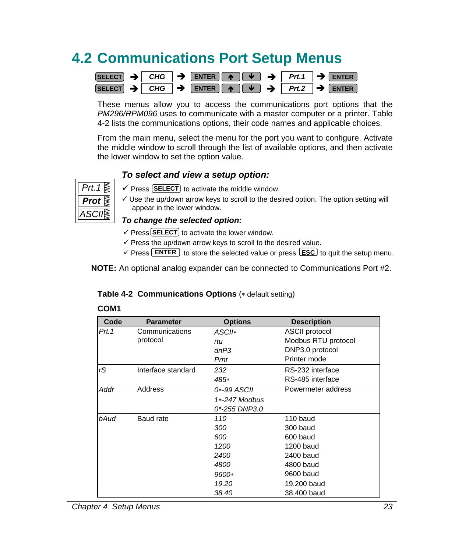## **4.2 Communications Port Setup Menus**

|  | SELECT $\rightarrow$ CHG $\rightarrow$ ENTER $\rightarrow$ $\rightarrow$ Prt.1 $\rightarrow$ ENTER |  |  |
|--|----------------------------------------------------------------------------------------------------|--|--|
|  | SELECT $\rightarrow$ CHG $\rightarrow$ ENTER $\rightarrow$ $\rightarrow$ Prt.2 $\rightarrow$ ENTER |  |  |

These menus allow you to access the communications port options that the *PM296/RPM096* uses to communicate with a master computer or a printer. Table 4-2 lists the communications options, their code names and applicable choices.

From the main menu, select the menu for the port you want to configure. Activate the middle window to scroll through the list of available options, and then activate the lower window to set the option value.

### *To select and view a setup option:*



- $\checkmark$  Press **SELECT** to activate the middle window.
- $\checkmark$  Use the up/down arrow keys to scroll to the desired option. The option setting will appear in the lower window.

#### *To change the selected option:*

- $\checkmark$  Press **SELECT** to activate the lower window.
- $\checkmark$  Press the up/down arrow keys to scroll to the desired value.
- $\checkmark$  Press **ENTER** to store the selected value or press **ESC** to quit the setup menu.

**NOTE:** An optional analog expander can be connected to Communications Port #2.

#### **Table 4-2 Communications Options** (∗ default setting)

| Code   | <b>Parameter</b>   | <b>Options</b>  | <b>Description</b>    |
|--------|--------------------|-----------------|-----------------------|
| Prt. 1 | Communications     | ASCII*          | <b>ASCII protocol</b> |
|        | protocol           | rtu             | Modbus RTU protocol   |
|        |                    | dnP3            | DNP3.0 protocol       |
|        |                    | Prnt            | Printer mode          |
| rS     | Interface standard | 232             | RS-232 interface      |
|        |                    | 485*            | RS-485 interface      |
| Addr   | Address            | 0*-99 ASCII     | Powermeter address    |
|        |                    | $1*-247$ Modbus |                       |
|        |                    | 0*-255 DNP3.0   |                       |
| bAud   | Baud rate          | 110             | 110 baud              |
|        | 300                | 300 baud        |                       |
|        |                    | 600             | 600 baud              |
|        |                    | 1200            | 1200 baud             |
|        |                    | 2400            | 2400 baud             |
|        |                    | 4800            | 4800 baud             |
|        |                    | 9600*           | 9600 baud             |
|        |                    | 19.20           | 19,200 baud           |
|        |                    | 38.40           | 38,400 baud           |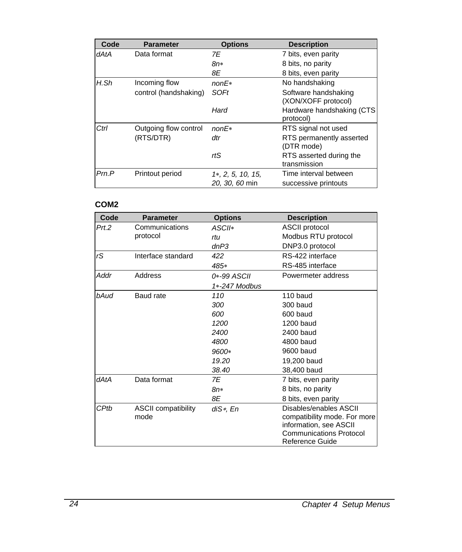| Code  | <b>Parameter</b>      | <b>Options</b>    | <b>Description</b>                          |
|-------|-----------------------|-------------------|---------------------------------------------|
| dAtA  | Data format           | 7E                | 7 bits, even parity                         |
|       |                       | $8n*$             | 8 bits, no parity                           |
|       |                       | 8E                | 8 bits, even parity                         |
| H.Sh  | Incoming flow         | $nonE*$           | No handshaking                              |
|       | control (handshaking) | SOFt              | Software handshaking<br>(XON/XOFF protocol) |
|       |                       | Hard              | Hardware handshaking (CTS<br>protocol)      |
| Ctrl  | Outgoing flow control | $nonE*$           | RTS signal not used                         |
|       | (RTS/DTR)             | dtr               | RTS permanently asserted<br>(DTR mode)      |
|       |                       | rtS               | RTS asserted during the<br>transmission     |
| Prn.P | Printout period       | 1*, 2, 5, 10, 15, | Time interval between                       |
|       |                       | 20, 30, 60 min    | successive printouts                        |

## **COM2**

| Code  | <b>Parameter</b>           | <b>Options</b> | <b>Description</b>             |
|-------|----------------------------|----------------|--------------------------------|
| Prt.2 | Communications             | $ASCII*$       | <b>ASCII protocol</b>          |
|       | protocol                   | rtu            | Modbus RTU protocol            |
|       |                            | dnP3           | DNP3.0 protocol                |
| rS    | Interface standard         | 422            | RS-422 interface               |
|       |                            | 485*           | RS-485 interface               |
| Addr  | Address                    | 0*-99 ASCII    | Powermeter address             |
|       |                            | 1*-247 Modbus  |                                |
| bAud  | Baud rate                  | 110            | 110 baud                       |
|       |                            | 300            | 300 baud                       |
|       |                            | 600            | 600 baud                       |
|       |                            | 1200           | 1200 baud                      |
|       |                            | 2400           | 2400 baud                      |
|       |                            | 4800           | 4800 baud                      |
|       |                            | 9600*          | 9600 baud                      |
|       |                            | 19.20          | 19,200 baud                    |
|       |                            | 38.40          | 38,400 baud                    |
| dAtA  | Data format                | 7E             | 7 bits, even parity            |
|       |                            | 8n*            | 8 bits, no parity              |
|       |                            | 8E             | 8 bits, even parity            |
| CPtb  | <b>ASCII compatibility</b> | diS*, En       | Disables/enables ASCII         |
|       | mode                       |                | compatibility mode. For more   |
|       |                            |                | information, see ASCII         |
|       |                            |                | <b>Communications Protocol</b> |
|       |                            |                | Reference Guide                |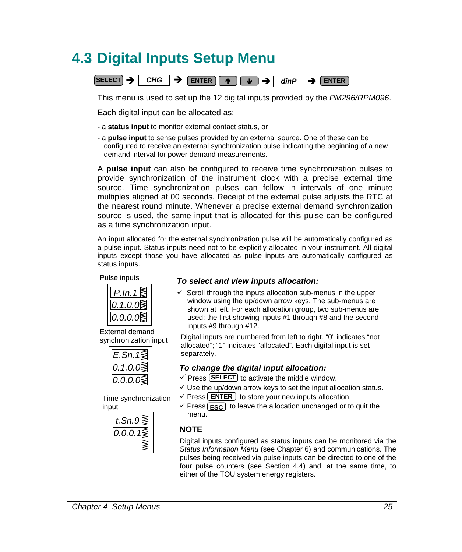## **4.3 Digital Inputs Setup Menu**



This menu is used to set up the 12 digital inputs provided by the *PM296/RPM096*.

Each digital input can be allocated as:

- a **status input** to monitor external contact status, or
- a **pulse input** to sense pulses provided by an external source. One of these can be configured to receive an external synchronization pulse indicating the beginning of a new demand interval for power demand measurements.

A **pulse input** can also be configured to receive time synchronization pulses to provide synchronization of the instrument clock with a precise external time source. Time synchronization pulses can follow in intervals of one minute multiples aligned at 00 seconds. Receipt of the external pulse adjusts the RTC at the nearest round minute. Whenever a precise external demand synchronization source is used, the same input that is allocated for this pulse can be configured as a time synchronization input.

An input allocated for the external synchronization pulse will be automatically configured as a pulse input. Status inputs need not to be explicitly allocated in your instrument. All digital inputs except those you have allocated as pulse inputs are automatically configured as status inputs.

#### Pulse inputs



External demand synchronization input

| 7<br>Ü      |
|-------------|
| $J_{\iota}$ |

Time synchronization input

|           | menu        |
|-----------|-------------|
| 0.0.0.1 ≋ | <b>NOTE</b> |
|           | Digital i   |
|           | Status I    |

### *To select and view inputs allocation:*

 $\checkmark$  Scroll through the inputs allocation sub-menus in the upper window using the up/down arrow keys. The sub-menus are shown at left. For each allocation group, two sub-menus are used: the first showing inputs #1 through #8 and the second inputs #9 through #12.

Digital inputs are numbered from left to right. "0" indicates "not allocated"; "1" indicates "allocated". Each digital input is set separately.

### *To change the digital input allocation:*

- $\checkmark$  Press  $\text{SELECT}$  to activate the middle window.
- $\checkmark$  Use the up/down arrow keys to set the input allocation status.
- $\checkmark$  Press **ENTER**  $\checkmark$  to store your new inputs allocation.
- $\checkmark$  Press  $\text{ESC}$  to leave the allocation unchanged or to quit the menu.

Digital inputs configured as status inputs can be monitored via the *Status Information Menu* (see Chapter 6) and communications. The pulses being received via pulse inputs can be directed to one of the four pulse counters (see Section 4.4) and, at the same time, to either of the TOU system energy registers.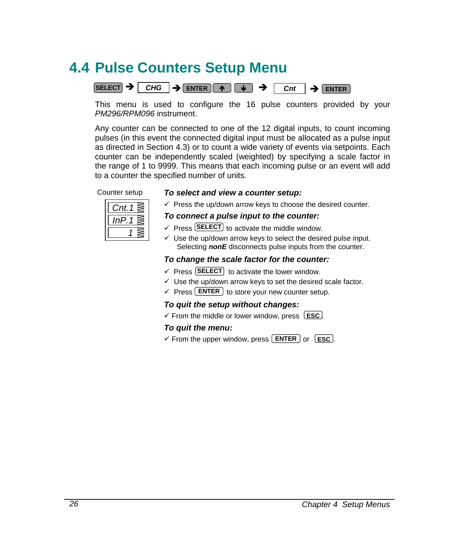## <span id="page-33-0"></span>**4.4 Pulse Counters Setup Menu**



This menu is used to configure the 16 pulse counters provided by your *PM296/RPM096* instrument.

Any counter can be connected to one of the 12 digital inputs, to count incoming pulses (in this event the connected digital input must be allocated as a pulse input as directed in Section 4.3) or to count a wide variety of events via setpoints. Each counter can be independently scaled (weighted) by specifying a scale factor in the range of 1 to 9999. This means that each incoming pulse or an event will add to a counter the specified number of units.

### Counter setup *To select and view a counter setup:*



 $\checkmark$  Press the up/down arrow keys to choose the desired counter.

#### *To connect a pulse input to the counter:*

- $\checkmark$  Press **SELECT** to activate the middle window.
- $\checkmark$  Use the up/down arrow keys to select the desired pulse input. Selecting **nonE** disconnects pulse inputs from the counter.

### *To change the scale factor for the counter:*

- $\checkmark$  Press **SELECT** to activate the lower window.
- $\checkmark$  Use the up/down arrow keys to set the desired scale factor.
- $\checkmark$  Press **ENTER** to store your new counter setup.

### *To quit the setup without changes:*

✓ From the middle or lower window, press LESC

### *To quit the menu:*

✓ From the upper window, press **ENTER** or **LESC**.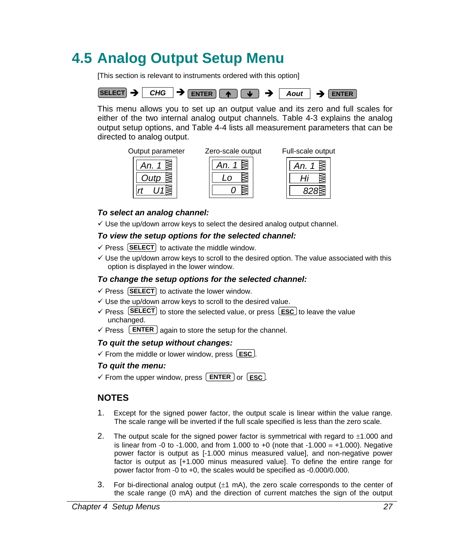## <span id="page-34-0"></span>**4.5 Analog Output Setup Menu**

[This section is relevant to instruments ordered with this option]



This menu allows you to set up an output value and its zero and full scales for either of the two internal analog output channels. Table 4-3 explains the analog output setup options, and Table 4-4 lists all measurement parameters that can be directed to analog output.









#### *To select an analog channel:*

 $\checkmark$  Use the up/down arrow keys to select the desired analog output channel.

#### *To view the setup options for the selected channel:*

- $\checkmark$  Press  $\text{[SELECT]}$  to activate the middle window.
- $\checkmark$  Use the up/down arrow keys to scroll to the desired option. The value associated with this option is displayed in the lower window.

#### *To change the setup options for the selected channel:*

- $\checkmark$  Press (SELECT) to activate the lower window.
- $\checkmark$  Use the up/down arrow keys to scroll to the desired value.
- $\checkmark$  Press **SELECT** to store the selected value, or press  $\text{Lesc}$  to leave the value unchanged.
- $\checkmark$  Press **LENTER** again to store the setup for the channel.

#### *To quit the setup without changes:*

 $\checkmark$  From the middle or lower window, press  $\textsf{LSC}$ .

#### *To quit the menu:*

 $\checkmark$  From the upper window, press  $\text{ENTER}$  or  $\text{EST}$ .

## **NOTES**

- 1. Except for the signed power factor, the output scale is linear within the value range. The scale range will be inverted if the full scale specified is less than the zero scale.
- 2. The output scale for the signed power factor is symmetrical with regard to  $\pm 1.000$  and is linear from -0 to -1.000, and from 1.000 to +0 (note that -1.000  $\equiv$  +1.000). Negative power factor is output as [-1.000 minus measured value], and non-negative power factor is output as [+1.000 minus measured value]. To define the entire range for power factor from -0 to +0, the scales would be specified as -0.000/0.000.
- 3. For bi-directional analog output  $(\pm 1 \text{ mA})$ , the zero scale corresponds to the center of the scale range (0 mA) and the direction of current matches the sign of the output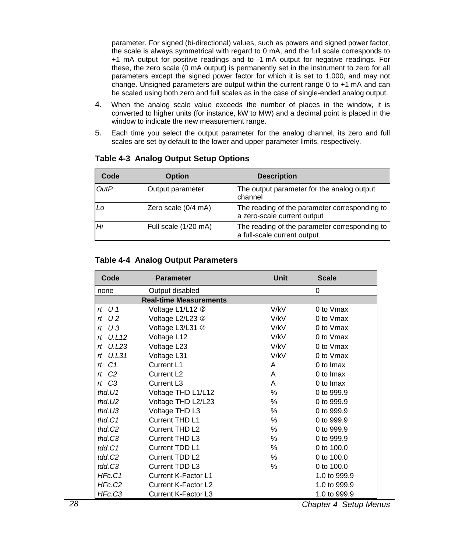parameter. For signed (bi-directional) values, such as powers and signed power factor, the scale is always symmetrical with regard to 0 mA, and the full scale corresponds to +1 mA output for positive readings and to -1 mA output for negative readings. For these, the zero scale (0 mA output) is permanently set in the instrument to zero for all parameters except the signed power factor for which it is set to 1.000, and may not change. Unsigned parameters are output within the current range 0 to +1 mA and can be scaled using both zero and full scales as in the case of single-ended analog output.

- 4. When the analog scale value exceeds the number of places in the window, it is converted to higher units (for instance, kW to MW) and a decimal point is placed in the window to indicate the new measurement range.
- 5. Each time you select the output parameter for the analog channel, its zero and full scales are set by default to the lower and upper parameter limits, respectively.

| Code | <b>Option</b>        | <b>Description</b>                                                           |
|------|----------------------|------------------------------------------------------------------------------|
| OutP | Output parameter     | The output parameter for the analog output<br>channel                        |
| Lo   | Zero scale (0/4 mA)  | The reading of the parameter corresponding to<br>a zero-scale current output |
| Hi   | Full scale (1/20 mA) | The reading of the parameter corresponding to<br>a full-scale current output |

#### **Table 4-3 Analog Output Setup Options**

#### **Table 4-4 Analog Output Parameters**

| Code                          | <b>Parameter</b>           | <b>Unit</b> | <b>Scale</b>  |
|-------------------------------|----------------------------|-------------|---------------|
| none                          | Output disabled            |             | 0             |
| <b>Real-time Measurements</b> |                            |             |               |
| $rt$ U 1                      | Voltage L1/L12 2           | V/kV        | 0 to Vmax     |
| $rt$ U2                       | Voltage L2/L23 2           | V/kV        | 0 to Vmax     |
| rt U3                         | Voltage L3/L31 2           | V/kV        | 0 to Vmax     |
| $rt$ U.L12                    | Voltage L12                | V/kV        | 0 to Vmax     |
| rt U.L23                      | Voltage L23                | V/kV        | 0 to Vmax     |
| $rt$ U.L31                    | Voltage L31                | V/kV        | 0 to Vmax     |
| $rt$ $C1$                     | Current L1                 | A           | 0 to Imax     |
| $rt$ $C2$                     | Current L <sub>2</sub>     | A           | $0$ to $lmax$ |
| $rt$ $C3$                     | Current L <sub>3</sub>     | A           | 0 to Imax     |
| thd. $U1$                     | Voltage THD L1/L12         | ℅           | 0 to 999.9    |
| thd. $U2$                     | Voltage THD L2/L23         | ℅           | 0 to 999.9    |
| thd. $U3$                     | Voltage THD L3             | ℅           | 0 to 999.9    |
| thd. $C1$                     | Current THD L1             | %           | 0 to 999.9    |
| thd.C2                        | Current THD L2             | %           | 0 to 999.9    |
| thd.C3                        | Current THD L3             | %           | 0 to 999.9    |
| tdd.C1                        | Current TDD L1             | %           | 0 to 100.0    |
| tdd.C2                        | Current TDD L2             | %           | 0 to 100.0    |
| tdd.C3                        | Current TDD L3             | %           | 0 to 100.0    |
| HFc.C1                        | <b>Current K-Factor L1</b> |             | 1.0 to 999.9  |
| HFc.C2                        | Current K-Factor L2        |             | 1.0 to 999.9  |
| HFc.C3                        | Current K-Factor L3        |             | 1.0 to 999.9  |

*28 Chapter 4 Setup Menus*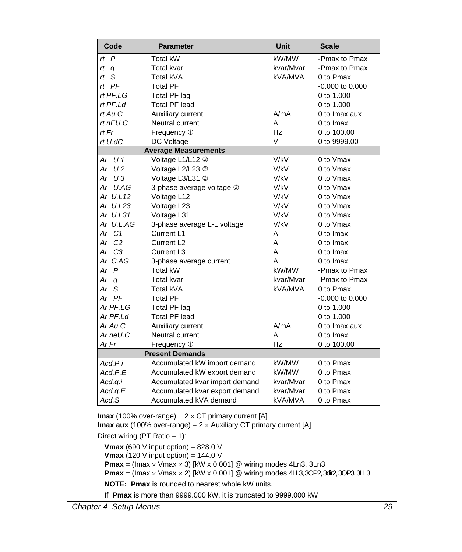| Code                 | <b>Parameter</b>               | <b>Unit</b> | <b>Scale</b>        |
|----------------------|--------------------------------|-------------|---------------------|
| $\overline{P}$<br>rt | <b>Total kW</b>                | kW/MW       | -Pmax to Pmax       |
| rt<br>q              | <b>Total kvar</b>              | kvar/Mvar   | -Pmax to Pmax       |
| S<br>rt              | Total kVA                      | kVA/MVA     | 0 to Pmax           |
| $rt$ $PF$            | <b>Total PF</b>                |             | $-0.000$ to $0.000$ |
| rt PF.LG             | Total PF lag                   |             | 0 to 1.000          |
| rt PF.Ld             | Total PF lead                  |             | 0 to 1,000          |
| rt Au.C              | Auxiliary current              | A/mA        | 0 to Imax aux       |
| rt nEU.C             | Neutral current                | A           | 0 to Imax           |
| rt Fr                | Frequency 1                    | Hz          | 0 to 100,00         |
| rt U.dC              | DC Voltage                     | $\vee$      | 0 to 9999.00        |
|                      | <b>Average Measurements</b>    |             |                     |
| U 1<br>Ar            | Voltage L1/L12 2               | V/kV        | 0 to Vmax           |
| U 2<br>Ar            | Voltage L2/L23 2               | V/kV        | 0 to Vmax           |
| Ar U3                | Voltage L3/L31 2               | V/kV        | 0 to Vmax           |
| U.AG<br>Ar           | 3-phase average voltage 2      | V/kV        | 0 to Vmax           |
| Ar U.L12             | Voltage L12                    | V/kV        | 0 to Vmax           |
| Ar U.L23             | Voltage L23                    | V/kV        | 0 to Vmax           |
| Ar U.L31             | Voltage L31                    | V/kV        | 0 to Vmax           |
| Ar U.L.AG            | 3-phase average L-L voltage    | V/kV        | 0 to Vmax           |
| Ar C1                | Current L1                     | A           | 0 to Imax           |
| Ar C <sub>2</sub>    | Current L <sub>2</sub>         | A           | 0 to Imax           |
| Ar C3                | Current L3                     | A           | 0 to Imax           |
| Ar C.AG              | 3-phase average current        | А           | 0 to Imax           |
| $\overline{P}$<br>Ar | Total kW                       | kW/MW       | -Pmax to Pmax       |
| Ar<br>q              | <b>Total kvar</b>              | kvar/Mvar   | -Pmax to Pmax       |
| Ar<br>S              | Total kVA                      | kVA/MVA     | 0 to Pmax           |
| Ar PF                | <b>Total PF</b>                |             | $-0.000$ to $0.000$ |
| Ar PF.LG             | Total PF lag                   |             | 0 to 1.000          |
| Ar PF.Ld             | <b>Total PF lead</b>           |             | 0 to 1,000          |
| Ar Au.C              | Auxiliary current              | A/mA        | 0 to Imax aux       |
| Ar neU.C             | Neutral current                | Α           | 0 to Imax           |
| Ar Fr                | Frequency 1                    | Hz          | 0 to 100.00         |
|                      | <b>Present Demands</b>         |             |                     |
| Acd.P.i              | Accumulated kW import demand   | kW/MW       | 0 to Pmax           |
| Acd.P.E              | Accumulated kW export demand   | kW/MW       | 0 to Pmax           |
| Acd.q.i              | Accumulated kvar import demand | kvar/Mvar   | 0 to Pmax           |
| Acd.q.E              | Accumulated kvar export demand | kvar/Mvar   | 0 to Pmax           |
| Acd.S                | Accumulated kVA demand         | kVA/MVA     | 0 to Pmax           |

**Imax** (100% over-range) =  $2 \times CT$  primary current [A] **Imax aux** (100% over-range) =  $2 \times$  Auxiliary CT primary current [A]

Direct wiring (PT Ratio = 1):

**Vmax** (690 V input option) =  $828.0$  V **Vmax** (120 V input option) = 144.0 V **Pmax** = (Imax  $\times$  Vmax  $\times$  3) [kW x 0.001] @ wiring modes 4Ln3, 3Ln3 **Pmax** = (Imax  $\times$  Vmax  $\times$  2) [kW x 0.001] @ wiring modes 4LL3, 3OP2, 3dir2, 3OP3, 3LL3 **NOTE: Pmax** is rounded to nearest whole kW units. If **Pmax** is more than 9999.000 kW, it is truncated to 9999.000 kW

*Chapter 4 Setup Menus 29*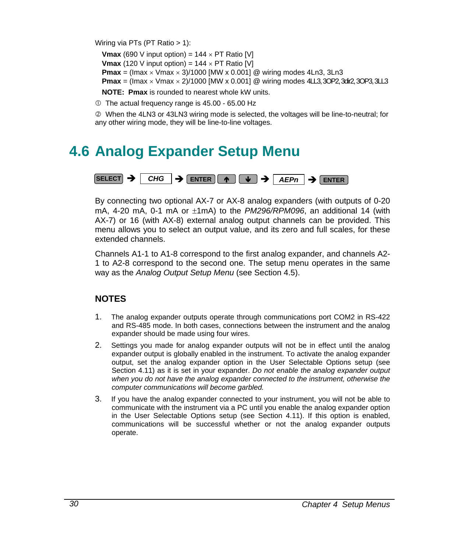Wiring via PTs (PT Ratio > 1):

**Vmax** (690 V input option) =  $144 \times PT$  Ratio [V] **Vmax** (120 V input option) =  $144 \times PT$  Ratio [V] **Pmax** = (Imax  $\times$  Vmax  $\times$  3)/1000 [MW x 0.001] @ wiring modes 4Ln3, 3Ln3 **Pmax** = (Imax  $\times$  Vmax  $\times$  2)/1000 [MW  $\times$  0.001] @ wiring modes 4L3, 3OP2, 3dif2, 3OP3, 3LL3

**NOTE: Pmax** is rounded to nearest whole kW units.

 $O$  The actual frequency range is 45.00 - 65.00 Hz

d When the 4LN3 or 43LN3 wiring mode is selected, the voltages will be line-to-neutral; for any other wiring mode, they will be line-to-line voltages.

## **4.6 Analog Expander Setup Menu**



By connecting two optional AX-7 or AX-8 analog expanders (with outputs of 0-20 mA,  $4-20$  mA,  $0-1$  mA or  $\pm 1$ mA) to the *PM296/RPM096*, an additional 14 (with AX-7) or 16 (with AX-8) external analog output channels can be provided. This menu allows you to select an output value, and its zero and full scales, for these extended channels.

Channels A1-1 to A1-8 correspond to the first analog expander, and channels A2- 1 to A2-8 correspond to the second one. The setup menu operates in the same way as the *Analog Output Setup Menu* (see Section 4.5).

## **NOTES**

- 1. The analog expander outputs operate through communications port COM2 in RS-422 and RS-485 mode. In both cases, connections between the instrument and the analog expander should be made using four wires.
- 2. Settings you made for analog expander outputs will not be in effect until the analog expander output is globally enabled in the instrument. To activate the analog expander output, set the analog expander option in the User Selectable Options setup (see Section 4.11) as it is set in your expander. *Do not enable the analog expander output when you do not have the analog expander connected to the instrument, otherwise the computer communications will become garbled.*
- 3. If you have the analog expander connected to your instrument, you will not be able to communicate with the instrument via a PC until you enable the analog expander option in the User Selectable Options setup (see Section 4.11). If this option is enabled, communications will be successful whether or not the analog expander outputs operate.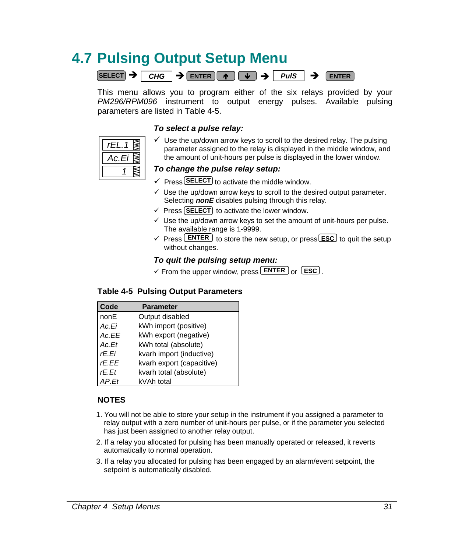## **4.7 Pulsing Output Setup Menu**



This menu allows you to program either of the six relays provided by your *PM296/RPM096* instrument to output energy pulses. Available pulsing parameters are listed in Table 4-5.

### *To select a pulse relay:*

| С. |  |
|----|--|
|    |  |

 $\checkmark$  Use the up/down arrow keys to scroll to the desired relay. The pulsing parameter assigned to the relay is displayed in the middle window, and the amount of unit-hours per pulse is displayed in the lower window.

## *To change the pulse relay setup:*

- $\checkmark$  Press **SELECT** to activate the middle window.
- $\checkmark$  Use the up/down arrow keys to scroll to the desired output parameter. Selecting *nonE* disables pulsing through this relay.
- $\checkmark$  Press [SELECT] to activate the lower window.
- $\checkmark$  Use the up/down arrow keys to set the amount of unit-hours per pulse. The available range is 1-9999.
- $\checkmark$  Press **ENTER** to store the new setup, or press **ESC** to quit the setup without changes.

### *To quit the pulsing setup menu:*

 $\checkmark$  From the upper window, press **ENTER** or **ESC**.

## **Table 4-5 Pulsing Output Parameters**

| Code  | <b>Parameter</b>          |
|-------|---------------------------|
| nonE  | Output disabled           |
| Ac.Ei | kWh import (positive)     |
| Ac.EE | kWh export (negative)     |
| Ac.Et | kWh total (absolute)      |
| rE.Ei | kvarh import (inductive)  |
| rE.EE | kvarh export (capacitive) |
| rE.Et | kvarh total (absolute)    |
| AP Ft | kVAh total                |

## **NOTES**

- 1. You will not be able to store your setup in the instrument if you assigned a parameter to relay output with a zero number of unit-hours per pulse, or if the parameter you selected has just been assigned to another relay output.
- 2. If a relay you allocated for pulsing has been manually operated or released, it reverts automatically to normal operation.
- 3. If a relay you allocated for pulsing has been engaged by an alarm/event setpoint, the setpoint is automatically disabled.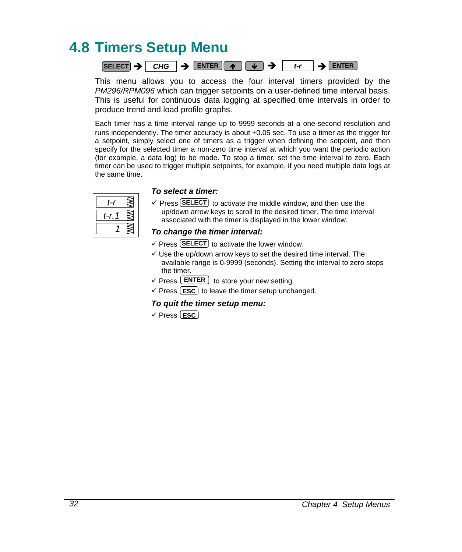## **4.8 Timers Setup Menu**



This menu allows you to access the four interval timers provided by the *PM296/RPM096* which can trigger setpoints on a user-defined time interval basis. This is useful for continuous data logging at specified time intervals in order to produce trend and load profile graphs.

Each timer has a time interval range up to 9999 seconds at a one-second resolution and runs independently. The timer accuracy is about  $\pm 0.05$  sec. To use a timer as the trigger for a setpoint, simply select one of timers as a trigger when defining the setpoint, and then specify for the selected timer a non-zero time interval at which you want the periodic action (for example, a data log) to be made. To stop a timer, set the time interval to zero. Each timer can be used to trigger multiple setpoints, for example, if you need multiple data logs at the same time.

| t-i  |  |
|------|--|
| t-r. |  |
|      |  |

### To select a timer:

 $\checkmark$  Press **SELECT** to activate the middle window, and then use the up/down arrow keys to scroll to the desired timer. The time interval associated with the timer is displayed in the lower window.

#### *To change the timer interval:*

- $\checkmark$  Press **SELECT** to activate the lower window.
- $\checkmark$  Use the up/down arrow keys to set the desired time interval. The available range is 0-9999 (seconds). Setting the interval to zero stops the timer.
- $\checkmark$  Press **ENTER** to store your new setting.
- $\checkmark$  Press **ESC** to leave the timer setup unchanged.

#### *To quit the timer setup menu:*

√ Press <u>LESC</u>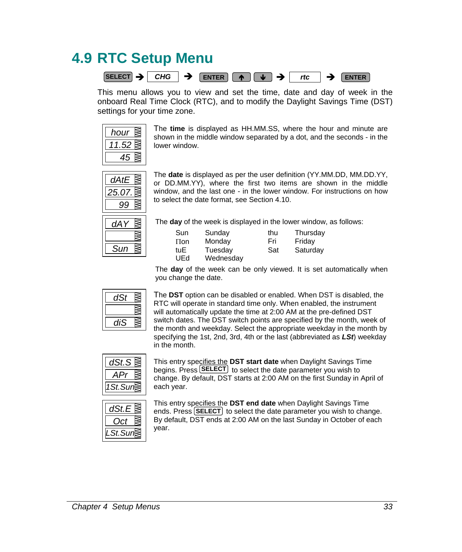## **4.9 RTC Setup Menu**



This menu allows you to view and set the time, date and day of week in the onboard Real Time Clock (RTC), and to modify the Daylight Savings Time (DST) settings for your time zone.



The **time** is displayed as HH.MM.SS, where the hour and minute are shown in the middle window separated by a dot, and the seconds - in the lower window.



The **date** is displayed as per the user definition (YY.MM.DD, MM.DD.YY, or DD.MM.YY), where the first two items are shown in the middle window, and the last one - in the lower window. For instructions on how to select the date format, see Section 4.10.

| 1  |  |
|----|--|
|    |  |
| иn |  |

The **day** of the week is displayed in the lower window, as follows:

| Sun        | Sunday               | thu | Thursday |
|------------|----------------------|-----|----------|
| $\prod$ on | Monday               | Fri | Friday   |
| tuE<br>UEd | Tuesdav<br>Wednesday | Sat | Saturday |

The **day** of the week can be only viewed. It is set automatically when you change the date.

The **DST** option can be disabled or enabled. When DST is disabled, the RTC will operate in standard time only. When enabled, the instrument will automatically update the time at 2:00 AM at the pre-defined DST switch dates. The DST switch points are specified by the month, week of the month and weekday. Select the appropriate weekday in the month by specifying the 1st, 2nd, 3rd, 4th or the last (abbreviated as *LSt*) weekday in the month.



This entry specifies the **DST start date** when Daylight Savings Time begins. Press **SELECT** to select the date parameter you wish to change. By default, DST starts at 2:00 AM on the first Sunday in April of each year.



This entry specifies the **DST end date** when Daylight Savings Time ends. Press **SELECT** to select the date parameter you wish to change. By default, DST ends at 2:00 AM on the last Sunday in October of each year.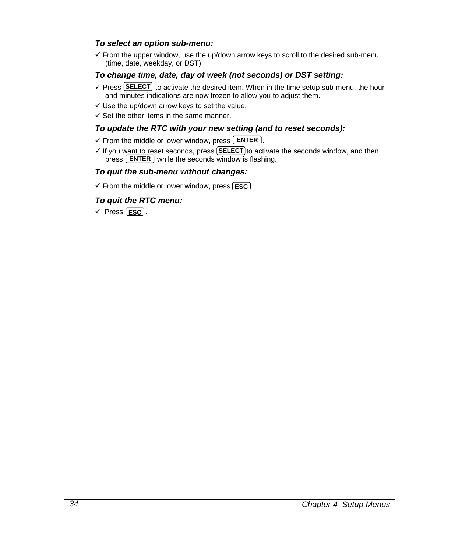#### *To select an option sub-menu:*

 $\checkmark$  From the upper window, use the up/down arrow keys to scroll to the desired sub-menu (time, date, weekday, or DST).

### *To change time, date, day of week (not seconds) or DST setting:*

- $\checkmark$  Press **SELECT** to activate the desired item. When in the time setup sub-menu, the hour and minutes indications are now frozen to allow you to adjust them.
- $\checkmark$  Use the up/down arrow keys to set the value.
- $\checkmark$  Set the other items in the same manner.

#### *To update the RTC with your new setting (and to reset seconds):*

- $\checkmark$  From the middle or lower window, press  $\text{ENTER}$ .
- $\checkmark$  If you want to reset seconds, press **SELECT** to activate the seconds window, and then press  $\lfloor$  **ENTER**  $\rfloor$  while the seconds window is flashing.

#### *To quit the sub-menu without changes:*

 $\checkmark$  From the middle or lower window, press  $\textsf{L}\texttt{esc}$ .

### *To quit the RTC menu:*

√ Press <u>(Esc</u>).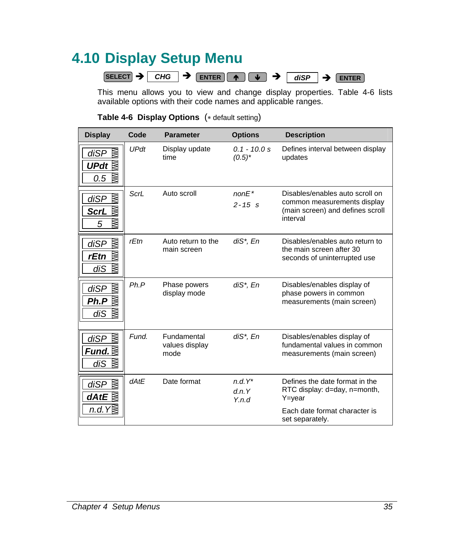## **4.10 Display Setup Menu**

 $\overline{\text{SELECT}}$   $\rightarrow$   $\overline{\text{CHG}}$   $\rightarrow$   $\overline{\text{ENTER}}$   $\rightarrow$   $\overline{\text{GISP}}$   $\rightarrow$   $\overline{\text{ENTER}}$ 

This menu allows you to view and change display properties. Table 4-6 lists available options with their code names and applicable ranges.

|  |  |  | <b>Table 4-6 Display Options</b> (* default setting) |
|--|--|--|------------------------------------------------------|
|--|--|--|------------------------------------------------------|

| <b>Display</b>                             | Code        | <b>Parameter</b>                      | <b>Options</b>               | <b>Description</b>                                                                                             |
|--------------------------------------------|-------------|---------------------------------------|------------------------------|----------------------------------------------------------------------------------------------------------------|
| diSP<br>UPdt $\lvert \rvert$<br>₨<br>0.5   | <b>UPdt</b> | Display update<br>time                | $0.1 - 10.0 s$<br>$(0.5)^*$  | Defines interval between display<br>updates                                                                    |
| ΚW<br>diSP<br><u>ScrL</u><br>ĶΜ<br>5       | ScrL        | Auto scroll                           | $nonE*$<br>$2 - 15$ s        | Disables/enables auto scroll on<br>common measurements display<br>(main screen) and defines scroll<br>interval |
| ΚW<br>diSP<br>ΚW<br>rEtn<br>ΚÑ<br>diS      | rEtn        | Auto return to the<br>main screen     | diS*, En                     | Disables/enables auto return to<br>the main screen after 30<br>seconds of uninterrupted use                    |
| $di\overline{SP}$<br>⊠<br>Ph.P<br>⊠<br>diS | Ph.P        | Phase powers<br>display mode          | diS*, En                     | Disables/enables display of<br>phase powers in common<br>measurements (main screen)                            |
| ⊠<br>diSP<br>di $S \geqslant$              | Fund.       | Fundamental<br>values display<br>mode | diS*, En                     | Disables/enables display of<br>fundamental values in common<br>measurements (main screen)                      |
| diSP<br>dAtE $\lessgtr$                    | dAtE        | Date format                           | $n.d. Y^*$<br>d.n.Y<br>Y.n.d | Defines the date format in the<br>RTC display: d=day, n=month,<br>Y=year                                       |
| n.d. $Y\leqslant$                          |             |                                       |                              | Each date format character is<br>set separately.                                                               |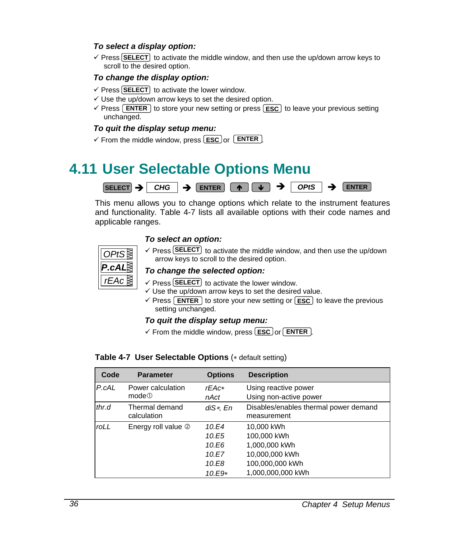## *To select a display option:*

 $\checkmark$  Press **SELECT** to activate the middle window, and then use the up/down arrow keys to scroll to the desired option.

### *To change the display option:*

- $\checkmark$  Press (SELECT) to activate the lower window.
- $\checkmark$  Use the up/down arrow keys to set the desired option.
- **✓ Press [ENTER]** to store your new setting or press [ESC] to leave your previous setting unchanged.

#### *To quit the display setup menu:*

✓ From the middle window, press **ESC** or **ENTER** .

## **4.11 User Selectable Options Menu**



This menu allows you to change options which relate to the instrument features and functionality. Table 4-7 lists all available options with their code names and applicable ranges.

### *To select an option:*



 $\checkmark$  Press **SELECT** to activate the middle window, and then use the up/down arrow keys to scroll to the desired option.

#### *To change the selected option:*

- $\checkmark$  Press **SELECT** to activate the lower window.
- $\checkmark$  Use the up/down arrow keys to set the desired value.
- $\checkmark$  Press  $[$  **ENTER**  $]$  to store your new setting or  $[$ **ESC** $]$  to leave the previous setting unchanged.

#### *To quit the display setup menu:*

✓ From the middle window, press LESC or LENTER  $\cdot$ 

#### **Table 4-7 User Selectable Options** (∗ default setting)

| Code  | <b>Parameter</b>              | <b>Options</b> | <b>Description</b>                                   |
|-------|-------------------------------|----------------|------------------------------------------------------|
| P.cAL | Power calculation             | $rEAc*$        | Using reactive power                                 |
|       | mode@                         | nAct           | Using non-active power                               |
| thr.d | Thermal demand<br>calculation | $diS*$ , En    | Disables/enables thermal power demand<br>measurement |
| roLL  | Energy roll value 2           | 10.E4          | 10.000 kWh                                           |
|       |                               | 10.E5          | 100,000 kWh                                          |
|       |                               | 10.E6          | 1,000,000 kWh                                        |
|       |                               | 10.E7          | 10,000,000 kWh                                       |
|       |                               | 10.E8          | 100,000,000 kWh                                      |
|       |                               | 10.E9*         | 1,000,000,000 kWh                                    |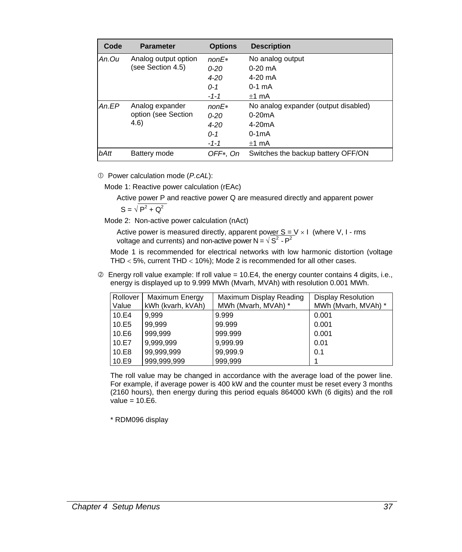| Code     | <b>Parameter</b>     | <b>Options</b> | <b>Description</b>                   |
|----------|----------------------|----------------|--------------------------------------|
| An.Ou    | Analog output option | $nonE*$        | No analog output                     |
|          | (see Section 4.5)    | $0 - 20$       | $0-20$ mA                            |
|          |                      | $4 - 20$       | 4-20 mA                              |
|          |                      | $0 - 1$        | $0-1$ mA                             |
|          |                      | $-1-1$         | $+1$ mA                              |
| $An E$ P | Analog expander      | $nonF*$        | No analog expander (output disabled) |
|          | option (see Section  | $0 - 20$       | $0-20mA$                             |
|          | (4.6)                | $4 - 20$       | $4-20mA$                             |
|          |                      | $0 - 1$        | $0-1mA$                              |
|          |                      | $-1-1$         | $+1$ mA                              |
| bAtt     | Battery mode         | OFF*, On       | Switches the backup battery OFF/ON   |

c Power calculation mode (*P.cAL*):

Mode 1: Reactive power calculation (rEAc)

Active power P and reactive power Q are measured directly and apparent power  $S = \sqrt{P^2 + Q^2}$ 

Mode 2: Non-active power calculation (nAct)

Active power is measured directly, apparent power  $S = V \times I$  (where V, I - rms voltage and currents) and non-active power  $N = \sqrt{S^2 - P^2}$ 

Mode 1 is recommended for electrical networks with low harmonic distortion (voltage THD < 5%, current THD < 10%); Mode 2 is recommended for all other cases.

 $\oslash$  Energy roll value example: If roll value = 10.E4, the energy counter contains 4 digits, i.e., energy is displayed up to 9.999 MWh (Mvarh, MVAh) with resolution 0.001 MWh.

| Rollover<br>Value | Maximum Energy<br>kWh (kvarh, kVAh) | Maximum Display Reading<br>MWh (Mvarh, MVAh) * | <b>Display Resolution</b><br>MWh (Mvarh, MVAh) * |
|-------------------|-------------------------------------|------------------------------------------------|--------------------------------------------------|
| 10.E4             | 9,999                               | 9.999                                          | 0.001                                            |
| 10.E5             | 99,999                              | 99.999                                         | 0.001                                            |
| 10.E6             | 999,999                             | 999.999                                        | 0.001                                            |
| 10.E7             | 9,999,999                           | 9,999.99                                       | 0.01                                             |
| 10.E8             | 99,999,999                          | 99,999.9                                       | 0.1                                              |
| 10.E9             | 999,999,999                         | 999.999                                        |                                                  |

The roll value may be changed in accordance with the average load of the power line. For example, if average power is 400 kW and the counter must be reset every 3 months (2160 hours), then energy during this period equals 864000 kWh (6 digits) and the roll value =  $10.E6$ .

\* RDM096 display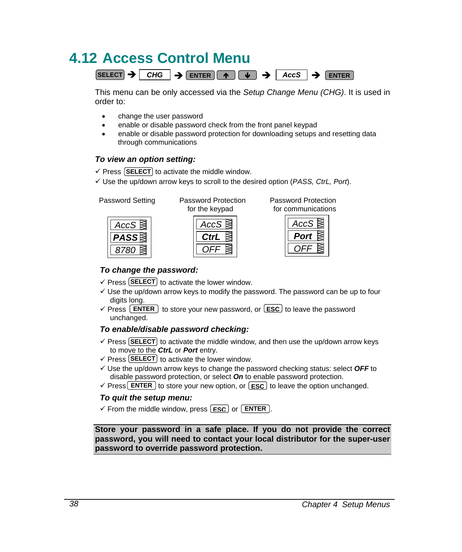# **4.12 Access Control Menu**

 $SEXECUTE \rightarrow CHG \rightarrow ENIER \rightarrow \rightarrow AccS \rightarrow ENIER$ 

This menu can be only accessed via the *Setup Change Menu (CHG)*. It is used in order to:

- change the user password
- enable or disable password check from the front panel keypad
- enable or disable password protection for downloading setups and resetting data through communications

### *To view an option setting:*

 $\checkmark$  Press [SELECT] to activate the middle window.

9 Use the up/down arrow keys to scroll to the desired option (*PASS, CtrL, Port*).



*AccS OFF CtrL*

 Password Setting Password Protection Password Protection for the keypad for communications



#### *To change the password:*

- $\checkmark$  Press **SELECT** to activate the lower window.
- $\checkmark$  Use the up/down arrow keys to modify the password. The password can be up to four digits long.
- $\checkmark$  Press  $\text{ENTER}$  to store your new password, or  $\text{EST}$  to leave the password unchanged.

### *To enable/disable password checking:*

- $\checkmark$  Press (SELECT) to activate the middle window, and then use the up/down arrow keys to move to the *CtrL* or *Port* entry.
- $\checkmark$  Press **SELECT** to activate the lower window.
- $\checkmark$  Use the up/down arrow keys to change the password checking status: select **OFF** to disable password protection, or select *On* to enable password protection.
- $\checkmark$  Press **ENTER** to store your new option, or  $\text{ESC}$  to leave the option unchanged.

#### *To quit the setup menu:*

 $\checkmark$  From the middle window, press  $\textsf{LSC}$  or  $\textsf{LENTER}$ .

**Store your password in a safe place. If you do not provide the correct password, you will need to contact your local distributor for the super-user password to override password protection.**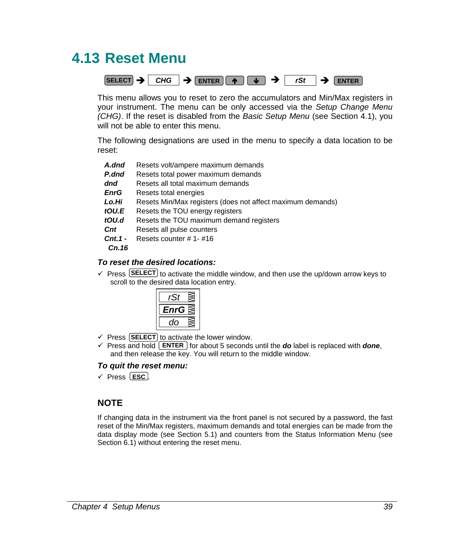## **4.13 Reset Menu**



This menu allows you to reset to zero the accumulators and Min/Max registers in your instrument. The menu can be only accessed via the *Setup Change Menu (CHG)*. If the reset is disabled from the *Basic Setup Menu* (see Section 4.1), you will not be able to enter this menu.

The following designations are used in the menu to specify a data location to be reset:

- A.dnd Resets volt/ampere maximum demands
- **P.dnd** Resets total power maximum demands
- *dnd* Resets all total maximum demands
- *EnrG* Resets total energies
- *Lo.Hi* Resets Min/Max registers (does not affect maximum demands)
- *tOU.E* Resets the TOU energy registers
- *tOU.d* Resets the TOU maximum demand registers
- *Cnt* Resets all pulse counters
- *Cnt.1*  Resets counter # 1- #16

 *Cn.16* 

### *To reset the desired locations:*

 $\checkmark$  Press **SELECT** to activate the middle window, and then use the up/down arrow keys to scroll to the desired data location entry.



- $\checkmark$  Press  $\text{[SELECT]}$  to activate the lower window.
- $\checkmark$  Press and hold  $\text{ENTER}$  for about 5 seconds until the **do** label is replaced with **done**, and then release the key. You will return to the middle window.

#### *To quit the reset menu:*

√ Press LESC .

## **NOTE**

If changing data in the instrument via the front panel is not secured by a password, the fast reset of the Min/Max registers, maximum demands and total energies can be made from the data display mode (see Section 5.1) and counters from the Status Information Menu (see Section 6.1) without entering the reset menu.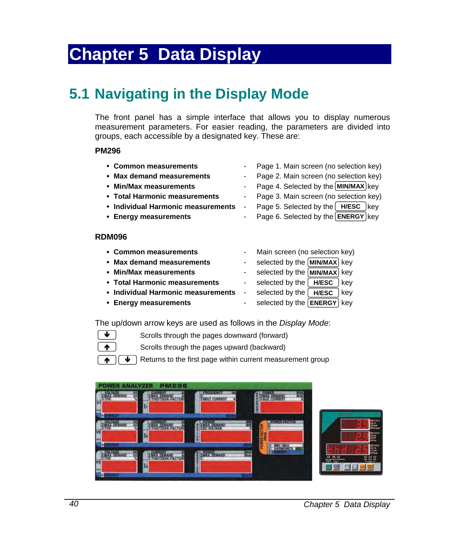# **Chapter 5 Data Display**

## **5.1 Navigating in the Display Mode**

The front panel has a simple interface that allows you to display numerous measurement parameters. For easier reading, the parameters are divided into groups, each accessible by a designated key. These are:

#### **PM296**

- y **Common measurements**  Page 1. Main screen (no selection key)
- y **Max demand measurements**  Page 2. Main screen (no selection key)
- Min/Max measurements **and Computer Computer Computer Computer** Page 4. Selected by the **MIN/MAX** key
- y **Total Harmonic measurements**  Page 3. Main screen (no selection key)
- Individual Harmonic measurements Page 5. Selected by the RIFINESC Key
- **Energy measurements Figure 1** Fage 6. Selected by the **ENERGY** key
- **RDM096**

Ï Ï

Ð

y **Common measurements** - Main screen (no selection key) • Max demand measurements **and a selected by the MIN/MAX** key • Min/Max measurements **and a selected by the MIN/MAX** key • Total Harmonic measurements - selected by the **HIVESC** key • Individual Harmonic measurements -• Energy measurements **Fig. 5** and the selected by the **ENERGY** Rey **Selected by the | H/ESC** | key selected by the **H/ESC** 

The up/down arrow keys are used as follows in the *Display Mode*:

- Scrolls through the pages downward (forward)
- Scrolls through the pages upward (backward)

Returns to the first page within current measurement group  $\overline{\mathbf{v}}$  )

| <b>POWER ANALYZER</b><br><b>PM296</b><br><b>STROLLAGE</b><br>M<br>AX DEMAND A<br>V<br><b>VILL</b><br>D.<br><b>MALTER</b>                  | Œ<br><b>FREQUENCY</b><br>3 NEUT CURRENT | <b>AVA</b><br>AUX CURRENT                   | <b>REMARKS</b>                                                |
|-------------------------------------------------------------------------------------------------------------------------------------------|-----------------------------------------|---------------------------------------------|---------------------------------------------------------------|
| N<br>OLTAGE<br>AX. DEMANO<br><b>AX DEMAND</b><br>THO/TOD/K-FACTOR<br><b>FITHD</b><br>V <sub>2</sub><br>ma<br><b><i><u>SENEROY</u></i></b> | <b>MAX DEMAND</b>                       | <b>BOWERTAGIOS</b><br>騣<br>CTOR<br>HANNONCE | 闘<br>E <sup>www</sup>                                         |
| MAX DEMAND<br>AX. DEMAND<br><b>HD/TDD/K-FACTOR</b><br><b>THD</b><br>V <sub>3</sub><br><b>Val</b><br>o.<br><b>Keney</b>                    | <b>OWER</b><br>AX DEMAND                | 膘                                           | E.<br>888<br>888<br><b>THE</b><br><b>MALINA PERSONAL</b><br>斷 |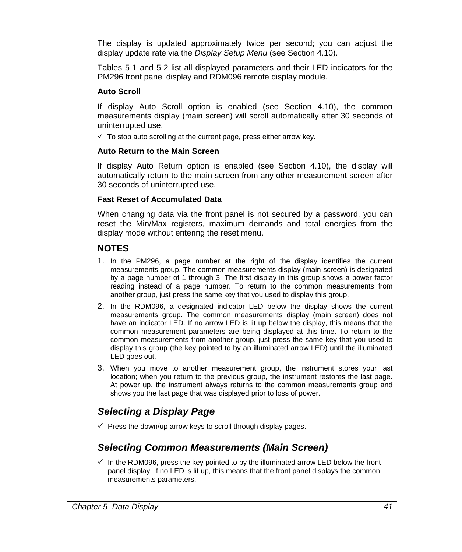The display is updated approximately twice per second; you can adjust the display update rate via the *Display Setup Menu* (see Section 4.10).

Tables 5-1 and 5-2 list all displayed parameters and their LED indicators for the PM296 front panel display and RDM096 remote display module.

#### **Auto Scroll**

If display Auto Scroll option is enabled (see Section 4.10), the common measurements display (main screen) will scroll automatically after 30 seconds of uninterrupted use.

 $\checkmark$  To stop auto scrolling at the current page, press either arrow key.

#### **Auto Return to the Main Screen**

If display Auto Return option is enabled (see Section 4.10), the display will automatically return to the main screen from any other measurement screen after 30 seconds of uninterrupted use.

#### **Fast Reset of Accumulated Data**

When changing data via the front panel is not secured by a password, you can reset the Min/Max registers, maximum demands and total energies from the display mode without entering the reset menu.

## **NOTES**

- 1. In the PM296, a page number at the right of the display identifies the current measurements group. The common measurements display (main screen) is designated by a page number of 1 through 3. The first display in this group shows a power factor reading instead of a page number. To return to the common measurements from another group, just press the same key that you used to display this group.
- 2. In the RDM096, a designated indicator LED below the display shows the current measurements group. The common measurements display (main screen) does not have an indicator LED. If no arrow LED is lit up below the display, this means that the common measurement parameters are being displayed at this time. To return to the common measurements from another group, just press the same key that you used to display this group (the key pointed to by an illuminated arrow LED) until the illuminated LED goes out.
- 3. When you move to another measurement group, the instrument stores your last location; when you return to the previous group, the instrument restores the last page. At power up, the instrument always returns to the common measurements group and shows you the last page that was displayed prior to loss of power.

## *Selecting a Display Page*

 $\checkmark$  Press the down/up arrow keys to scroll through display pages.

## *Selecting Common Measurements (Main Screen)*

 $\checkmark$  In the RDM096, press the key pointed to by the illuminated arrow LED below the front panel display. If no LED is lit up, this means that the front panel displays the common measurements parameters.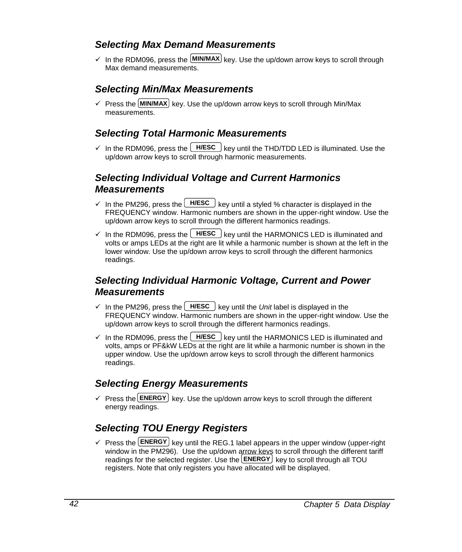## *Selecting Max Demand Measurements*

 $\checkmark$  In the RDM096, press the  $\text{MIN/MAX}$  key. Use the up/down arrow keys to scroll through Max demand measurements.

## *Selecting Min/Max Measurements*

 $\checkmark$  Press the  $\text{MIN/MAX}$  key. Use the up/down arrow keys to scroll through Min/Max measurements.

## *Selecting Total Harmonic Measurements*

 $\checkmark$  In the RDM096, press the  $H/ESC$  key until the THD/TDD LED is illuminated. Use the up/down arrow keys to scroll through harmonic measurements.

## *Selecting Individual Voltage and Current Harmonics Measurements*

- $\checkmark$  In the PM296, press the  $H/ESC$  key until a styled % character is displayed in the FREQUENCY window. Harmonic numbers are shown in the upper-right window. Use the up/down arrow keys to scroll through the different harmonics readings.
- $\checkmark$  In the RDM096, press the  $H\text{HSE}$  key until the HARMONICS LED is illuminated and volts or amps LEDs at the right are lit while a harmonic number is shown at the left in the lower window. Use the up/down arrow keys to scroll through the different harmonics readings.

## *Selecting Individual Harmonic Voltage, Current and Power Measurements*

- $\checkmark$  In the PM296, press the  $H/ESC$  key until the *Unit* label is displayed in the FREQUENCY window. Harmonic numbers are shown in the upper-right window. Use the up/down arrow keys to scroll through the different harmonics readings.
- $\checkmark$  In the RDM096, press the  $H/ESC$  key until the HARMONICS LED is illuminated and volts, amps or PF&kW LEDs at the right are lit while a harmonic number is shown in the upper window. Use the up/down arrow keys to scroll through the different harmonics readings.

## *Selecting Energy Measurements*

 $\checkmark$  Press the **ENERGY** key. Use the up/down arrow keys to scroll through the different energy readings.

## *Selecting TOU Energy Registers*

 $\checkmark$  Press the **ENERGY** key until the REG.1 label appears in the upper window (upper-right window in the PM296). Use the up/down arrow keys to scroll through the different tariff readings for the selected register. Use the **ENERGY** key to scroll through all TOU registers. Note that only registers you have allocated will be displayed.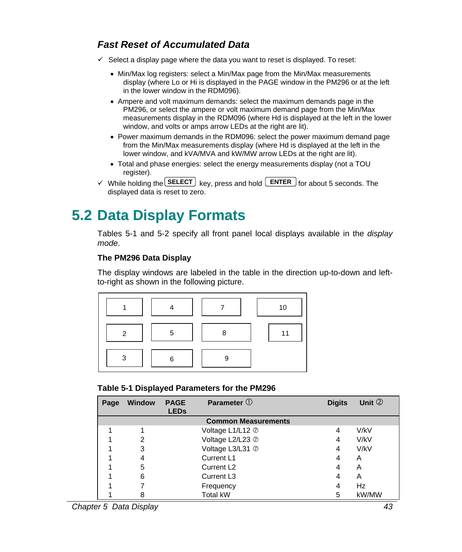## *Fast Reset of Accumulated Data*

- $\checkmark$  Select a display page where the data you want to reset is displayed. To reset:
	- Min/Max log registers: select a Min/Max page from the Min/Max measurements display (where Lo or Hi is displayed in the PAGE window in the PM296 or at the left in the lower window in the RDM096).
	- Ampere and volt maximum demands: select the maximum demands page in the PM296, or select the ampere or volt maximum demand page from the Min/Max measurements display in the RDM096 (where Hd is displayed at the left in the lower window, and volts or amps arrow LEDs at the right are lit).
	- Power maximum demands in the RDM096: select the power maximum demand page from the Min/Max measurements display (where Hd is displayed at the left in the lower window, and kVA/MVA and kW/MW arrow LEDs at the right are lit).
	- Total and phase energies: select the energy measurements display (not a TOU register).
- $\checkmark$  While holding the **SELECT** key, press and hold **ENTER** for about 5 seconds. The displayed data is reset to zero.

## **5.2 Data Display Formats**

Tables 5-1 and 5-2 specify all front panel local displays available in the *display mode*.

## **The PM296 Data Display**

The display windows are labeled in the table in the direction up-to-down and leftto-right as shown in the following picture.



### **Table 5-1 Displayed Parameters for the PM296**

| Page | <b>Window</b> | <b>PAGE</b><br><b>LEDs</b> | Parameter 1                | <b>Digits</b> | Unit $\circled{2}$ |
|------|---------------|----------------------------|----------------------------|---------------|--------------------|
|      |               |                            | <b>Common Measurements</b> |               |                    |
|      |               |                            | Voltage L1/L12 2           | 4             | V/kV               |
|      | 2             |                            | Voltage L2/L23 2           | 4             | V/kV               |
|      | 3             |                            | Voltage L3/L31 2           | 4             | V/kV               |
|      | 4             |                            | Current L1                 | 4             | A                  |
|      | 5             |                            | Current L <sub>2</sub>     | 4             | A                  |
|      | 6             |                            | Current L <sub>3</sub>     | 4             | A                  |
|      |               |                            | Frequency                  | 4             | Hz                 |
|      | 8             |                            | <b>Total kW</b>            | 5             | kW/MW              |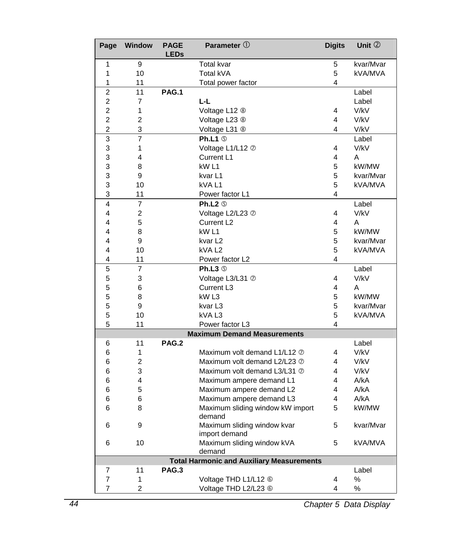| Page           | <b>Window</b>  | <b>PAGE</b><br><b>LEDs</b>                        | Parameter $\mathbb O$                                        | <b>Digits</b> | Unit 2        |
|----------------|----------------|---------------------------------------------------|--------------------------------------------------------------|---------------|---------------|
| 1              | 9              |                                                   | <b>Total kvar</b>                                            | 5             | kvar/Mvar     |
| 1              | 10             |                                                   | Total kVA                                                    | 5             | kVA/MVA       |
| 1              | 11             |                                                   | Total power factor                                           | 4             |               |
| $\overline{2}$ | 11             | PAG.1                                             |                                                              |               | Label         |
| 2              | 7              |                                                   | L-L                                                          |               | Label         |
| 2              | 1              |                                                   | Voltage L12 <sup>®</sup>                                     | 4             | V/kV          |
| 2              | $\overline{2}$ |                                                   | Voltage L23 <sup>®</sup>                                     | 4             | V/kV          |
| 2              | 3              |                                                   | Voltage L31 <sup>®</sup>                                     | 4             | V/kV          |
| 3              | $\overline{7}$ |                                                   | Ph.L1 $\circ$                                                |               | Label         |
| 3              | 1              |                                                   | Voltage L1/L12 2                                             | 4             | V/kV          |
| 3              | 4              |                                                   | Current L1                                                   | 4             | A             |
| 3              | 8              |                                                   | kW <sub>L1</sub>                                             | 5             | kW/MW         |
| 3              | 9              |                                                   | kvar L1                                                      | 5             | kvar/Mvar     |
| 3              | 10             |                                                   | kVAL1                                                        | 5             | kVA/MVA       |
| 3              | 11             |                                                   | Power factor L1                                              | 4             |               |
| 4              | $\overline{7}$ |                                                   | Ph.L2 $\circ$                                                |               | Label         |
| 4              | 2              |                                                   | Voltage L2/L23 2                                             | 4             | V/kV          |
| 4              | 5              |                                                   | Current L <sub>2</sub>                                       | 4             | A             |
| 4              | 8              |                                                   | kW <sub>L1</sub>                                             | 5             | kW/MW         |
| 4              | 9              |                                                   | kvar L <sub>2</sub>                                          | 5             | kvar/Mvar     |
| 4              | 10             |                                                   | kVAL <sub>2</sub>                                            | 5             | kVA/MVA       |
| 4              | 11             | Power factor L2                                   |                                                              | 4             |               |
| 5              | $\overline{7}$ |                                                   | Ph.L3 <sup>®</sup>                                           |               | Label         |
| 5              | 3              |                                                   | Voltage L3/L31 2                                             | 4             | V/kV          |
| 5              | 6              |                                                   | Current L3                                                   | 4             | A             |
| 5              | 8              |                                                   | kW <sub>L3</sub>                                             | 5             | kW/MW         |
| 5              | 9              |                                                   | kvar L3                                                      | 5             | kvar/Mvar     |
| 5<br>5         | 10             |                                                   | kVAL3                                                        | 5<br>4        | kVA/MVA       |
|                | 11             |                                                   | Power factor L3                                              |               |               |
|                | 11             | PAG.2                                             | <b>Maximum Demand Measurements</b>                           |               |               |
| 6              | 1              |                                                   |                                                              | 4             | Label<br>V/kV |
| 6<br>6         | $\overline{2}$ |                                                   | Maximum volt demand L1/L12 2<br>Maximum volt demand L2/L23 2 | 4             | V/kV          |
| 6              | 3              |                                                   | Maximum volt demand L3/L31 2                                 | 4             | V/kV          |
| 6              | 4              |                                                   | Maximum ampere demand L1                                     | 4             | A/kA          |
| 6              | 5              |                                                   | Maximum ampere demand L2                                     | 4             | A/KA          |
| 6              | 6              |                                                   | Maximum ampere demand L3                                     | 4             | A/KA          |
| 6              | 8              |                                                   | Maximum sliding window kW import                             | 5             | kW/MW         |
|                |                | demand                                            |                                                              |               |               |
| 6              | 9              | Maximum sliding window kvar<br>5<br>import demand |                                                              | kvar/Mvar     |               |
| 6              | 10             |                                                   | Maximum sliding window kVA<br>demand                         | 5             | kVA/MVA       |
|                |                |                                                   | <b>Total Harmonic and Auxiliary Measurements</b>             |               |               |
| 7              | 11             | <b>PAG.3</b>                                      |                                                              |               | Label         |
| $\overline{7}$ | 1              |                                                   | Voltage THD L1/L12 <sup>6</sup>                              | 4             | %             |
| $\overline{7}$ | $\overline{2}$ |                                                   | Voltage THD L2/L23 6                                         | 4             | %             |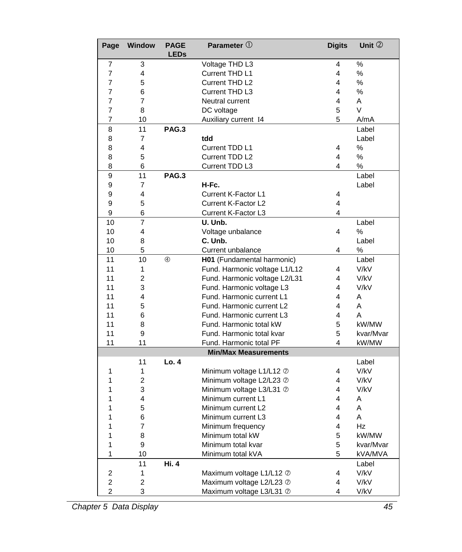| Page           | Window         | <b>PAGE</b><br><b>LEDs</b> | Parameter $\mathbb O$             | <b>Digits</b> | Unit 2        |
|----------------|----------------|----------------------------|-----------------------------------|---------------|---------------|
| 7              | 3              |                            | Voltage THD L3                    | 4             | %             |
| 7              | 4              |                            | Current THD L1                    | 4             | %             |
| 7              | 5              |                            | Current THD L2                    | 4             | %             |
| 7              | 6              |                            | Current THD L3                    | 4             | %             |
| 7              | 7              |                            | Neutral current                   | 4             | A             |
| 7              | 8              |                            | DC voltage                        | 5             | $\vee$        |
| 7              | 10             |                            | Auxiliary current I4              | 5             | A/mA          |
| 8              | 11             | PAG.3                      |                                   |               | Label         |
| 8              | $\overline{7}$ |                            | tdd                               |               | Label         |
| 8              | 4              |                            | Current TDD L1                    | 4             | $\frac{0}{0}$ |
| 8              | 5              |                            | Current TDD L2                    | 4             | $\frac{0}{0}$ |
| 8              | 6              |                            | Current TDD L3                    | 4             | %             |
| 9              | 11             | PAG.3                      |                                   |               | Label         |
| 9              | 7              |                            | H-Fc.                             |               | Label         |
| 9              | 4              |                            | Current K-Factor L1               | 4             |               |
| 9              | 5              |                            | Current K-Factor L2               | 4             |               |
| 9              | 6              |                            | Current K-Factor L3               | 4             |               |
| 10             | 7              |                            | U. Unb.                           |               | Label         |
| 10             | 4              |                            | Voltage unbalance                 | 4             | %             |
| 10             | 8              |                            | C. Unb.                           |               | Label         |
| 10             | 5              |                            | Current unbalance                 |               | %             |
| 11             | 10             | $^{\circledR}$             | H01 (Fundamental harmonic)        |               | Label         |
| 11             | 1              |                            | Fund. Harmonic voltage L1/L12     | 4             | V/kV          |
| 11             | $\overline{2}$ |                            | Fund. Harmonic voltage L2/L31     | 4             | V/kV          |
| 11             | 3              |                            | Fund. Harmonic voltage L3         |               | V/kV          |
| 11             | 4              |                            | Fund. Harmonic current L1         | 4             | A             |
| 11             | 5              |                            | Fund. Harmonic current L2         | 4             | A             |
| 11             | 6              |                            | Fund. Harmonic current L3         | 4             | A             |
| 11             | 8              |                            | Fund. Harmonic total kW           | 5             | kW/MW         |
| 11             | 9              |                            | Fund. Harmonic total kvar         | 5             | kvar/Mvar     |
| 11             | 11             |                            | Fund. Harmonic total PF           | 4             | kW/MW         |
|                |                |                            | <b>Min/Max Measurements</b>       |               |               |
|                | 11             | Lo.4                       |                                   |               | Label         |
| 1              | 1              |                            | Minimum voltage L1/L12 2          | 4             | V/kV          |
| 1              | $\overline{2}$ |                            | Minimum voltage L2/L23 2          | 4             | V/kV          |
| 1              | 3              |                            | Minimum voltage L3/L31 2          | 4             | V/kV          |
| 1              | 4              |                            | Minimum current L1                | 4             | A             |
| 1              | 5              |                            | Minimum current L2                | 4             | A             |
| 1              | 6              |                            | Minimum current L3                | 4             | Α             |
| 1              | 7              |                            | Minimum frequency                 | 4             | Hz            |
| 1              | 8              |                            | Minimum total kW                  | 5             | kW/MW         |
| 1              | 9              |                            | Minimum total kvar                | 5             | kvar/Mvar     |
| 1              | 10             |                            | Minimum total kVA<br>5<br>kVA/MVA |               |               |
|                | 11             | Hi. 4                      |                                   |               | Label         |
| 2              | 1              |                            | Maximum voltage L1/L12 2          | 4             | V/kV          |
| 2              | 2              |                            | Maximum voltage L2/L23 2          | 4             | V/kV          |
| $\overline{2}$ | 3              |                            | Maximum voltage L3/L31 2          | 4             | V/kV          |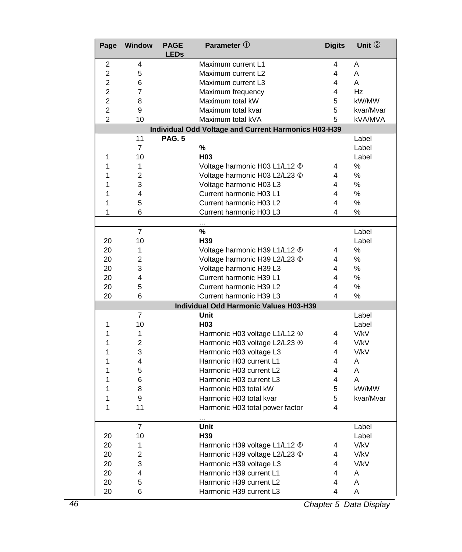| Page           | <b>Window</b>  | <b>PAGE</b><br><b>LEDs</b> | Parameter $\mathbb O$                                | <b>Digits</b> | Unit 2        |
|----------------|----------------|----------------------------|------------------------------------------------------|---------------|---------------|
| 2              | 4              |                            | Maximum current L1                                   | 4             | A             |
| 2              | 5              |                            | Maximum current L2                                   | 4             | A             |
| $\overline{2}$ | 6              |                            | Maximum current L3                                   | 4             | A             |
| $\overline{2}$ | $\overline{7}$ |                            | Maximum frequency                                    | 4             | Hz            |
| 2              | 8              |                            | Maximum total kW                                     | 5             | kW/MW         |
| 2              | 9              |                            | Maximum total kvar                                   | 5             | kvar/Mvar     |
| $\overline{2}$ | 10             |                            | Maximum total kVA                                    | 5             | kVA/MVA       |
|                |                |                            | Individual Odd Voltage and Current Harmonics H03-H39 |               |               |
|                | 11             | <b>PAG. 5</b>              |                                                      |               | Label         |
|                | $\overline{7}$ |                            | %                                                    |               | Label         |
| 1              | 10             |                            | H <sub>03</sub>                                      |               | Label         |
| 1              | $\mathbf{1}$   |                            | Voltage harmonic H03 L1/L12 6                        | 4             | $\%$          |
| 1              | $\overline{2}$ |                            | Voltage harmonic H03 L2/L23 6                        | 4             | %             |
| 1              | 3              |                            | Voltage harmonic H03 L3                              | 4             | %             |
| 1              | 4              |                            | Current harmonic H03 L1                              | 4             | %             |
| 1              | 5              |                            | Current harmonic H03 L2                              | 4             | %             |
| 1              | 6              |                            | Current harmonic H03 L3                              | 4             | $\frac{0}{0}$ |
|                |                |                            |                                                      |               |               |
|                | $\overline{7}$ |                            | %                                                    |               | Label         |
| 20             | 10             |                            | H39                                                  |               | Label         |
| 20             | 1              |                            | Voltage harmonic H39 L1/L12 6                        | 4             | %             |
| 20             | $\overline{2}$ |                            | Voltage harmonic H39 L2/L23 6                        | 4             | %             |
| 20             | 3              |                            | Voltage harmonic H39 L3                              | 4             | %             |
| 20             | 4              |                            | Current harmonic H39 L1                              | 4             | %             |
| 20             | 5              |                            | Current harmonic H39 L2                              | 4             | %             |
| 20             | 6              |                            | Current harmonic H39 L3                              | 4             | %             |
|                |                |                            | Individual Odd Harmonic Values H03-H39               |               |               |
|                | $\overline{7}$ |                            | Unit                                                 |               | Label         |
| 1              | 10             |                            | H <sub>03</sub>                                      |               | Label         |
| 1              | 1              |                            | Harmonic H03 voltage L1/L12 6                        | 4             | V/kV          |
| 1              | $\overline{2}$ |                            | Harmonic H03 voltage L2/L23 6                        | 4             | V/kV          |
| 1              | 3              |                            | Harmonic H03 voltage L3                              | 4             | V/kV          |
| 1              | 4              |                            | Harmonic H03 current L1                              | 4             | A             |
| 1              | 5              |                            | Harmonic H03 current L2                              | 4             | A             |
| 1              | 6              |                            | Harmonic H03 current L3                              | 4             | A             |
| 1              | 8              |                            | Harmonic H03 total kW                                | 5             | kW/MW         |
| 1              | 9              |                            | Harmonic H03 total kvar                              | 5             | kvar/Mvar     |
| 1              | 11             |                            | Harmonic H03 total power factor                      | 4             |               |
|                |                |                            | $\cdots$                                             |               |               |
|                | $\overline{7}$ |                            | Unit                                                 |               | Label         |
| 20             | 10             |                            | H <sub>39</sub>                                      |               | Label         |
| 20             | 1              |                            | Harmonic H39 voltage L1/L12 6                        | 4             | V/kV          |
| 20             | 2              |                            | Harmonic H39 voltage L2/L23 6                        | 4             | V/kV          |
| 20             | 3              |                            | Harmonic H39 voltage L3                              | 4             | V/kV          |
| 20             | 4              |                            | Harmonic H39 current L1                              | 4             | Α             |
| 20             | 5              |                            | Harmonic H39 current L2                              | 4             | A             |
| 20             | 6              |                            | Harmonic H39 current L3                              | 4             | A             |

*46 Chapter 5 Data Display*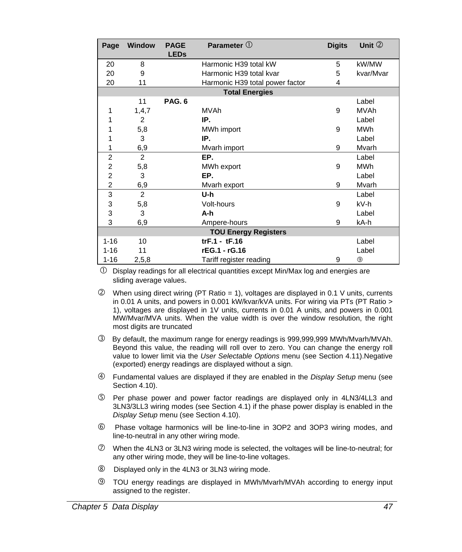| Page           | <b>Window</b>  | <b>PAGE</b><br><b>LEDs</b> | Parameter $\mathbb O$           | <b>Digits</b> | Unit $2$       |
|----------------|----------------|----------------------------|---------------------------------|---------------|----------------|
| 20             | 8              |                            | Harmonic H39 total kW           | 5             | kW/MW          |
| 20             | 9              |                            | Harmonic H39 total kvar         | 5             | kvar/Mvar      |
| 20             | 11             |                            | Harmonic H39 total power factor | 4             |                |
|                |                |                            | <b>Total Energies</b>           |               |                |
|                | 11             | PAG. 6                     |                                 |               | Label          |
| 1              | 1, 4, 7        |                            | <b>MVAh</b>                     | 9             | <b>MVAh</b>    |
| 1              | $\overline{2}$ |                            | IP.                             |               | Label          |
| 1              | 5,8            |                            | MWh import                      | 9             | <b>MWh</b>     |
| 1              | 3              |                            | IP.                             |               | Label          |
| 1              | 6,9            | Mvarh import               |                                 | 9             | Mvarh          |
| $\overline{2}$ | $\overline{2}$ |                            | EP.                             |               | Label          |
| $\overline{2}$ | 5,8            |                            | MWh export                      | 9             | <b>MWh</b>     |
| 2              | 3              |                            | EP.                             |               | Label          |
| $\overline{2}$ | 6,9            |                            | Mvarh export                    | 9             | Mvarh          |
| 3              | $\overline{2}$ |                            | U-h                             |               | Label          |
| 3              | 5,8            |                            | Volt-hours                      | 9             | kV-h           |
| 3              | 3              |                            | A-h                             |               | Label          |
| 3              | 6,9            | kA-h<br>9<br>Ampere-hours  |                                 |               |                |
|                |                |                            | <b>TOU Energy Registers</b>     |               |                |
| $1 - 16$       | 10             |                            | $trF.1 - tF.16$                 |               | Label          |
| $1 - 16$       | 11             |                            | rEG.1 - rG.16                   |               | Label          |
| $1 - 16$       | 2,5,8          |                            | Tariff register reading         | 9             | $\circledcirc$ |

 $\overline{O}$  Display readings for all electrical quantities except Min/Max log and energies are sliding average values.

- $Q$  When using direct wiring (PT Ratio = 1), voltages are displayed in 0.1 V units, currents in 0.01 A units, and powers in 0.001 kW/kvar/kVA units. For wiring via PTs (PT Ratio > 1), voltages are displayed in 1V units, currents in 0.01 A units, and powers in 0.001 MW/Mvar/MVA units. When the value width is over the window resolution, the right most digits are truncated
- e By default, the maximum range for energy readings is 999,999,999 MWh/Mvarh/MVAh. Beyond this value, the reading will roll over to zero. You can change the energy roll value to lower limit via the *User Selectable Options* menu (see Section 4.11).Negative (exported) energy readings are displayed without a sign.
- f Fundamental values are displayed if they are enabled in the *Display Setup* menu (see Section 4.10).
- g Per phase power and power factor readings are displayed only in 4LN3/4LL3 and 3LN3/3LL3 wiring modes (see Section 4.1) if the phase power display is enabled in the *Display Setup* menu (see Section 4.10).
- h Phase voltage harmonics will be line-to-line in 3OP2 and 3OP3 wiring modes, and line-to-neutral in any other wiring mode.
- $\oslash$  When the 4LN3 or 3LN3 wiring mode is selected, the voltages will be line-to-neutral; for any other wiring mode, they will be line-to-line voltages.
- **8** Displayed only in the 4LN3 or 3LN3 wiring mode.
- **9** TOU energy readings are displayed in MWh/Mvarh/MVAh according to energy input assigned to the register.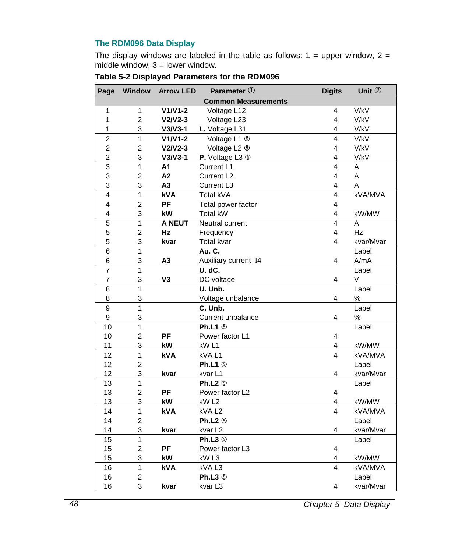## **The RDM096 Data Display**

The display windows are labeled in the table as follows:  $1 =$  upper window,  $2 =$ middle window,  $3 =$  lower window.

| Page                    | Window         | <b>Arrow LED</b> | Parameter 1                | <b>Digits</b>           | Unit 2    |
|-------------------------|----------------|------------------|----------------------------|-------------------------|-----------|
|                         |                |                  | <b>Common Measurements</b> |                         |           |
| 1                       | 1              | $V1/V1-2$        | Voltage L12                | 4                       | V/kV      |
| 1                       | $\overline{2}$ | $V2/V2-3$        | Voltage L23                | 4                       | V/kV      |
| 1                       | 3              | $V3/V3-1$        | L. Voltage L31             | 4                       | V/kV      |
| $\overline{2}$          | 1              | $V1/V1-2$        | Voltage L1 <sup>®</sup>    | 4                       | V/kV      |
| $\overline{c}$          | $\overline{2}$ | $V2/V2-3$        | Voltage L2 <sup>®</sup>    | 4                       | V/kV      |
| $\overline{\mathbf{c}}$ | 3              | $V3/V3-1$        | P. Voltage L3 <sup>®</sup> | 4                       | V/kV      |
| $\overline{3}$          | $\overline{1}$ | A1               | Current L1                 | $\overline{\mathbf{4}}$ | A         |
| 3                       | $\overline{c}$ | A2               | Current L <sub>2</sub>     | $\overline{4}$          | A         |
| 3                       | 3              | A <sub>3</sub>   | Current L <sub>3</sub>     | 4                       | Α         |
| $\overline{4}$          | $\overline{1}$ | kVA              | Total kVA                  | 4                       | kVA/MVA   |
| 4                       | $\overline{c}$ | PF               | Total power factor         | $\overline{4}$          |           |
| 4                       | 3              | kW               | Total kW                   | 4                       | kW/MW     |
| 5                       | 1              | <b>A NEUT</b>    | Neutral current            | 4                       | A         |
| 5                       | $\overline{2}$ | Hz               | Frequency                  | 4                       | Hz        |
| 5                       | 3              | kvar             | Total kvar                 | 4                       | kvar/Mvar |
| 6                       | 1              |                  | Au. C.                     |                         | Label     |
| 6                       | 3              | A <sub>3</sub>   | Auxiliary current I4       | 4                       | A/mA      |
| $\overline{7}$          | 1              |                  | U. dC.                     |                         | Label     |
| 7                       | 3              | V <sub>3</sub>   | DC voltage                 | 4                       | V         |
| 8                       | 1              |                  | U. Unb.                    |                         | Label     |
| 8                       | 3              |                  | Voltage unbalance          | 4                       | %         |
| $\overline{9}$          | $\overline{1}$ |                  | C. Unb.                    |                         | Label     |
| 9                       | 3              |                  | Current unbalance          | 4                       | %         |
| 10                      | 1              |                  | Ph.L1 $\circ$              |                         | Label     |
| 10                      | $\overline{2}$ | PF               | Power factor L1            | 4                       |           |
| 11                      | 3              | kW               | kW <sub>L1</sub>           | 4                       | kW/MW     |
| 12                      | 1              | kVA              | kVAL1                      | $\overline{\mathbf{4}}$ | kVA/MVA   |
| 12                      | $\overline{2}$ |                  | Ph.L1 $\circ$              |                         | Label     |
| 12                      | 3              | kvar             | kvar L1                    | 4                       | kvar/Mvar |
| 13                      | 1              |                  | Ph.L2 $\circ$              |                         | Label     |
| 13                      | $\overline{2}$ | PF               | Power factor L2            | 4                       |           |
| 13                      | 3              | kW               | kW <sub>L2</sub>           | 4                       | kW/MW     |
| 14                      | $\mathbf{1}$   | kVA              | kVAL <sub>2</sub>          | $\overline{\mathbf{4}}$ | kVA/MVA   |
| 14                      | $\overline{c}$ |                  | Ph.L2 <sup>®</sup>         |                         | Label     |
| 14                      | 3              | kvar             | kvar L2                    | 4                       | kvar/Mvar |
| 15                      | $\mathbf{1}$   |                  | Ph.L3 $\circledcirc$       |                         | Label     |
| 15                      | $\overline{2}$ | PF               | Power factor L3            | 4                       |           |
| 15                      | 3              | kW               | kW <sub>L3</sub>           | 4                       | kW/MW     |
| 16                      | 1              | <b>kVA</b>       | kVAL3                      | 4                       | kVA/MVA   |
| 16                      | $\overline{2}$ |                  | Ph.L3 <sup>®</sup>         |                         | Label     |
| 16                      | 3              | kvar             | kvar L3                    | 4                       | kvar/Mvar |

|  |  | Table 5-2 Displayed Parameters for the RDM096 |
|--|--|-----------------------------------------------|
|--|--|-----------------------------------------------|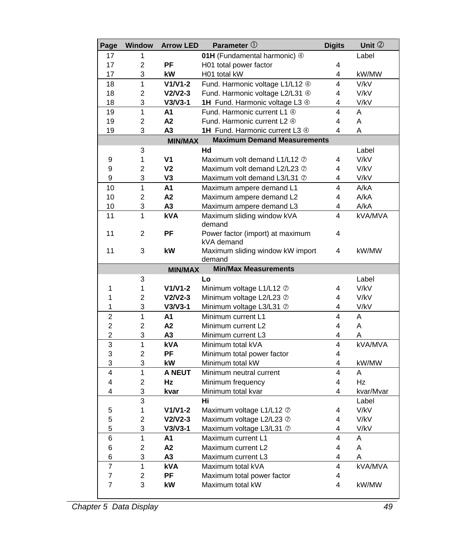| Page           | Window         | <b>Arrow LED</b> | Parameter $\mathbb O$                          | <b>Digits</b> | Unit 2    |
|----------------|----------------|------------------|------------------------------------------------|---------------|-----------|
| 17             | 1              |                  | 01H (Fundamental harmonic) 4                   |               | Label     |
| 17             | $\overline{2}$ | <b>PF</b>        | H01 total power factor                         | 4             |           |
| 17             | 3              | kW               | H01 total kW                                   | 4             | kW/MW     |
| 18             | 1              | $V1/V1-2$        | Fund. Harmonic voltage L1/L12 4                | 4             | V/kV      |
| 18             | $\overline{2}$ | $V2/V2-3$        | Fund. Harmonic voltage L2/L31 4                | 4             | V/kV      |
| 18             | 3              | $V3/V3-1$        | 1H Fund. Harmonic voltage L3 4                 | 4             | V/kV      |
| 19             | 1              | A1               | Fund. Harmonic current L1 4                    | 4             | A         |
| 19             | $\overline{2}$ | A2               | Fund. Harmonic current L2 4                    | 4             | A         |
| 19             | 3              | A3               | 1H Fund. Harmonic current L3 4                 | 4             | A         |
|                |                | <b>MIN/MAX</b>   | <b>Maximum Demand Measurements</b>             |               |           |
|                | 3              |                  | Hd                                             |               | Label     |
| 9              | 1              | V <sub>1</sub>   | Maximum volt demand L1/L12 2                   | 4             | V/kV      |
| 9              | $\overline{2}$ | V <sub>2</sub>   | Maximum volt demand L2/L23 2                   | 4             | V/kV      |
| 9              | 3              | V <sub>3</sub>   | Maximum volt demand L3/L31 2                   | 4             | V/kV      |
| 10             | 1              | A1               | Maximum ampere demand L1                       | 4             | A/kA      |
| 10             | $\overline{2}$ | A2               | Maximum ampere demand L2                       | 4             | A/KA      |
| 10             | 3              | A <sub>3</sub>   | Maximum ampere demand L3                       | 4             | A/KA      |
| 11             | 1              | kVA              | Maximum sliding window kVA<br>demand           | 4             | kVA/MVA   |
| 11             | $\overline{2}$ | PF               | Power factor (import) at maximum<br>kVA demand | 4             |           |
| 11             | 3              | kW               | Maximum sliding window kW import<br>demand     | 4             | kW/MW     |
|                |                | <b>MIN/MAX</b>   | <b>Min/Max Measurements</b>                    |               |           |
|                | 3              |                  | Lo                                             |               | Label     |
| 1              | 1              | $V1/V1-2$        | Minimum voltage L1/L12 2                       | 4             | V/kV      |
| 1              | $\mathfrak{p}$ | $V2/V2-3$        | Minimum voltage L2/L23 2                       | 4             | V/kV      |
| 1              | 3              | $V3/V3-1$        | Minimum voltage L3/L31 2                       | 4             | V/kV      |
| $\overline{2}$ | 1              | A1               | Minimum current L1                             | 4             | A         |
| 2              | $\overline{2}$ | A2               | Minimum current L2                             | 4             | A         |
| $\overline{2}$ | 3              | А3               | Minimum current L3                             | 4             | Α         |
| 3              | 1              | <b>kVA</b>       | Minimum total kVA                              | 4             | kVA/MVA   |
| 3              | $\overline{2}$ | PF               | Minimum total power factor                     | 4             |           |
| 3              | 3              | kW               | Minimum total kW                               | 4             | kW/MW     |
| 4              | 1              | <b>A NEUT</b>    | Minimum neutral current                        | 4             | A         |
| 4              | 2              | Hz               | Minimum frequency                              | 4             | Hz        |
| 4              | 3              | kvar             | Minimum total kvar                             | 4             | kvar/Mvar |
|                | 3              |                  | Hi                                             |               | Label     |
| 5              | 1              | $V1/V1-2$        | Maximum voltage L1/L12 2                       | 4             | V/kV      |
| 5              | $\overline{2}$ | $V2/V2-3$        | Maximum voltage L2/L23 2                       | 4             | V/kV      |
| 5              | 3              | $V3/V3-1$        | Maximum voltage L3/L31 2                       | 4             | V/kV      |
| 6              | 1              | A1               | Maximum current L1                             | 4             | A         |
| 6              | $\overline{2}$ | A2               | Maximum current L2                             | 4             | A         |
| 6              | 3              | A3               | Maximum current L3                             | 4             | A         |
| $\overline{7}$ | 1              | <b>kVA</b>       | Maximum total kVA                              | 4             | kVA/MVA   |
| 7              | 2              | PF               | Maximum total power factor                     | 4             |           |
| $\overline{7}$ | 3              | kW               | Maximum total kW                               | 4             | kW/MW     |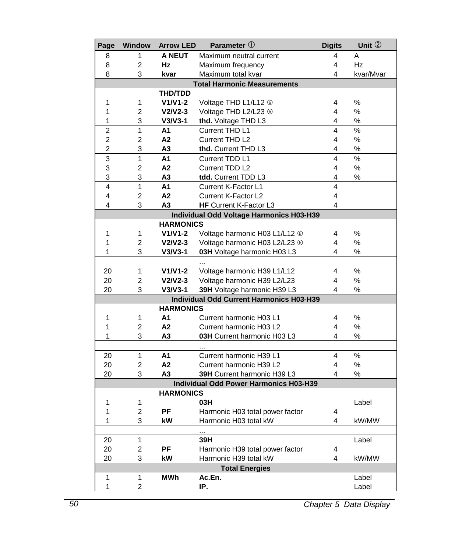| Page | <b>Window</b>                                   | <b>Arrow LED</b> | Parameter 1                                   | <b>Digits</b>  | Unit 2    |  |
|------|-------------------------------------------------|------------------|-----------------------------------------------|----------------|-----------|--|
| 8    | 1                                               | <b>A NEUT</b>    | Maximum neutral current                       | 4              | Α         |  |
| 8    | 2                                               | Hz               | Maximum frequency                             | 4              | Hz        |  |
| 8    | 3                                               | kvar             | Maximum total kvar                            | 4              | kvar/Mvar |  |
|      |                                                 |                  | <b>Total Harmonic Measurements</b>            |                |           |  |
|      |                                                 | <b>THD/TDD</b>   |                                               |                |           |  |
| 1    | 1                                               | V1/V1-2          | Voltage THD L1/L12 <sup>6</sup>               | 4              | ℅         |  |
| 1    | $\overline{2}$                                  | $V2/V2-3$        | Voltage THD L2/L23 6                          | 4              | %         |  |
| 1    | 3                                               | $V3/V3-1$        | thd. Voltage THD L3                           | 4              | ℅         |  |
| 2    | $\mathbf{1}$                                    | Α1               | Current THD L1                                | 4              | %         |  |
| 2    | $\overline{2}$                                  | A <sub>2</sub>   | Current THD L2                                | 4              | $\%$      |  |
| 2    | 3                                               | А3               | thd. Current THD L3                           | 4              | %         |  |
| 3    | $\overline{1}$                                  | A1               | Current TDD L1                                | 4              | %         |  |
| 3    | $\overline{2}$                                  | A <sub>2</sub>   | Current TDD L2                                | $\overline{4}$ | %         |  |
| 3    | 3                                               | A3               | tdd. Current TDD L3                           | 4              | ℅         |  |
| 4    | $\mathbf{1}$                                    | A1               | Current K-Factor L1                           | $\overline{4}$ |           |  |
| 4    | $\overline{2}$                                  | A2               | Current K-Factor L2                           | $\overline{4}$ |           |  |
| 4    | 3                                               | A3               | HF Current K-Factor L3                        | 4              |           |  |
|      |                                                 |                  | Individual Odd Voltage Harmonics H03-H39      |                |           |  |
|      |                                                 | <b>HARMONICS</b> |                                               |                |           |  |
| 1    | 1                                               | $V1/V1-2$        | Voltage harmonic H03 L1/L12 <sup>6</sup>      | 4              | %         |  |
| 1    | $\overline{2}$                                  | $V2/V2-3$        | Voltage harmonic H03 L2/L23 6                 | 4              | %         |  |
| 1    | 3                                               | $V3/V3-1$        | 03H Voltage harmonic H03 L3                   | 4              | %         |  |
|      |                                                 |                  |                                               |                |           |  |
| 20   | 1                                               | $V1/V1-2$        | Voltage harmonic H39 L1/L12                   | 4              | %         |  |
| 20   | $\overline{2}$                                  | $V2/V2-3$        | Voltage harmonic H39 L2/L23                   | 4              | ℅         |  |
| 20   | 3                                               | $V3/V3-1$        | 39H Voltage harmonic H39 L3                   | 4              | ℅         |  |
|      | <b>Individual Odd Current Harmonics H03-H39</b> |                  |                                               |                |           |  |
|      | <b>HARMONICS</b>                                |                  |                                               |                |           |  |
| 1    | 1                                               | A1               | Current harmonic H03 L1                       | 4              | %         |  |
| 1    | $\overline{2}$                                  | A <sub>2</sub>   | Current harmonic H03 L2                       | 4              | %         |  |
| 1    | 3                                               | А3               | 03H Current harmonic H03 L3                   | 4              | ℅         |  |
|      |                                                 |                  |                                               |                |           |  |
| 20   | $\mathbf{1}$                                    | A1               | Current harmonic H39 L1                       | 4              | %         |  |
| 20   | $\overline{2}$                                  | A2               | Current harmonic H39 L2                       | 4              | $\%$      |  |
| 20   | 3                                               | А3               | 39H Current harmonic H39 L3                   | 4              | %         |  |
|      |                                                 |                  | <b>Individual Odd Power Harmonics H03-H39</b> |                |           |  |
|      |                                                 | <b>HARMONICS</b> |                                               |                |           |  |
| 1    | 1                                               |                  | 03H                                           |                | Label     |  |
| 1    | $\overline{2}$                                  | PF               | Harmonic H03 total power factor               | 4              |           |  |
| 1    | 3                                               | kW               | Harmonic H03 total kW                         | 4              | kW/MW     |  |
|      |                                                 |                  |                                               |                |           |  |
| 20   | 1                                               |                  | 39H                                           |                | Label     |  |
| 20   | $\overline{2}$                                  | PF               | Harmonic H39 total power factor               | 4              |           |  |
| 20   | 3                                               | kW               | Harmonic H39 total kW                         | 4              | kW/MW     |  |
|      |                                                 |                  | <b>Total Energies</b>                         |                |           |  |
| 1    | 1                                               | <b>MWh</b>       | Ac.En.                                        |                | Label     |  |
| 1    | $\overline{2}$                                  |                  | IP.                                           |                | Label     |  |
|      |                                                 |                  |                                               |                |           |  |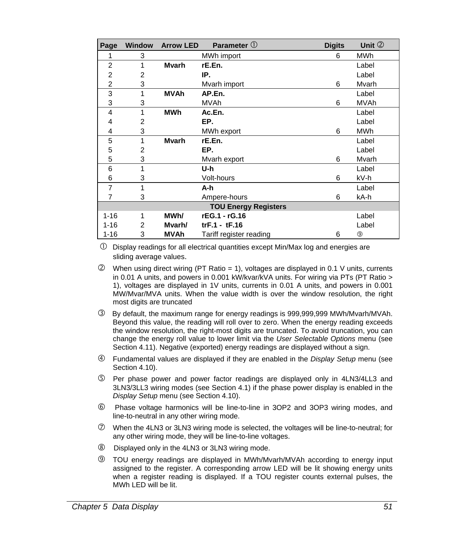| Page                        | <b>Window</b>  | <b>Arrow LED</b> | Parameter $\mathbb O$     | <b>Digits</b> | Unit $@$    |
|-----------------------------|----------------|------------------|---------------------------|---------------|-------------|
| 1                           | 3              |                  | MWh import                | 6             | <b>MWh</b>  |
| $\overline{2}$              | 1              | Mvarh            | rE.En.                    |               | Label       |
| 2                           | 2              |                  | IP.                       |               | Label       |
| 2                           | 3              |                  | Mvarh import              | 6             | Mvarh       |
| 3                           | 1              | <b>MVAh</b>      | AP.En.                    |               | Label       |
| 3                           | 3              |                  | <b>MVAh</b>               | 6             | <b>MVAh</b> |
| 4                           | 1              | MWh              | Ac.En.                    |               | Label       |
| 4                           | 2              |                  | EP.                       |               | Label       |
| 4                           | 3              |                  | MWh export                | 6             | <b>MWh</b>  |
| 5                           | 1              | <b>Mvarh</b>     | rE.En.                    |               | Label       |
| 5                           | $\overline{2}$ |                  | EP.                       |               | Label       |
| 5                           | 3              |                  | Mvarh export              | 6             | Mvarh       |
| 6                           | 1              |                  | U-h                       |               | Label       |
| 6                           | 3              |                  | Volt-hours                | 6             | kV-h        |
| 7                           | 1              |                  | A-h                       |               | Label       |
| 7                           | 3              |                  | kA-h<br>Ampere-hours<br>6 |               |             |
| <b>TOU Energy Registers</b> |                |                  |                           |               |             |
| $1 - 16$                    | 1              | MWh/             | rEG.1 - rG.16             |               | Label       |
| $1 - 16$                    | 2              | Mvarh/           | $trF.1 - tF.16$           |               | Label       |
| $1 - 16$                    | 3              | <b>MVAh</b>      | Tariff register reading   | 6             | ⊚           |

 $\Phi$  Display readings for all electrical quantities except Min/Max log and energies are sliding average values.

- $Q$  When using direct wiring (PT Ratio = 1), voltages are displayed in 0.1 V units, currents in 0.01 A units, and powers in 0.001 kW/kvar/kVA units. For wiring via PTs (PT Ratio > 1), voltages are displayed in 1V units, currents in 0.01 A units, and powers in 0.001 MW/Mvar/MVA units. When the value width is over the window resolution, the right most digits are truncated
- e By default, the maximum range for energy readings is 999,999,999 MWh/Mvarh/MVAh. Beyond this value, the reading will roll over to zero. When the energy reading exceeds the window resolution, the right-most digits are truncated. To avoid truncation, you can change the energy roll value to lower limit via the *User Selectable Options* menu (see Section 4.11). Negative (exported) energy readings are displayed without a sign.
- f Fundamental values are displayed if they are enabled in the *Display Setup* menu (see Section 4.10).
- g Per phase power and power factor readings are displayed only in 4LN3/4LL3 and 3LN3/3LL3 wiring modes (see Section 4.1) if the phase power display is enabled in the *Display Setup* menu (see Section 4.10).
- h Phase voltage harmonics will be line-to-line in 3OP2 and 3OP3 wiring modes, and line-to-neutral in any other wiring mode.
- $\oslash$  When the 4LN3 or 3LN3 wiring mode is selected, the voltages will be line-to-neutral; for any other wiring mode, they will be line-to-line voltages.
- Displayed only in the 4LN3 or 3LN3 wiring mode.
- **9** TOU energy readings are displayed in MWh/Mvarh/MVAh according to energy input assigned to the register. A corresponding arrow LED will be lit showing energy units when a register reading is displayed. If a TOU register counts external pulses, the MWh LED will be lit.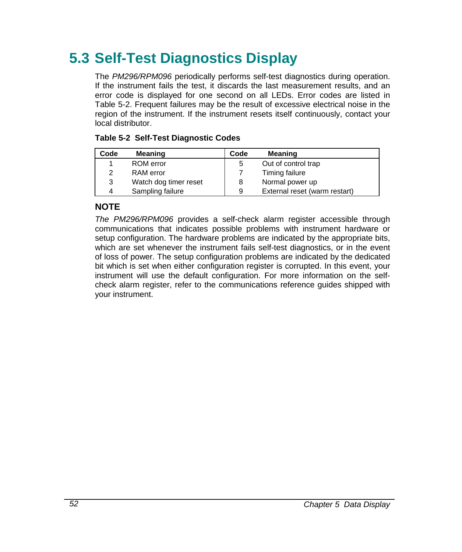## **5.3 Self-Test Diagnostics Display**

The *PM296/RPM096* periodically performs self-test diagnostics during operation. If the instrument fails the test, it discards the last measurement results, and an error code is displayed for one second on all LEDs. Error codes are listed in Table 5-2. Frequent failures may be the result of excessive electrical noise in the region of the instrument. If the instrument resets itself continuously, contact your local distributor.

| Code | <b>Meaning</b>        | Code | <b>Meaning</b>                |
|------|-----------------------|------|-------------------------------|
|      | ROM error             | 5    | Out of control trap           |
| 2    | <b>RAM</b> error      |      | Timing failure                |
| 3    | Watch dog timer reset | 8    | Normal power up               |
| 4    | Sampling failure      | 9    | External reset (warm restart) |

## **Table 5-2 Self-Test Diagnostic Codes**

## **NOTE**

*The PM296/RPM096* provides a self-check alarm register accessible through communications that indicates possible problems with instrument hardware or setup configuration. The hardware problems are indicated by the appropriate bits, which are set whenever the instrument fails self-test diagnostics, or in the event of loss of power. The setup configuration problems are indicated by the dedicated bit which is set when either configuration register is corrupted. In this event, your instrument will use the default configuration. For more information on the selfcheck alarm register, refer to the communications reference guides shipped with your instrument.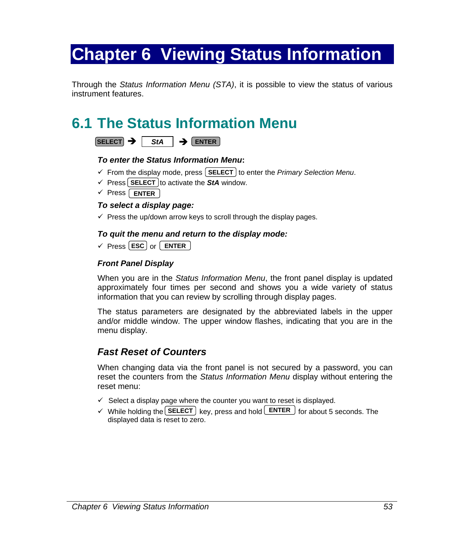# **Chapter 6 Viewing Status Information**

Through the *Status Information Menu (STA)*, it is possible to view the status of various instrument features.

## **6.1 The Status Information Menu**

| s | . .<br>.+ 0 |  | WIER- |
|---|-------------|--|-------|
|---|-------------|--|-------|

## *To enter the Status Information Menu***:**

- $\checkmark$  From the display mode, press  $\textsf{SELECT}$  to enter the *Primary Selection Menu*.
- $\checkmark$  Press **SELECT** to activate the **StA** window.
- √ Press | **ENTER**

## *To select a display page:*

 $\checkmark$  Press the up/down arrow keys to scroll through the display pages.

## *To quit the menu and return to the display mode:*

√ Press **ESC** or **LENTER** 

## *Front Panel Display*

When you are in the *Status Information Menu*, the front panel display is updated approximately four times per second and shows you a wide variety of status information that you can review by scrolling through display pages.

The status parameters are designated by the abbreviated labels in the upper and/or middle window. The upper window flashes, indicating that you are in the menu display.

## *Fast Reset of Counters*

When changing data via the front panel is not secured by a password, you can reset the counters from the *Status Information Menu* display without entering the reset menu:

- $\checkmark$  Select a display page where the counter you want to reset is displayed.
- $\checkmark$  While holding the **SELECT** key, press and hold **ENTER** for about 5 seconds. The displayed data is reset to zero.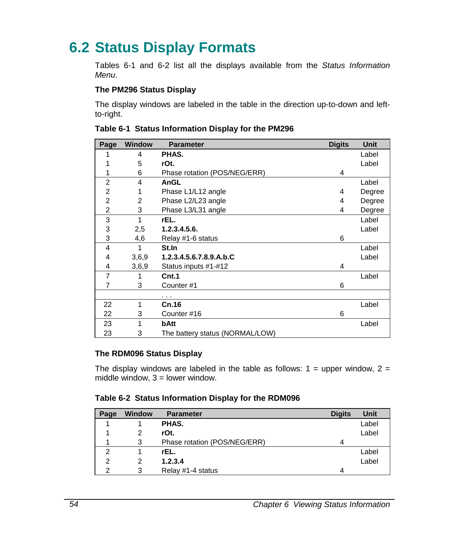## **6.2 Status Display Formats**

Tables 6-1 and 6-2 list all the displays available from the *Status Information Menu*.

## **The PM296 Status Display**

The display windows are labeled in the table in the direction up-to-down and leftto-right.

| Page           | <b>Window</b> | <b>Parameter</b>                | <b>Digits</b> | <b>Unit</b> |
|----------------|---------------|---------------------------------|---------------|-------------|
| 1              | 4             | PHAS.                           |               | Label       |
| 1              | 5             | rOt.                            |               | Label       |
| 1              | 6             | Phase rotation (POS/NEG/ERR)    | 4             |             |
| $\overline{2}$ | 4             | AnGL                            |               | Label       |
| 2              | 1             | Phase L1/L12 angle              | 4             | Degree      |
| 2              | 2             | Phase L2/L23 angle              | 4             | Degree      |
| 2              | 3             | Phase L3/L31 angle              | 4             | Degree      |
| 3              | 1             | rEL.                            |               | Label       |
| 3              | 2,5           | 1.2.3.4.5.6.                    |               | Label       |
| 3              | 4,6           | Relay #1-6 status               | 6             |             |
| 4              | 1             | St.In                           |               | Label       |
| 4              | 3,6,9         | 1.2.3.4.5.6.7.8.9.A.b.C         |               | Label       |
| 4              | 3,6,9         | Status inputs #1-#12            | 4             |             |
| 7              | 1             | Cnt.1                           |               | Label       |
| 7              | 3             | Counter #1                      | 6             |             |
|                |               | .                               |               |             |
| 22             | 1             | Cn.16                           |               | Label       |
| 22             | 3             | Counter #16                     | 6             |             |
| 23             | 1             | bAtt                            |               | Label       |
| 23             | 3             | The battery status (NORMAL/LOW) |               |             |

### **Table 6-1 Status Information Display for the PM296**

### **The RDM096 Status Display**

The display windows are labeled in the table as follows:  $1 =$  upper window,  $2 =$ middle window,  $3 =$  lower window.

### **Table 6-2 Status Information Display for the RDM096**

| Page | <b>Window</b> | <b>Parameter</b>             | <b>Diaits</b> | Unit  |
|------|---------------|------------------------------|---------------|-------|
|      |               | PHAS.                        |               | Label |
|      | 2             | rOt.                         |               | Label |
|      | 3             | Phase rotation (POS/NEG/ERR) | 4             |       |
| 2    |               | rEL.                         |               | Label |
| 2    | 2             | 1.2.3.4                      |               | Label |
| っ    | 3             | Relay #1-4 status            | 4             |       |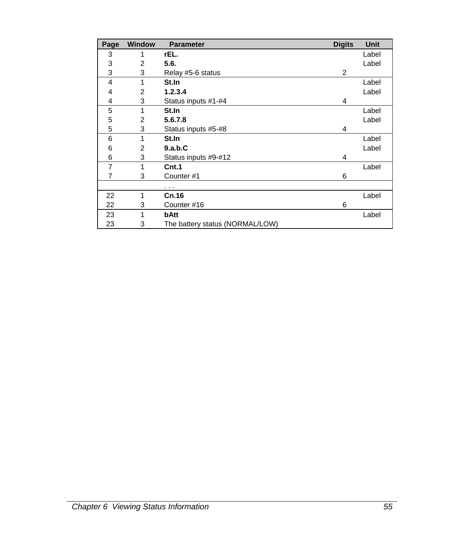| Page | <b>Window</b> | <b>Parameter</b>                | <b>Digits</b> | <b>Unit</b> |
|------|---------------|---------------------------------|---------------|-------------|
| 3    | 1             | rEL.                            |               | Label       |
| 3    | 2             | 5.6.                            |               | Label       |
| 3    | 3             | Relay #5-6 status               | 2             |             |
| 4    | 1             | St.In                           |               | Label       |
| 4    | 2             | 1.2.3.4                         |               | Label       |
| 4    | 3             | Status inputs #1-#4             | 4             |             |
| 5    | 1             | St.In                           |               | Label       |
| 5    | 2             | 5.6.7.8                         |               | Label       |
| 5    | 3             | Status inputs #5-#8             | 4             |             |
| 6    | 1             | St.In                           |               | Label       |
| 6    | 2             | 9.a.b.C                         |               | Label       |
| 6    | 3             | Status inputs #9-#12            | 4             |             |
| 7    | 1             | Cnt.1                           |               | Label       |
| 7    | 3             | Counter #1                      | 6             |             |
|      |               | $\cdots$                        |               |             |
| 22   | 1             | Cn.16                           |               | Label       |
| 22   | 3             | Counter #16                     | 6             |             |
| 23   | 1             | bAtt                            |               | Label       |
| 23   | 3             | The battery status (NORMAL/LOW) |               |             |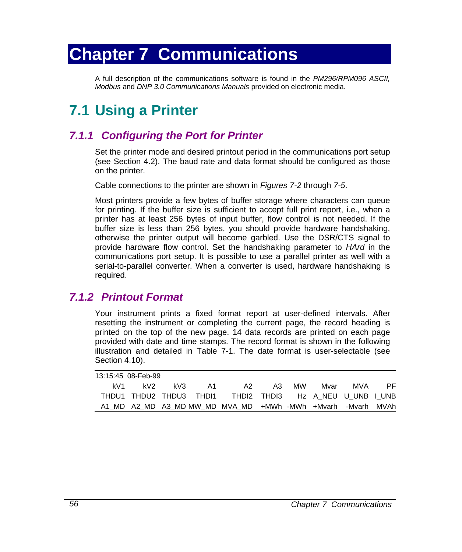# **Chapter 7 Communications**

A full description of the communications software is found in the *PM296/RPM096 ASCII, Modbus* and *DNP 3.0 Communications Manuals* provided on electronic media.

## **7.1 Using a Printer**

## *7.1.1 Configuring the Port for Printer*

Set the printer mode and desired printout period in the communications port setup (see Section 4.2). The baud rate and data format should be configured as those on the printer.

Cable connections to the printer are shown in *Figures 7-2* through *7-5*.

Most printers provide a few bytes of buffer storage where characters can queue for printing. If the buffer size is sufficient to accept full print report, i.e., when a printer has at least 256 bytes of input buffer, flow control is not needed. If the buffer size is less than 256 bytes, you should provide hardware handshaking, otherwise the printer output will become garbled. Use the DSR/CTS signal to provide hardware flow control. Set the handshaking parameter to *HArd* in the communications port setup. It is possible to use a parallel printer as well with a serial-to-parallel converter. When a converter is used, hardware handshaking is required.

## *7.1.2 Printout Format*

Your instrument prints a fixed format report at user-defined intervals. After resetting the instrument or completing the current page, the record heading is printed on the top of the new page. 14 data records are printed on each page provided with date and time stamps. The record format is shown in the following illustration and detailed in Table 7-1. The date format is user-selectable (see Section 4.10).

|     | 13:15:45 08-Feb-99 |     |    |                                                             |       |      |     |     |
|-----|--------------------|-----|----|-------------------------------------------------------------|-------|------|-----|-----|
| kV1 | kV2                | kV3 | A1 | A2.                                                         | A3 MW | Mvar | MVA | PF. |
|     |                    |     |    | THDU1 THDU2 THDU3 THDI1 THDI2 THDI3 Hz A NEU U UNB I UNB    |       |      |     |     |
|     |                    |     |    | A1 MD A2 MD A3 MD MW MD MVA MD +MWh -MWh +Mvarh -Mvarh MVAh |       |      |     |     |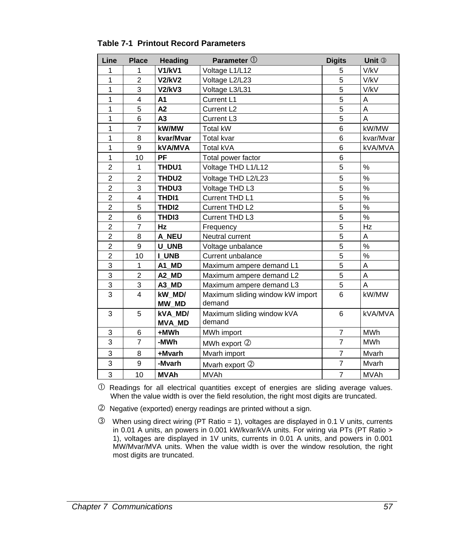| Line           | <b>Place</b>   | <b>Heading</b>    | Parameter 1                      | <b>Digits</b>  | Unit 3        |
|----------------|----------------|-------------------|----------------------------------|----------------|---------------|
| 1              | 1              | <b>V1/kV1</b>     | Voltage L1/L12                   | 5              | V/kV          |
| 1              | 2              | <b>V2/kV2</b>     | Voltage L2/L23                   | 5              | V/kV          |
| 1              | 3              | <b>V2/kV3</b>     | Voltage L3/L31                   | 5              | V/kV          |
| 1              | 4              | A1                | Current L1                       | 5              | Α             |
| 1              | 5              | A2                | Current L <sub>2</sub>           | 5              | A             |
| $\mathbf{1}$   | 6              | A <sub>3</sub>    | Current L3                       | $\overline{5}$ | A             |
| $\mathbf{1}$   | $\overline{7}$ | kW/MW             | <b>Total kW</b>                  | 6              | kW/MW         |
| 1              | 8              | kvar/Mvar         | <b>Total kvar</b>                | 6              | kvar/Mvar     |
| 1              | 9              | <b>kVA/MVA</b>    | Total kVA                        | 6              | kVA/MVA       |
| 1              | 10             | PF                | Total power factor               | 6              |               |
| $\overline{2}$ | 1              | THDU1             | Voltage THD L1/L12               | 5              | $\frac{0}{0}$ |
| $\overline{2}$ | $\overline{2}$ | THDU2             | Voltage THD L2/L23               | 5              | %             |
| $\overline{2}$ | 3              | THDU3             | Voltage THD L3                   | 5              | $\frac{0}{0}$ |
| $\overline{2}$ | 4              | THD <sub>11</sub> | Current THD L1                   | $\overline{5}$ | $\frac{0}{0}$ |
| $\overline{2}$ | 5              | THD <sub>12</sub> | Current THD L2                   | 5              | %             |
| $\overline{2}$ | 6              | THD <sub>13</sub> | Current THD L3                   | 5              | $\%$          |
| $\overline{2}$ | $\overline{7}$ | <b>Hz</b>         | Frequency                        | 5              | Hz            |
| $\overline{2}$ | 8              | A NEU             | Neutral current                  | 5              | A             |
| $\overline{2}$ | 9              | <b>U UNB</b>      | Voltage unbalance                | 5              | $\frac{0}{0}$ |
| $\overline{2}$ | 10             | I UNB             | Current unbalance                | 5              | %             |
| 3              | 1              | A1 MD             | Maximum ampere demand L1         | 5              | A             |
| 3              | $\overline{2}$ | A2 MD             | Maximum ampere demand L2         | 5              | A             |
| $\overline{3}$ | 3              | A3 MD             | Maximum ampere demand L3         | $\overline{5}$ | A             |
| $\overline{3}$ | 4              | kW MD/            | Maximum sliding window kW import | 6              | kW/MW         |
|                |                | MW MD             | demand                           |                |               |
| 3              | 5              | kVA MD/           | Maximum sliding window kVA       | 6              | kVA/MVA       |
|                |                | <b>MVA MD</b>     | demand                           |                |               |
| 3              | 6              | +MWh              | MWh import                       | $\overline{7}$ | <b>MWh</b>    |
| $\overline{3}$ | $\overline{7}$ | -MWh              | MWh export 2                     | $\overline{7}$ | <b>MWh</b>    |
| 3              | 8              | +Mvarh            | Mvarh import                     | $\overline{7}$ | Mvarh         |
| 3              | 9              | -Mvarh            | Mvarh export 2                   | $\overline{7}$ | Mvarh         |
| 3              | 10             | <b>MVAh</b>       | <b>MVAh</b>                      | $\overline{7}$ | <b>MVAh</b>   |

### **Table 7-1 Printout Record Parameters**

 $\overline{O}$  Readings for all electrical quantities except of energies are sliding average values. When the value width is over the field resolution, the right most digits are truncated.

d Negative (exported) energy readings are printed without a sign.

e When using direct wiring (PT Ratio = 1), voltages are displayed in 0.1 V units, currents in 0.01 A units, an powers in 0.001 kW/kvar/kVA units. For wiring via PTs (PT Ratio > 1), voltages are displayed in 1V units, currents in 0.01 A units, and powers in 0.001 MW/Mvar/MVA units. When the value width is over the window resolution, the right most digits are truncated.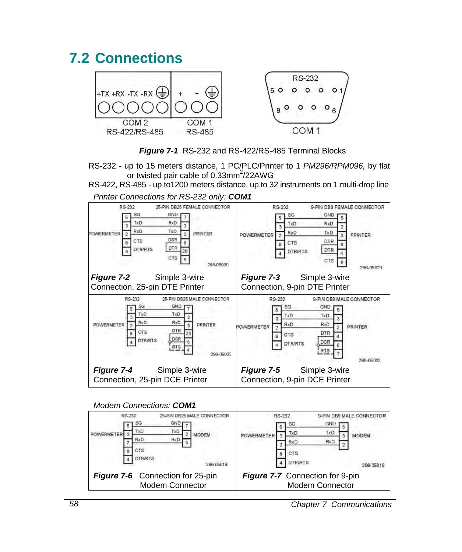## **7.2 Connections**



*Figure 7-1* RS-232 and RS-422/RS-485 Terminal Blocks

RS-232 - up to 15 meters distance, 1 PC/PLC/Printer to 1 *PM296/RPM096,* by flat or twisted pair cable of  $0.33$ mm $^2$ /22AWG

RS-422, RS-485 - up to1200 meters distance, up to 32 instruments on 1 multi-drop line

| RS-232                                                                                                                                                                        | RS-232                                                                                                                                        |
|-------------------------------------------------------------------------------------------------------------------------------------------------------------------------------|-----------------------------------------------------------------------------------------------------------------------------------------------|
| 25-PIN DB25 FEMALE CONNECTOR                                                                                                                                                  | 9-PIN DB9 FEMALE CONNECTOR                                                                                                                    |
| SG<br><b>GND</b><br>TxD<br>RxD<br>з<br>RxD<br>TxD.<br>PRINTER.<br><b>POWERMETER</b><br>$\overline{2}$<br><b>DSR</b><br>CTS<br>ß.<br><b>DTR</b><br><b>DTR/RTS</b><br>20<br>CTS | SG<br>GND<br>TxD<br>RxD<br>RxD<br>TxD<br>PRINTER<br>POWERMETER<br>s.<br><b>DSR</b><br>CTS<br><b>DTR</b><br><b>DTR/RTS</b><br>CTS<br>296-05021 |
| <b>Figure 7-2</b> Simple 3-wire                                                                                                                                               | Simple 3-wire<br><b>Figure 7-3</b>                                                                                                            |
| Connection, 25-pin DTE Printer                                                                                                                                                | Connection, 9-pin DTE Printer                                                                                                                 |
| RS-232                                                                                                                                                                        | RS-232                                                                                                                                        |
| 25-PIN DB25 MALE CONNECTOR                                                                                                                                                    | 9-PIN DB9 MALE CONNECTOR                                                                                                                      |
| SG                                                                                                                                                                            | SG                                                                                                                                            |
| <b>GND</b>                                                                                                                                                                    | GND                                                                                                                                           |
| TxD                                                                                                                                                                           | TxD                                                                                                                                           |
| TxD                                                                                                                                                                           | TxD                                                                                                                                           |
| RxD                                                                                                                                                                           | 3                                                                                                                                             |
| RxD                                                                                                                                                                           | <b>RxD</b>                                                                                                                                    |
| <b>POWERMETER</b>                                                                                                                                                             | RxD                                                                                                                                           |
| PRINTER                                                                                                                                                                       | POWERMETER                                                                                                                                    |
| $\overline{2}$                                                                                                                                                                | PRINTER                                                                                                                                       |
| DTR                                                                                                                                                                           | $\overline{2}$                                                                                                                                |
| <b>CTS</b>                                                                                                                                                                    | <b>DTR</b>                                                                                                                                    |
| 20                                                                                                                                                                            | CTS                                                                                                                                           |
| 8                                                                                                                                                                             | я                                                                                                                                             |
| DSR                                                                                                                                                                           | DSR                                                                                                                                           |
| <b>DTR/RTS</b>                                                                                                                                                                | <b>DTR/RTS</b>                                                                                                                                |
| <b>RTS</b>                                                                                                                                                                    | R <sub>TS</sub>                                                                                                                               |
| 296.0502                                                                                                                                                                      | 296.0502                                                                                                                                      |
| <b>Figure 7-4</b> Simple 3-wire                                                                                                                                               | <b>Figure 7-5</b> Simple 3-wire                                                                                                               |
| Connection, 25-pin DCE Printer                                                                                                                                                | Connection, 9-pin DCE Printer                                                                                                                 |

*Printer Connections for RS-232 only: COM1*

*Modem Connections: COM1*



*58 Chapter 7 Communications*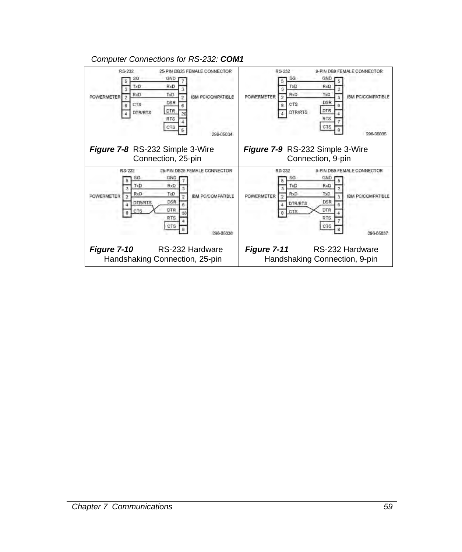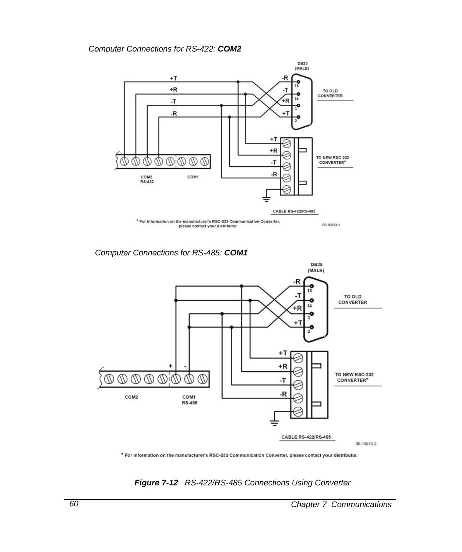## *Computer Connections for RS-422: COM2*



*Computer Connections for RS-485: COM1*



\* For information on the manufacturer's RSC-232 Communication Converter, please contact your distributor.

*Figure 7-12 RS-422/RS-485 Connections Using Converter*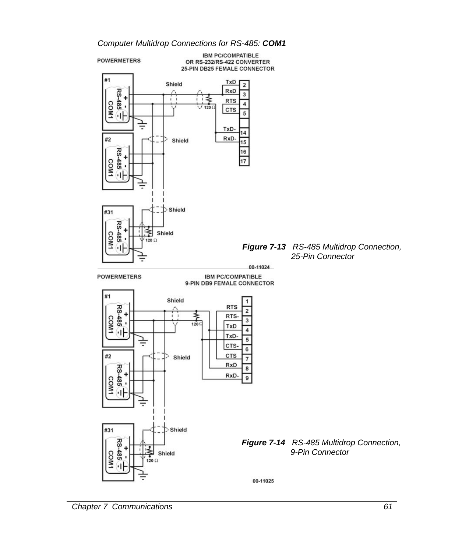



**IBM PC/COMPATIBLE** OR RS-232/RS-422 CONVERTER 25-PIN DB25 FEMALE CONNECTOR

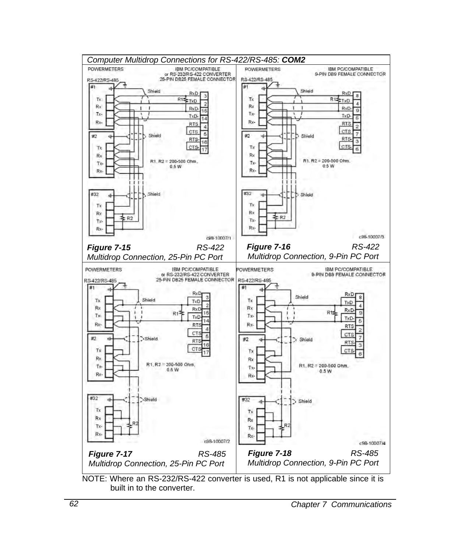

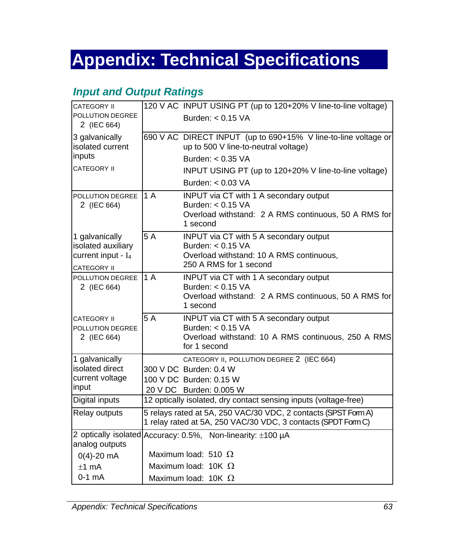# **Appendix: Technical Specifications**

## *Input and Output Ratings*

| CATEGORY II                                                                         |                                                                                                                                 | 120 V AC INPUT USING PT (up to 120+20% V line-to-line voltage)                                                                             |  |  |
|-------------------------------------------------------------------------------------|---------------------------------------------------------------------------------------------------------------------------------|--------------------------------------------------------------------------------------------------------------------------------------------|--|--|
| POLLUTION DEGREE<br>2 (IEC 664)                                                     |                                                                                                                                 | Burden: $< 0.15$ VA                                                                                                                        |  |  |
| 3 galvanically<br>isolated current                                                  |                                                                                                                                 | 690 V AC DIRECT INPUT (up to 690+15% V line-to-line voltage or<br>up to 500 V line-to-neutral voltage)                                     |  |  |
| inputs                                                                              |                                                                                                                                 | Burden: $< 0.35$ VA                                                                                                                        |  |  |
| CATEGORY II                                                                         |                                                                                                                                 | INPUT USING PT (up to 120+20% V line-to-line voltage)                                                                                      |  |  |
|                                                                                     |                                                                                                                                 | Burden: $< 0.03$ VA                                                                                                                        |  |  |
| POLLUTION DEGREE<br>2 (IEC 664)                                                     | 1A                                                                                                                              | <b>INPUT</b> via CT with 1 A secondary output<br>Burden: $< 0.15$ VA<br>Overload withstand: 2 A RMS continuous, 50 A RMS for<br>1 second   |  |  |
| 1 galvanically<br>isolated auxiliary<br>current input - $I_4$<br><b>CATEGORY II</b> | 5A                                                                                                                              | <b>INPUT via CT with 5 A secondary output</b><br>Burden: $< 0.15$ VA<br>Overload withstand: 10 A RMS continuous,<br>250 A RMS for 1 second |  |  |
| POLLUTION DEGREE<br>2 (IEC 664)                                                     | 1A                                                                                                                              | INPUT via CT with 1 A secondary output<br>Burden: $< 0.15$ VA<br>Overload withstand: 2 A RMS continuous, 50 A RMS for<br>1 second          |  |  |
| <b>CATEGORY II</b><br>POLLUTION DEGREE<br>2 (IEC 664)                               | 5 A                                                                                                                             | INPUT via CT with 5 A secondary output<br>Burden: $< 0.15$ VA<br>Overload withstand: 10 A RMS continuous, 250 A RMS<br>for 1 second        |  |  |
| 1 galvanically<br>isolated direct<br>current voltage<br>input                       |                                                                                                                                 | CATEGORY II, POLLUTION DEGREE 2 (IEC 664)<br>300 V DC Burden: 0.4 W<br>100 V DC Burden: 0.15 W<br>20 V DC Burden: 0.005 W                  |  |  |
| Digital inputs                                                                      |                                                                                                                                 | 12 optically isolated, dry contact sensing inputs (voltage-free)                                                                           |  |  |
| Relay outputs                                                                       | 5 relays rated at 5A, 250 VAC/30 VDC, 2 contacts (SPST Form A)<br>1 relay rated at 5A, 250 VAC/30 VDC, 3 contacts (SPDT Form C) |                                                                                                                                            |  |  |
| analog outputs                                                                      |                                                                                                                                 | 2 optically isolated Accuracy: 0.5%, Non-linearity: ±100 µA                                                                                |  |  |
| $0(4) - 20$ mA                                                                      |                                                                                                                                 | Maximum load: 510 $\Omega$                                                                                                                 |  |  |
| $±1$ mA                                                                             |                                                                                                                                 | Maximum load: 10K $\Omega$                                                                                                                 |  |  |
| $0-1$ mA                                                                            | Maximum load: 10K $\Omega$                                                                                                      |                                                                                                                                            |  |  |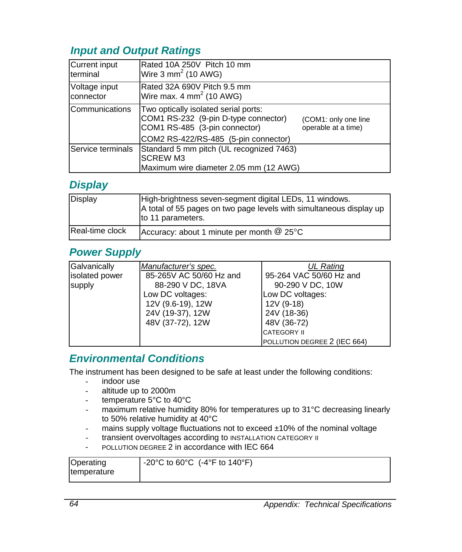## *Input and Output Ratings*

| Current input<br>terminal  | Rated 10A 250V Pitch 10 mm<br>Wire $3 \text{ mm}^2$ (10 AWG)                                                                                          |                                             |
|----------------------------|-------------------------------------------------------------------------------------------------------------------------------------------------------|---------------------------------------------|
| Voltage input<br>connector | Rated 32A 690V Pitch 9.5 mm<br>Wire max. $4 \text{ mm}^2$ (10 AWG)                                                                                    |                                             |
| <b>Communications</b>      | Two optically isolated serial ports:<br>COM1 RS-232 (9-pin D-type connector)<br>COM1 RS-485 (3-pin connector)<br>COM2 RS-422/RS-485 (5-pin connector) | (COM1: only one line<br>operable at a time) |
| <b>IService terminals</b>  | Standard 5 mm pitch (UL recognized 7463)<br><b>SCREW M3</b><br>Maximum wire diameter 2.05 mm (12 AWG)                                                 |                                             |

## *Display*

| Display         | High-brightness seven-segment digital LEDs, 11 windows.<br>A total of 55 pages on two page levels with simultaneous display up<br>to 11 parameters. |
|-----------------|-----------------------------------------------------------------------------------------------------------------------------------------------------|
| Real-time clock | Accuracy: about 1 minute per month $@$ 25 $°C$                                                                                                      |

## *Power Supply*

| Galvanically   | Manufacturer's spec.    | <b>UL Rating</b>             |
|----------------|-------------------------|------------------------------|
| isolated power | 85-265V AC 50/60 Hz and | 95-264 VAC 50/60 Hz and      |
| supply         | 88-290 V DC, 18VA       | 90-290 V DC, 10W             |
|                | Low DC voltages:        | Low DC voltages:             |
|                | 12V (9.6-19), 12W       | 12V (9-18)                   |
|                | 24V (19-37), 12W        | 24V (18-36)                  |
|                | 48V (37-72), 12W        | 48V (36-72)                  |
|                |                         | <b>CATEGORY II</b>           |
|                |                         | POLLUTION DEGREE 2 (IEC 664) |

## *Environmental Conditions*

The instrument has been designed to be safe at least under the following conditions:

- indoor use
- altitude up to 2000m
- temperature 5°C to 40°C
- maximum relative humidity 80% for temperatures up to 31°C decreasing linearly to 50% relative humidity at 40°C
- mains supply voltage fluctuations not to exceed ±10% of the nominal voltage
- transient overvoltages according to INSTALLATION CATEGORY II
- POLLUTION DEGREE 2 in accordance with IEC 664

| Operating   | -20°C to 60°C (-4°F to 140°F) |
|-------------|-------------------------------|
| temperature |                               |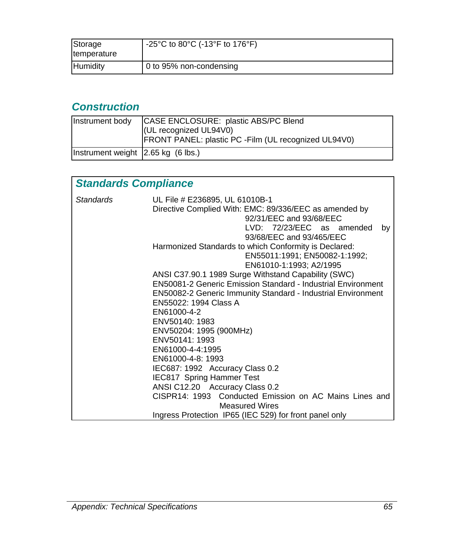| Storage<br>temperature | -25°C to 80°C (-13°F to 176°F) |
|------------------------|--------------------------------|
| Humidity               | 0 to 95% non-condensing        |

# *Construction*

| Instrument body                            | CASE ENCLOSURE: plastic ABS/PC Blend<br>(UL recognized UL94V0)<br><b>FRONT PANEL: plastic PC - Film (UL recognized UL94V0)</b> |
|--------------------------------------------|--------------------------------------------------------------------------------------------------------------------------------|
| Instrument weight $\vert$ 2.65 kg (6 lbs.) |                                                                                                                                |

| <b>Standards Compliance</b> |                                                                                                                                                                                                                                           |  |  |  |  |  |  |  |
|-----------------------------|-------------------------------------------------------------------------------------------------------------------------------------------------------------------------------------------------------------------------------------------|--|--|--|--|--|--|--|
| <b>Standards</b>            | UL File # E236895, UL 61010B-1<br>Directive Complied With: EMC: 89/336/EEC as amended by<br>92/31/EEC and 93/68/EEC<br>LVD: 72/23/EEC as amended<br>by<br>93/68/EEC and 93/465/EEC                                                        |  |  |  |  |  |  |  |
|                             | Harmonized Standards to which Conformity is Declared:<br>EN55011:1991; EN50082-1:1992;<br>EN61010-1:1993; A2/1995                                                                                                                         |  |  |  |  |  |  |  |
|                             | ANSI C37.90.1 1989 Surge Withstand Capability (SWC)<br><b>EN50081-2 Generic Emission Standard - Industrial Environment</b><br><b>EN50082-2 Generic Immunity Standard - Industrial Environment</b><br>EN55022: 1994 Class A<br>EN61000-4-2 |  |  |  |  |  |  |  |
|                             | ENV50140: 1983<br>ENV50204: 1995 (900MHz)<br>ENV50141: 1993<br>EN61000-4-4:1995<br>EN61000-4-8: 1993                                                                                                                                      |  |  |  |  |  |  |  |
|                             | IEC687: 1992 Accuracy Class 0.2<br><b>IEC817 Spring Hammer Test</b><br>ANSI C12.20 Accuracy Class 0.2<br>CISPR14: 1993 Conducted Emission on AC Mains Lines and                                                                           |  |  |  |  |  |  |  |
|                             | <b>Measured Wires</b><br>Ingress Protection IP65 (IEC 529) for front panel only                                                                                                                                                           |  |  |  |  |  |  |  |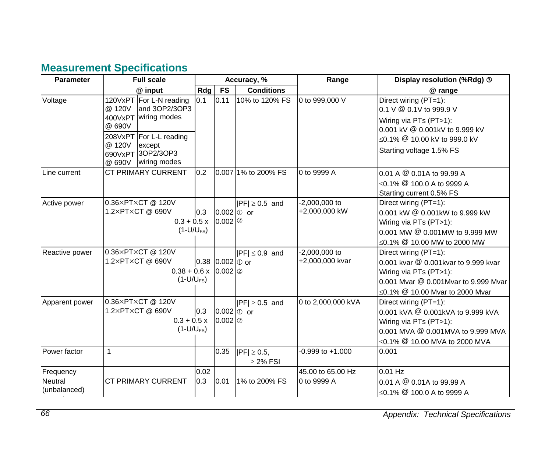# **Measurement Specifications**

| <b>Parameter</b>               | <b>Full scale</b>                                                                                                                                                                  |      |                                 | Accuracy, %                       | Range                              | Display resolution (%Rdg) 3                                                                                                                                                         |
|--------------------------------|------------------------------------------------------------------------------------------------------------------------------------------------------------------------------------|------|---------------------------------|-----------------------------------|------------------------------------|-------------------------------------------------------------------------------------------------------------------------------------------------------------------------------------|
|                                | @ input                                                                                                                                                                            | Rdg  | <b>FS</b>                       | <b>Conditions</b>                 |                                    | @ range                                                                                                                                                                             |
| Voltage                        | 120VxPT For L-N reading<br>and 3OP2/3OP3<br>@ 120V<br>400VxPT wiring modes<br>@ 690V<br>208VxPT For L-L reading<br>@ 120V<br>except<br>690VxPT 3OP2/3OP3<br>wiring modes<br>@ 690V | 0.1  | 0.11                            | 10% to 120% FS                    | 0 to 999,000 V                     | Direct wiring (PT=1):<br>0.1 V @ 0.1V to 999.9 V<br>Wiring via PTs (PT>1):<br>0.001 kV @ 0.001kV to 9.999 kV<br>≤0.1% <sup>@</sup> 10.00 kV to 999.0 kV<br>Starting voltage 1.5% FS |
| Line current                   | <b>CT PRIMARY CURRENT</b>                                                                                                                                                          | 0.2  |                                 | 0.007 1% to 200% FS               | 0 to 9999 A                        | 0.01 A @ 0.01A to 99.99 A<br>$<$ 0.1% $\omega$ 100.0 A to 9999 A<br>Starting current 0.5% FS                                                                                        |
| Active power                   | 0.36×PT×CT @ 120V<br>1.2×PT×CT @ 690V<br>$0.3 + 0.5x$<br>$(1-U/U_{FS})$                                                                                                            | 0.3  | $0.002$ $\circ$ or<br>0.002     | $ PF  \ge 0.5$ and                | $-2,000,000$ to<br>+2,000,000 kW   | Direct wiring (PT=1):<br>0.001 kW @ 0.001kW to 9.999 kW<br>Wiring via PTs (PT>1):<br>0.001 MW @ 0.001MW to 9.999 MW<br>≤0.1% <sup>@</sup> 10.00 MW to 2000 MW                       |
| Reactive power                 | 0.36×PT×CT @ 120V<br>1.2×PT×CT @ 690V<br>$0.38 + 0.6 \times 0.002$   2<br>$(1-U/U_{FS})$                                                                                           |      | 0.38 0.002 $\circ$ or           | $ PF  \leq 0.9$ and               | $-2,000,000$ to<br>+2,000,000 kvar | Direct wiring (PT=1):<br>0.001 kvar @ 0.001kvar to 9.999 kvar<br>Wiring via PTs (PT>1):<br>0.001 Myar @ 0.001Myar to 9.999 Myar<br>≤0.1% <sup>@</sup> 10.00 Mvar to 2000 Mvar       |
| Apparent power                 | 0.36×PT×CT @ 120V<br>1.2×PT×CT @ 690V<br>$0.3 + 0.5x$<br>$(1-U/U_{FS})$                                                                                                            | 0.3  | $0.002$ $\circ$ or<br>$0.002$ 2 | $ PF  \geq 0.5$ and               | 0 to 2,000,000 kVA                 | Direct wiring (PT=1):<br>0.001 kVA @ 0.001kVA to 9.999 kVA<br>Wiring via PTs (PT>1):<br>0.001 MVA @ 0.001MVA to 9.999 MVA<br>≤0.1% <sup>@</sup> 10.00 MVA to 2000 MVA               |
| Power factor                   | $\mathbf{1}$                                                                                                                                                                       |      | 0.35                            | $ PF  \ge 0.5$ ,<br>$\geq$ 2% FSI | $-0.999$ to $+1.000$               | 0.001                                                                                                                                                                               |
| Frequency                      |                                                                                                                                                                                    | 0.02 |                                 |                                   | 45.00 to 65.00 Hz                  | $0.01$ Hz                                                                                                                                                                           |
| <b>Neutral</b><br>(unbalanced) | <b>CT PRIMARY CURRENT</b>                                                                                                                                                          | 0.3  | 0.01                            | 1% to 200% FS                     | 0 to 9999 A                        | 0.01 A @ 0.01A to 99.99 A<br>≤0.1% <sup>@</sup> 100.0 A to 9999 A                                                                                                                   |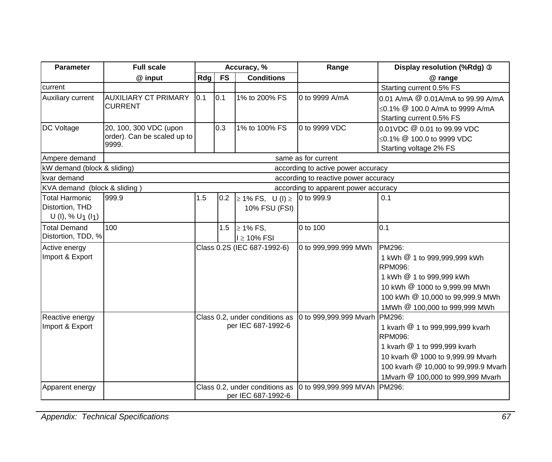| <b>Parameter</b>                                             | <b>Full scale</b>                                              | Accuracy, %                                          |           |                                                      | Range                                | Display resolution (%Rdg) 3                                                                                                                                                                   |
|--------------------------------------------------------------|----------------------------------------------------------------|------------------------------------------------------|-----------|------------------------------------------------------|--------------------------------------|-----------------------------------------------------------------------------------------------------------------------------------------------------------------------------------------------|
|                                                              | @ input                                                        | Rdg                                                  | <b>FS</b> | <b>Conditions</b>                                    |                                      | @ range                                                                                                                                                                                       |
| current                                                      |                                                                |                                                      |           |                                                      |                                      | Starting current 0.5% FS                                                                                                                                                                      |
| Auxiliary current                                            | <b>AUXILIARY CT PRIMARY</b><br><b>CURRENT</b>                  | 0.1                                                  | 0.1       | 1% to 200% FS                                        | 0 to 9999 A/mA                       | 0.01 A/mA @ 0.01A/mA to 99.99 A/mA<br>≤0.1% $@$ 100.0 A/mA to 9999 A/mA<br>Starting current 0.5% FS                                                                                           |
| <b>DC Voltage</b>                                            | 20, 100, 300 VDC (upon<br>order). Can be scaled up to<br>9999. |                                                      | 0.3       | 1% to 100% FS                                        | 0 to 9999 VDC                        | 0.01VDC @ 0.01 to 99.99 VDC<br>≤0.1% <sup>@</sup> 100.0 to 9999 VDC<br>Starting voltage 2% FS                                                                                                 |
| Ampere demand                                                |                                                                |                                                      |           |                                                      | same as for current                  |                                                                                                                                                                                               |
| kW demand (block & sliding)                                  |                                                                |                                                      |           |                                                      | according to active power accuracy   |                                                                                                                                                                                               |
| kvar demand                                                  |                                                                |                                                      |           |                                                      | according to reactive power accuracy |                                                                                                                                                                                               |
| KVA demand (block & sliding)                                 |                                                                |                                                      |           |                                                      | according to apparent power accuracy |                                                                                                                                                                                               |
| <b>Total Harmonic</b><br>Distortion, THD<br>$U(1), % U_1(1)$ | 999.9                                                          | 1.5                                                  | 0.2       | $\geq$ 1% FS, U (I) $\geq$<br>10% FSU (FSI)          | 0 to 999.9                           | 0.1                                                                                                                                                                                           |
| <b>Total Demand</b><br>Distortion, TDD, %                    | 100                                                            |                                                      | 1.5       | $\geq$ 1% FS,<br>$l \geq 10\%$ FSI                   | 0 to 100                             | 0.1                                                                                                                                                                                           |
| Active energy<br>Import & Export                             |                                                                |                                                      |           | Class 0.2S (IEC 687-1992-6)                          | 0 to 999,999.999 MWh                 | PM296:<br>1 kWh @ 1 to 999,999,999 kWh<br><b>RPM096:</b><br>1 kWh @ 1 to 999,999 kWh<br>10 kWh @ 1000 to 9,999.99 MWh<br>100 kWh @ 10,000 to 99,999.9 MWh<br>1MWh @ 100,000 to 999,999 MWh    |
| Reactive energy<br>Import & Export                           |                                                                | Class 0.2, under conditions as<br>per IEC 687-1992-6 |           |                                                      | 0 to 999,999.999 Mvarh PM296:        | 1 kvarh @ 1 to 999,999,999 kvarh<br>RPM096:<br>1 kvarh @ 1 to 999.999 kvarh<br>10 kvarh @ 1000 to 9,999.99 Mvarh<br>100 kvarh @ 10,000 to 99,999.9 Mvarh<br>1Mvarh @ 100,000 to 999,999 Mvarh |
| Apparent energy                                              |                                                                |                                                      |           | Class 0.2, under conditions as<br>per IEC 687-1992-6 | 0 to 999,999.999 MVAh PM296:         |                                                                                                                                                                                               |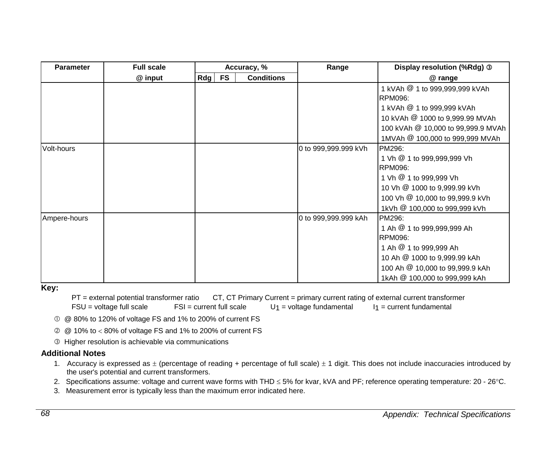| <b>Parameter</b> | <b>Full scale</b> | Accuracy, % |           |                   | Range                | Display resolution (%Rdg) 3                                                                                                                                                                     |
|------------------|-------------------|-------------|-----------|-------------------|----------------------|-------------------------------------------------------------------------------------------------------------------------------------------------------------------------------------------------|
|                  | @ input           | Rdg         | <b>FS</b> | <b>Conditions</b> |                      | @ range                                                                                                                                                                                         |
|                  |                   |             |           |                   |                      | 1 kVAh @ 1 to 999,999,999 kVAh<br><b>RPM096:</b>                                                                                                                                                |
|                  |                   |             |           |                   |                      | 1 kVAh @ 1 to 999,999 kVAh                                                                                                                                                                      |
|                  |                   |             |           |                   |                      | 10 kVAh @ 1000 to 9,999.99 MVAh                                                                                                                                                                 |
|                  |                   |             |           |                   |                      | 100 kVAh @ 10,000 to 99,999.9 MVAh                                                                                                                                                              |
|                  |                   |             |           |                   |                      | 1MVAh @ 100,000 to 999,999 MVAh                                                                                                                                                                 |
| Volt-hours       |                   |             |           |                   | 0 to 999,999.999 kVh | PM296:<br>1 Vh <sup>@</sup> 1 to 999,999,999 Vh<br><b>RPM096:</b><br>1 Vh @ 1 to 999,999 Vh<br>10 Vh @ 1000 to 9,999.99 kVh<br>100 Vh @ 10,000 to 99,999.9 kVh<br>1kVh @ 100,000 to 999,999 kVh |
| Ampere-hours     |                   |             |           |                   | 0 to 999,999.999 kAh | PM296:<br>1 Ah @ 1 to 999,999,999 Ah<br><b>RPM096:</b><br>1 Ah @ 1 to 999,999 Ah<br>10 Ah @ 1000 to 9,999.99 kAh<br>100 Ah @ 10,000 to 99,999.9 kAh<br>1kAh @ 100,000 to 999,999 kAh            |

#### **Key:**

PT = external potential transformer ratio CT, CT Primary Current = primary current rating of external current transformer  $FSU =$  voltage full scale  $FSU =$  current full scale  $U_1 =$  voltage fundamental  $I_1 =$  current fundamental

c @ 80% to 120% of voltage FS and 1% to 200% of current FS

d @ 10% to < 80% of voltage FS and 1% to 200% of current FS

e Higher resolution is achievable via communications

#### **Additional Notes**

- 1. Accuracy is expressed as  $\pm$  (percentage of reading + percentage of full scale)  $\pm$  1 digit. This does not include inaccuracies introduced by the user's potential and current transformers.
- 2. Specifications assume: voltage and current wave forms with THD ≤ 5% for kvar, kVA and PF; reference operating temperature: 20 26°C.
- 3. Measurement error is typically less than the maximum error indicated here.